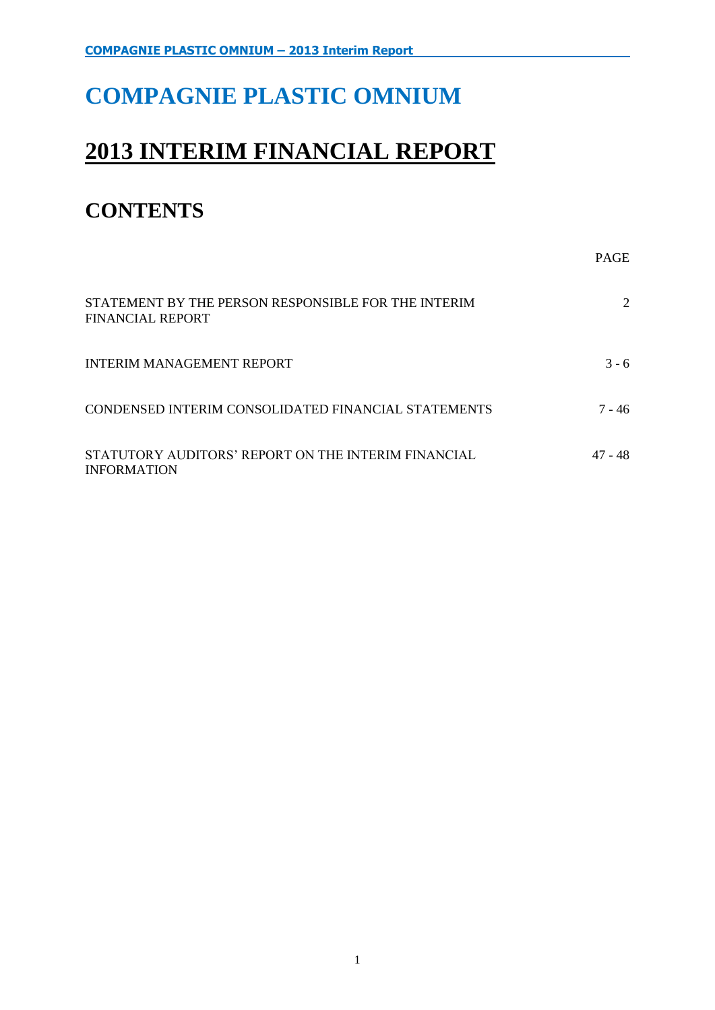# **COMPAGNIE PLASTIC OMNIUM**

# **2013 INTERIM FINANCIAL REPORT**

# **CONTENTS**

|                                                                                | <b>PAGE</b> |
|--------------------------------------------------------------------------------|-------------|
| STATEMENT BY THE PERSON RESPONSIBLE FOR THE INTERIM<br><b>FINANCIAL REPORT</b> | 2           |
| <b>INTERIM MANAGEMENT REPORT</b>                                               | $3 - 6$     |
| CONDENSED INTERIM CONSOLIDATED FINANCIAL STATEMENTS                            | 7 - 46      |
| STATUTORY AUDITORS' REPORT ON THE INTERIM FINANCIAL<br><b>INFORMATION</b>      | 47 - 48     |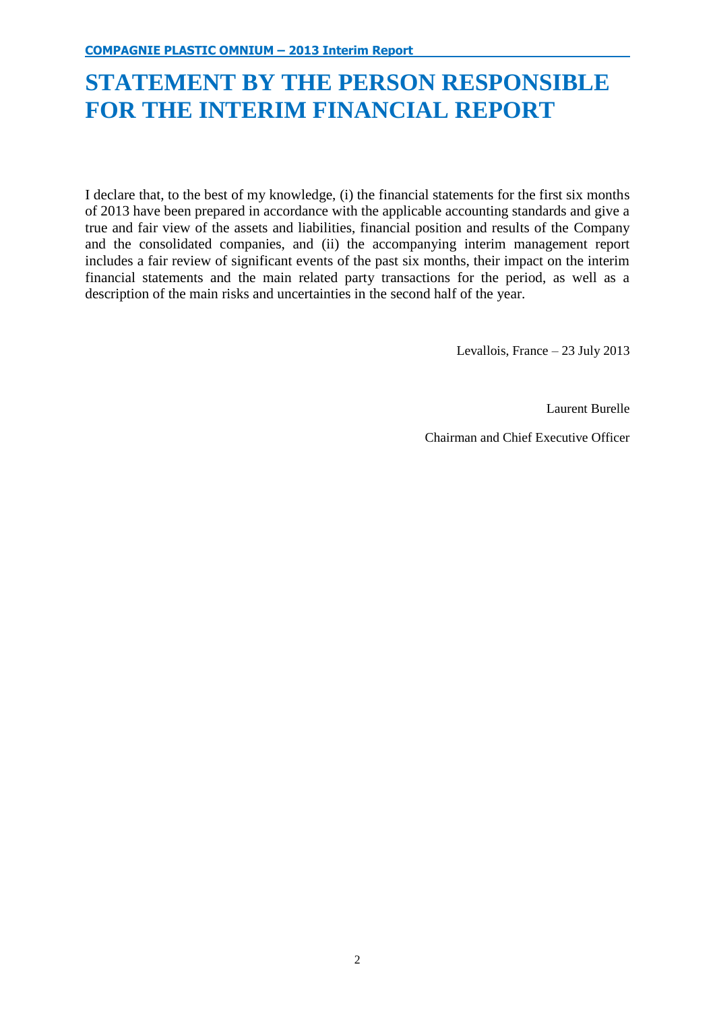# **STATEMENT BY THE PERSON RESPONSIBLE FOR THE INTERIM FINANCIAL REPORT**

I declare that, to the best of my knowledge, (i) the financial statements for the first six months of 2013 have been prepared in accordance with the applicable accounting standards and give a true and fair view of the assets and liabilities, financial position and results of the Company and the consolidated companies, and (ii) the accompanying interim management report includes a fair review of significant events of the past six months, their impact on the interim financial statements and the main related party transactions for the period, as well as a description of the main risks and uncertainties in the second half of the year.

Levallois, France – 23 July 2013

Laurent Burelle

Chairman and Chief Executive Officer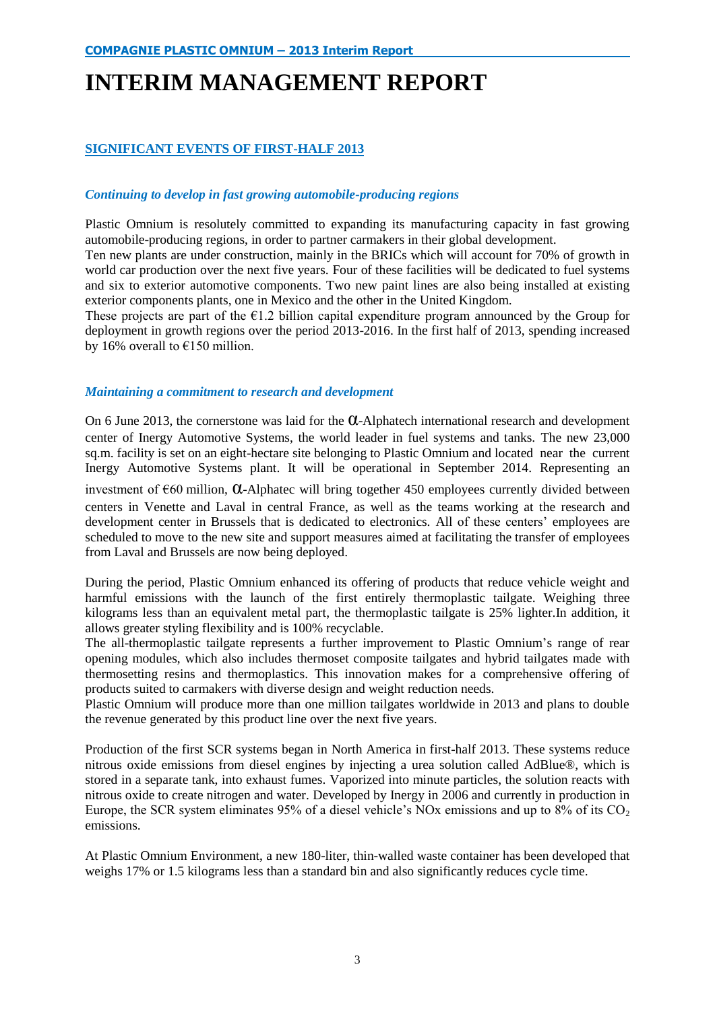# **INTERIM MANAGEMENT REPORT**

# **SIGNIFICANT EVENTS OF FIRST-HALF 2013**

# *Continuing to develop in fast growing automobile-producing regions*

Plastic Omnium is resolutely committed to expanding its manufacturing capacity in fast growing automobile-producing regions, in order to partner carmakers in their global development.

Ten new plants are under construction, mainly in the BRICs which will account for 70% of growth in world car production over the next five years. Four of these facilities will be dedicated to fuel systems and six to exterior automotive components. Two new paint lines are also being installed at existing exterior components plants, one in Mexico and the other in the United Kingdom.

These projects are part of the  $\epsilon$ 1.2 billion capital expenditure program announced by the Group for deployment in growth regions over the period 2013-2016. In the first half of 2013, spending increased by 16% overall to  $£150$  million.

# *Maintaining a commitment to research and development*

On 6 June 2013, the cornerstone was laid for the  $\alpha$ -Alphatech international research and development center of Inergy Automotive Systems, the world leader in fuel systems and tanks. The new 23,000 sq.m. facility is set on an eight-hectare site belonging to Plastic Omnium and located near the current Inergy Automotive Systems plant. It will be operational in September 2014. Representing an

investment of €60 million, α-Alphatec will bring together 450 employees currently divided between centers in Venette and Laval in central France, as well as the teams working at the research and development center in Brussels that is dedicated to electronics. All of these centers' employees are scheduled to move to the new site and support measures aimed at facilitating the transfer of employees from Laval and Brussels are now being deployed.

During the period, Plastic Omnium enhanced its offering of products that reduce vehicle weight and harmful emissions with the launch of the first entirely thermoplastic tailgate. Weighing three kilograms less than an equivalent metal part, the thermoplastic tailgate is 25% lighter.In addition, it allows greater styling flexibility and is 100% recyclable.

The all-thermoplastic tailgate represents a further improvement to Plastic Omnium's range of rear opening modules, which also includes thermoset composite tailgates and hybrid tailgates made with thermosetting resins and thermoplastics. This innovation makes for a comprehensive offering of products suited to carmakers with diverse design and weight reduction needs.

Plastic Omnium will produce more than one million tailgates worldwide in 2013 and plans to double the revenue generated by this product line over the next five years.

Production of the first SCR systems began in North America in first-half 2013. These systems reduce nitrous oxide emissions from diesel engines by injecting a urea solution called AdBlue®, which is stored in a separate tank, into exhaust fumes. Vaporized into minute particles, the solution reacts with nitrous oxide to create nitrogen and water. Developed by Inergy in 2006 and currently in production in Europe, the SCR system eliminates 95% of a diesel vehicle's NOx emissions and up to  $8\%$  of its CO<sub>2</sub> emissions.

At Plastic Omnium Environment, a new 180-liter, thin-walled waste container has been developed that weighs 17% or 1.5 kilograms less than a standard bin and also significantly reduces cycle time.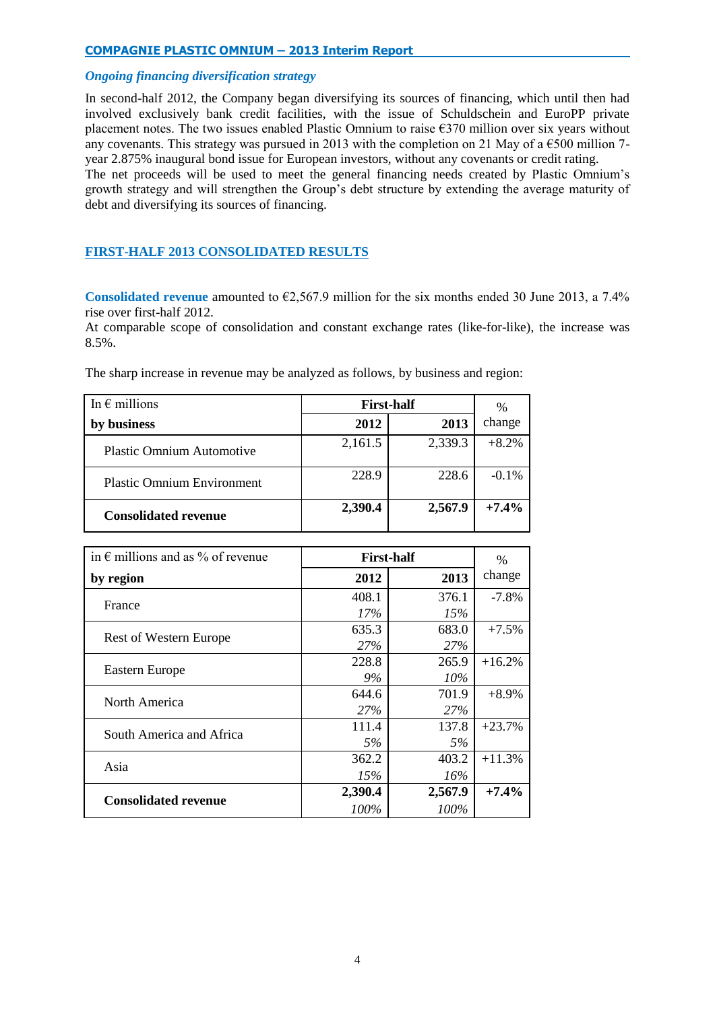# *Ongoing financing diversification strategy*

In second-half 2012, the Company began diversifying its sources of financing, which until then had involved exclusively bank credit facilities, with the issue of Schuldschein and EuroPP private placement notes. The two issues enabled Plastic Omnium to raise €370 million over six years without any covenants. This strategy was pursued in 2013 with the completion on 21 May of a  $\epsilon$ 500 million 7year 2.875% inaugural bond issue for European investors, without any covenants or credit rating.

The net proceeds will be used to meet the general financing needs created by Plastic Omnium's growth strategy and will strengthen the Group's debt structure by extending the average maturity of debt and diversifying its sources of financing.

# **FIRST-HALF 2013 CONSOLIDATED RESULTS**

**Consolidated revenue** amounted to €2,567.9 million for the six months ended 30 June 2013, a 7.4% rise over first-half 2012.

At comparable scope of consolidation and constant exchange rates (like-for-like), the increase was 8.5%.

The sharp increase in revenue may be analyzed as follows, by business and region:

| In $\epsilon$ millions            |         | <b>First-half</b> |         |  |
|-----------------------------------|---------|-------------------|---------|--|
| business                          | 2012    | 2013              | change  |  |
| <b>Plastic Omnium Automotive</b>  | 2,161.5 | 2,339.3           | $+8.2%$ |  |
| <b>Plastic Omnium Environment</b> | 228.9   | 228.6             | $-0.1%$ |  |
| <b>Consolidated revenue</b>       | 2,390.4 | 2,567.9           | $+7.4%$ |  |

| in $\epsilon$ millions and as % of revenue |         | <b>First-half</b> | $\frac{0}{0}$ |
|--------------------------------------------|---------|-------------------|---------------|
| by region                                  | 2012    | 2013              | change        |
| France                                     | 408.1   | 376.1             | $-7.8%$       |
|                                            | 17%     | 15%               |               |
| <b>Rest of Western Europe</b>              | 635.3   | 683.0             | $+7.5%$       |
|                                            | 27%     | 27%               |               |
|                                            | 228.8   | 265.9             | $+16.2%$      |
| Eastern Europe                             | 9%      | $10\%$            |               |
| North America                              | 644.6   | 701.9             | $+8.9\%$      |
|                                            | 27%     | 27%               |               |
| South America and Africa                   | 111.4   | 137.8             | $+23.7%$      |
|                                            | 5%      | 5%                |               |
| Asia                                       | 362.2   | 403.2             | $+11.3%$      |
|                                            | 15%     | 16%               |               |
| <b>Consolidated revenue</b>                | 2,390.4 | 2,567.9           | $+7.4\%$      |
|                                            | 100%    | 100%              |               |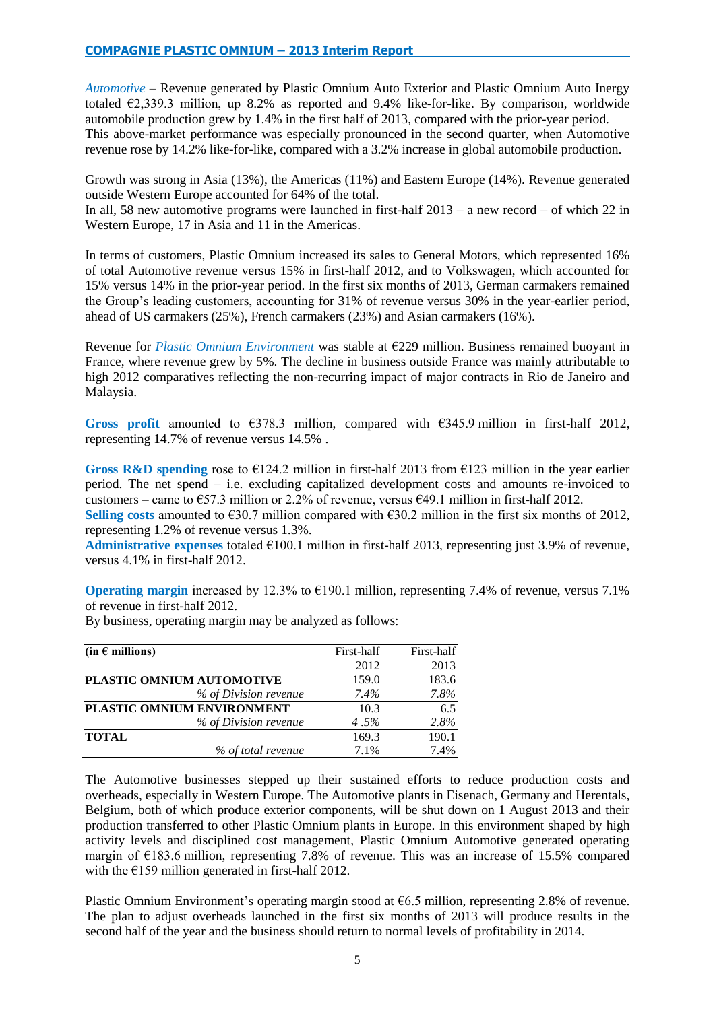*Automotive* – Revenue generated by Plastic Omnium Auto Exterior and Plastic Omnium Auto Inergy totaled  $\epsilon$ 2,339.3 million, up 8.2% as reported and 9.4% like-for-like. By comparison, worldwide automobile production grew by 1.4% in the first half of 2013, compared with the prior-year period. This above-market performance was especially pronounced in the second quarter, when Automotive revenue rose by 14.2% like-for-like, compared with a 3.2% increase in global automobile production.

Growth was strong in Asia (13%), the Americas (11%) and Eastern Europe (14%). Revenue generated outside Western Europe accounted for 64% of the total.

In all, 58 new automotive programs were launched in first-half 2013 – a new record – of which 22 in Western Europe, 17 in Asia and 11 in the Americas.

In terms of customers, Plastic Omnium increased its sales to General Motors, which represented 16% of total Automotive revenue versus 15% in first-half 2012, and to Volkswagen, which accounted for 15% versus 14% in the prior-year period. In the first six months of 2013, German carmakers remained the Group's leading customers, accounting for 31% of revenue versus 30% in the year-earlier period, ahead of US carmakers (25%), French carmakers (23%) and Asian carmakers (16%).

Revenue for *Plastic Omnium Environment* was stable at €229 million. Business remained buoyant in France, where revenue grew by 5%. The decline in business outside France was mainly attributable to high 2012 comparatives reflecting the non-recurring impact of major contracts in Rio de Janeiro and Malaysia.

Gross profit amounted to  $\epsilon$ 378.3 million, compared with  $\epsilon$ 345.9 million in first-half 2012, representing 14.7% of revenue versus 14.5% .

**Gross R&D spending** rose to  $\epsilon$ 124.2 million in first-half 2013 from  $\epsilon$ 123 million in the year earlier period. The net spend – i.e. excluding capitalized development costs and amounts re-invoiced to customers – came to  $\epsilon$ 57.3 million or 2.2% of revenue, versus  $\epsilon$ 49.1 million in first-half 2012.

Selling costs amounted to €30.7 million compared with  $€30.2$  million in the first six months of 2012, representing 1.2% of revenue versus 1.3%.

**Administrative expenses** totaled €100.1 million in first-half 2013, representing just 3.9% of revenue, versus 4.1% in first-half 2012.

**Operating margin** increased by 12.3% to €190.1 million, representing 7.4% of revenue, versus 7.1% of revenue in first-half 2012.

By business, operating margin may be analyzed as follows:

| (in $\epsilon$ millions)   | First-half | First-half |
|----------------------------|------------|------------|
|                            | 2012       | 2013       |
| PLASTIC OMNIUM AUTOMOTIVE  | 159.0      | 183.6      |
| % of Division revenue      | 7.4%       | 7.8%       |
| PLASTIC OMNIUM ENVIRONMENT | 10.3       | 6.5        |
| % of Division revenue      | 4.5%       | 2.8%       |
| <b>TOTAL</b>               | 169.3      | 190.1      |
| % of total revenue         | 7.1%       | 7.4%       |

The Automotive businesses stepped up their sustained efforts to reduce production costs and overheads, especially in Western Europe. The Automotive plants in Eisenach, Germany and Herentals, Belgium, both of which produce exterior components, will be shut down on 1 August 2013 and their production transferred to other Plastic Omnium plants in Europe. In this environment shaped by high activity levels and disciplined cost management, Plastic Omnium Automotive generated operating margin of €183.6 million, representing 7.8% of revenue. This was an increase of 15.5% compared with the  $E$ 159 million generated in first-half 2012.

Plastic Omnium Environment's operating margin stood at  $66.5$  million, representing 2.8% of revenue. The plan to adjust overheads launched in the first six months of 2013 will produce results in the second half of the year and the business should return to normal levels of profitability in 2014.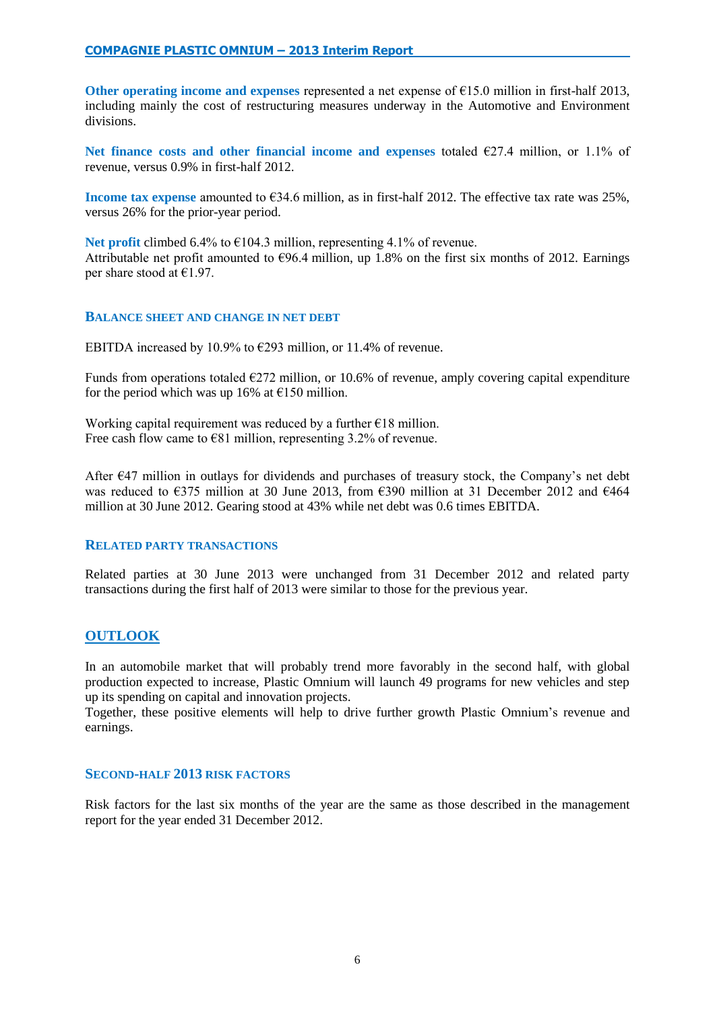Other operating income and expenses represented a net expense of  $\epsilon$ 15.0 million in first-half 2013, including mainly the cost of restructuring measures underway in the Automotive and Environment divisions.

Net finance costs and other financial income and expenses totaled  $\epsilon$ 27.4 million, or 1.1% of revenue, versus 0.9% in first-half 2012.

**Income tax expense** amounted to €34.6 million, as in first-half 2012. The effective tax rate was 25%, versus 26% for the prior-year period.

**Net profit** climbed 6.4% to  $\epsilon$ 104.3 million, representing 4.1% of revenue. Attributable net profit amounted to  $\epsilon$ 96.4 million, up 1.8% on the first six months of 2012. Earnings per share stood at  $€1.97$ .

# **BALANCE SHEET AND CHANGE IN NET DEBT**

EBITDA increased by 10.9% to  $\epsilon$ 293 million, or 11.4% of revenue.

Funds from operations totaled  $E272$  million, or 10.6% of revenue, amply covering capital expenditure for the period which was up 16% at  $E$ 150 million.

Working capital requirement was reduced by a further  $E18$  million. Free cash flow came to  $\epsilon$ 81 million, representing 3.2% of revenue.

After €47 million in outlays for dividends and purchases of treasury stock, the Company's net debt was reduced to  $\epsilon$ 375 million at 30 June 2013, from  $\epsilon$ 390 million at 31 December 2012 and  $\epsilon$ 464 million at 30 June 2012. Gearing stood at 43% while net debt was 0.6 times EBITDA.

# **RELATED PARTY TRANSACTIONS**

Related parties at 30 June 2013 were unchanged from 31 December 2012 and related party transactions during the first half of 2013 were similar to those for the previous year.

# **OUTLOOK**

In an automobile market that will probably trend more favorably in the second half, with global production expected to increase, Plastic Omnium will launch 49 programs for new vehicles and step up its spending on capital and innovation projects.

Together, these positive elements will help to drive further growth Plastic Omnium's revenue and earnings.

# **SECOND-HALF 2013 RISK FACTORS**

Risk factors for the last six months of the year are the same as those described in the management report for the year ended 31 December 2012.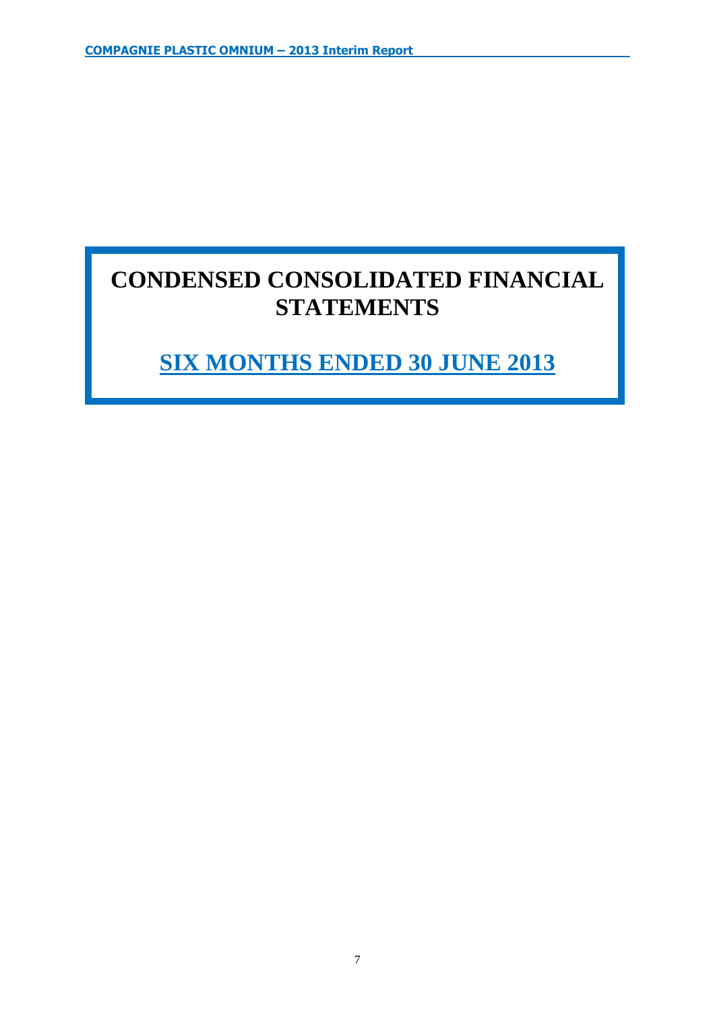# **CONDENSED CONSOLIDATED FINANCIAL STATEMENTS**

# **SIX MONTHS ENDED 30 JUNE 2013**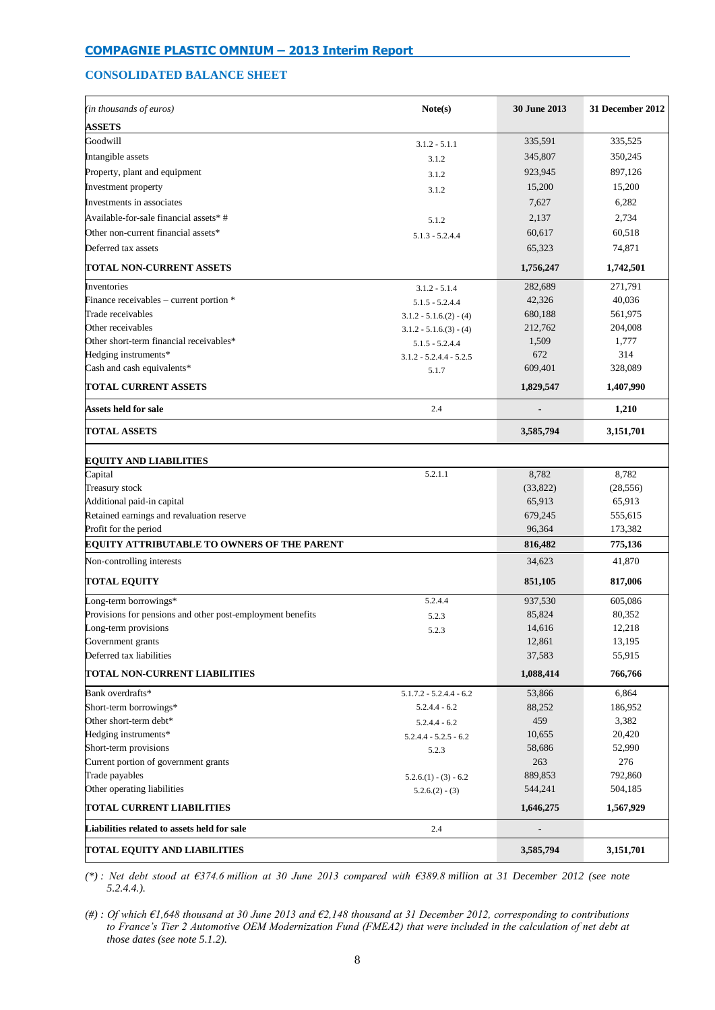# **CONSOLIDATED BALANCE SHEET**

| (in thousands of euros)                                    | Note(s)                   | 30 June 2013 | 31 December 2012 |
|------------------------------------------------------------|---------------------------|--------------|------------------|
| <b>ASSETS</b>                                              |                           |              |                  |
| Goodwill                                                   | $3.1.2 - 5.1.1$           | 335,591      | 335,525          |
| Intangible assets                                          | 3.1.2                     | 345,807      | 350,245          |
| Property, plant and equipment                              | 3.1.2                     | 923,945      | 897,126          |
| Investment property                                        | 3.1.2                     | 15,200       | 15,200           |
| Investments in associates                                  |                           | 7,627        | 6,282            |
| Available-for-sale financial assets*#                      |                           | 2,137        | 2,734            |
| Other non-current financial assets*                        | 5.1.2                     | 60,617       | 60,518           |
|                                                            | $5.1.3 - 5.2.4.4$         |              |                  |
| Deferred tax assets                                        |                           | 65,323       | 74,871           |
| TOTAL NON-CURRENT ASSETS                                   |                           | 1,756,247    | 1,742,501        |
| Inventories                                                | $3.1.2 - 5.1.4$           | 282,689      | 271,791          |
| Finance receivables - current portion *                    | $5.1.5 - 5.2.4.4$         | 42,326       | 40,036           |
| Trade receivables                                          | $3.1.2 - 5.1.6(2) - (4)$  | 680,188      | 561,975          |
| Other receivables                                          | $3.1.2 - 5.1.6(3) - (4)$  | 212,762      | 204,008          |
| Other short-term financial receivables*                    | $5.1.5 - 5.2.4.4$         | 1,509        | 1,777            |
| Hedging instruments*                                       | $3.1.2 - 5.2.4.4 - 5.2.5$ | 672          | 314              |
| Cash and cash equivalents*                                 | 5.1.7                     | 609,401      | 328,089          |
| <b>TOTAL CURRENT ASSETS</b>                                |                           | 1,829,547    | 1,407,990        |
| Assets held for sale                                       | 2.4                       |              | 1,210            |
| <b>TOTAL ASSETS</b>                                        |                           | 3,585,794    | 3,151,701        |
| <b>EQUITY AND LIABILITIES</b>                              |                           |              |                  |
| Capital                                                    | 5.2.1.1                   | 8,782        | 8,782            |
| Treasury stock                                             |                           | (33,822)     | (28, 556)        |
| Additional paid-in capital                                 |                           | 65,913       | 65,913           |
| Retained earnings and revaluation reserve                  |                           | 679,245      | 555,615          |
| Profit for the period                                      |                           | 96,364       | 173,382          |
| <b>EQUITY ATTRIBUTABLE TO OWNERS OF THE PARENT</b>         |                           | 816,482      | 775,136          |
| Non-controlling interests                                  |                           | 34,623       | 41,870           |
| <b>TOTAL EQUITY</b>                                        |                           | 851,105      | 817,006          |
| Long-term borrowings*                                      | 5.2.4.4                   | 937,530      | 605,086          |
| Provisions for pensions and other post-employment benefits | 5.2.3                     | 85,824       | 80,352           |
| Long-term provisions                                       | 5.2.3                     | 14,616       | 12,218           |
| Government grants                                          |                           | 12,861       | 13,195           |
| Deferred tax liabilities                                   |                           | 37,583       | 55,915           |
| TOTAL NON-CURRENT LIABILITIES                              |                           | 1,088,414    | 766,766          |
| Bank overdrafts*                                           | $5.1.7.2 - 5.2.4.4 - 6.2$ | 53,866       | 6,864            |
| Short-term borrowings*                                     | $5.2.4.4 - 6.2$           | 88,252       | 186,952          |
| Other short-term debt*                                     | $5.2.4.4 - 6.2$           | 459          | 3,382            |
| Hedging instruments*                                       | $5.2.4.4 - 5.2.5 - 6.2$   | 10,655       | 20,420           |
| Short-term provisions                                      | 5.2.3                     | 58,686       | 52,990           |
| Current portion of government grants                       |                           | 263          | 276              |
| Trade payables                                             | $5.2.6(1) - (3) - 6.2$    | 889,853      | 792,860          |
| Other operating liabilities                                | $5.2.6(2) - (3)$          | 544,241      | 504,185          |
| TOTAL CURRENT LIABILITIES                                  |                           | 1,646,275    | 1,567,929        |
| Liabilities related to assets held for sale                | 2.4                       |              |                  |
| TOTAL EQUITY AND LIABILITIES                               |                           | 3,585,794    | 3,151,701        |

*(\*) : Net debt stood at €374.6 million at 30 June 2013 compared with €389.8 million at 31 December 2012 (see note 5.2.4.4.).*

*(#) : Of which €1,648 thousand at 30 June 2013 and €2,148 thousand at 31 December 2012, corresponding to contributions to France's Tier 2 Automotive OEM Modernization Fund (FMEA2) that were included in the calculation of net debt at those dates (see note 5.1.2).*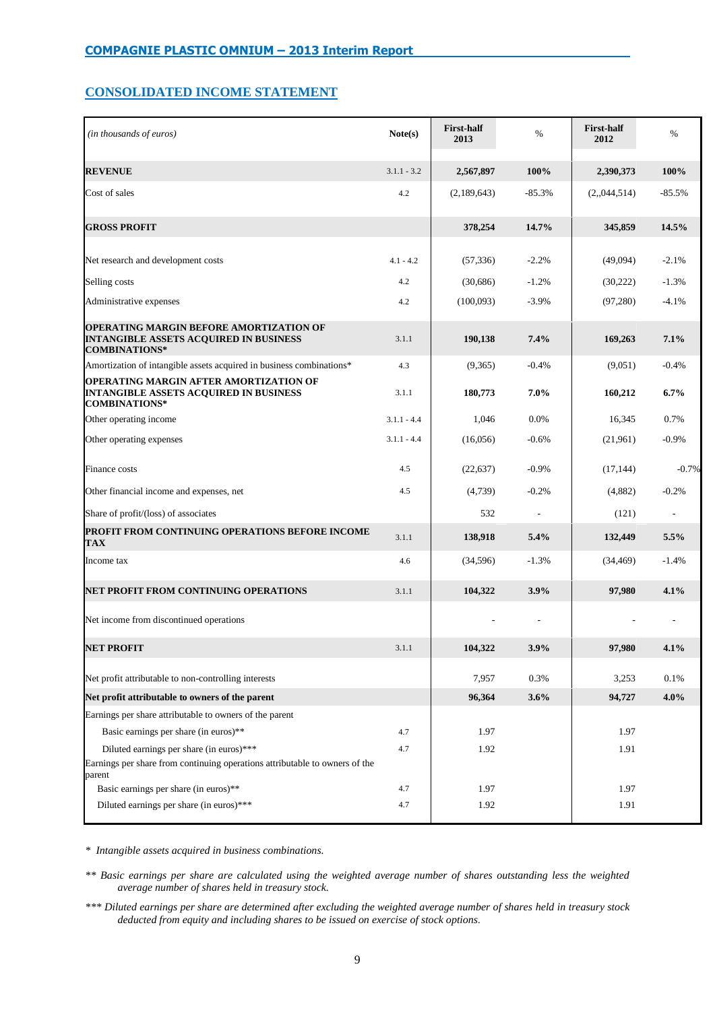# **CONSOLIDATED INCOME STATEMENT**

| (in thousands of euros)                                                                                                 | Note(s)       | <b>First-half</b><br>2013 | $\%$     | <b>First-half</b><br>2012 | $\%$     |
|-------------------------------------------------------------------------------------------------------------------------|---------------|---------------------------|----------|---------------------------|----------|
| <b>REVENUE</b>                                                                                                          | $3.1.1 - 3.2$ | 2,567,897                 | 100%     | 2,390,373                 | 100%     |
| Cost of sales                                                                                                           | 4.2           | (2,189,643)               | $-85.3%$ | (2, 044, 514)             | $-85.5%$ |
| <b>GROSS PROFIT</b>                                                                                                     |               | 378,254                   | 14.7%    | 345,859                   | 14.5%    |
| Net research and development costs                                                                                      | $4.1 - 4.2$   | (57, 336)                 | $-2.2%$  | (49,094)                  | $-2.1%$  |
| Selling costs                                                                                                           | 4.2           | (30,686)                  | $-1.2%$  | (30,222)                  | $-1.3%$  |
| Administrative expenses                                                                                                 | 4.2           | (100,093)                 | $-3.9%$  | (97,280)                  | $-4.1%$  |
| <b>OPERATING MARGIN BEFORE AMORTIZATION OF</b><br><b>INTANGIBLE ASSETS ACQUIRED IN BUSINESS</b><br><b>COMBINATIONS*</b> | 3.1.1         | 190,138                   | 7.4%     | 169,263                   | 7.1%     |
| Amortization of intangible assets acquired in business combinations*                                                    | 4.3           | (9,365)                   | $-0.4%$  | (9,051)                   | $-0.4%$  |
| OPERATING MARGIN AFTER AMORTIZATION OF<br><b>INTANGIBLE ASSETS ACOUIRED IN BUSINESS</b><br><b>COMBINATIONS*</b>         | 3.1.1         | 180,773                   | 7.0%     | 160,212                   | $6.7\%$  |
| Other operating income                                                                                                  | $3.1.1 - 4.4$ | 1,046                     | 0.0%     | 16,345                    | 0.7%     |
| Other operating expenses                                                                                                | $3.1.1 - 4.4$ | (16,056)                  | $-0.6%$  | (21,961)                  | $-0.9%$  |
| Finance costs                                                                                                           | 4.5           | (22, 637)                 | $-0.9%$  | (17, 144)                 | $-0.7%$  |
| Other financial income and expenses, net                                                                                | 4.5           | (4,739)                   | $-0.2%$  | (4,882)                   | $-0.2%$  |
| Share of profit/(loss) of associates                                                                                    |               | 532                       |          | (121)                     |          |
| PROFIT FROM CONTINUING OPERATIONS BEFORE INCOME<br>TAX                                                                  | 3.1.1         | 138,918                   | 5.4%     | 132,449                   | 5.5%     |
| Income tax                                                                                                              | 4.6           | (34, 596)                 | $-1.3%$  | (34, 469)                 | $-1.4%$  |
| NET PROFIT FROM CONTINUING OPERATIONS                                                                                   | 3.1.1         | 104,322                   | 3.9%     | 97,980                    | 4.1%     |
| Net income from discontinued operations                                                                                 |               |                           |          |                           |          |
| <b>NET PROFIT</b>                                                                                                       | 3.1.1         | 104,322                   | 3.9%     | 97,980                    | 4.1%     |
| Net profit attributable to non-controlling interests                                                                    |               | 7,957                     | 0.3%     | 3,253                     | 0.1%     |
| Net profit attributable to owners of the parent                                                                         |               | 96,364                    | 3.6%     | 94,727                    | 4.0%     |
| Earnings per share attributable to owners of the parent                                                                 |               |                           |          |                           |          |
| Basic earnings per share (in euros)**                                                                                   | 4.7           | 1.97                      |          | 1.97                      |          |
| Diluted earnings per share (in euros)***                                                                                | 4.7           | 1.92                      |          | 1.91                      |          |
| Earnings per share from continuing operations attributable to owners of the<br>parent                                   |               |                           |          |                           |          |
| Basic earnings per share (in euros)**                                                                                   | 4.7           | 1.97                      |          | 1.97                      |          |
| Diluted earnings per share (in euros)***                                                                                | 4.7           | 1.92                      |          | 1.91                      |          |

*\* Intangible assets acquired in business combinations.*

*\*\* Basic earnings per share are calculated using the weighted average number of shares outstanding less the weighted average number of shares held in treasury stock.*

*\*\*\* Diluted earnings per share are determined after excluding the weighted average number of shares held in treasury stock deducted from equity and including shares to be issued on exercise of stock options***.**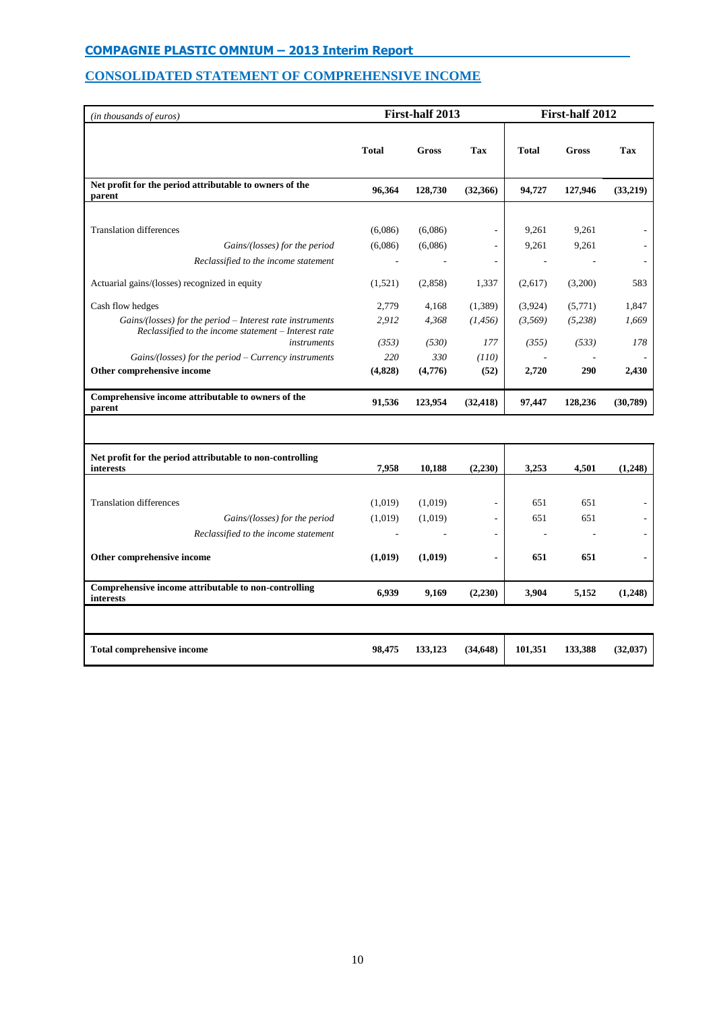# **CONSOLIDATED STATEMENT OF COMPREHENSIVE INCOME**

| (in thousands of euros)                                                                                           |              | First-half 2013 |                          | First-half 2012 |              |          |  |
|-------------------------------------------------------------------------------------------------------------------|--------------|-----------------|--------------------------|-----------------|--------------|----------|--|
|                                                                                                                   | <b>Total</b> | <b>Gross</b>    | Tax                      | <b>Total</b>    | <b>Gross</b> | Tax      |  |
| Net profit for the period attributable to owners of the<br>parent                                                 | 96,364       | 128,730         | (32,366)                 | 94,727          | 127,946      | (33,219) |  |
|                                                                                                                   |              |                 |                          |                 |              |          |  |
| <b>Translation differences</b>                                                                                    | (6,086)      | (6,086)         | $\overline{\phantom{a}}$ | 9,261           | 9,261        |          |  |
| Gains/(losses) for the period                                                                                     | (6,086)      | (6,086)         | ÷.                       | 9,261           | 9,261        |          |  |
| Reclassified to the income statement                                                                              |              |                 |                          |                 |              |          |  |
| Actuarial gains/(losses) recognized in equity                                                                     | (1,521)      | (2,858)         | 1,337                    | (2,617)         | (3,200)      | 583      |  |
| Cash flow hedges                                                                                                  | 2,779        | 4,168           | (1,389)                  | (3,924)         | (5,771)      | 1,847    |  |
| Gains/(losses) for the period – Interest rate instruments<br>Reclassified to the income statement - Interest rate | 2,912        | 4,368           | (1, 456)                 | (3,569)         | (5,238)      | 1,669    |  |
| instruments                                                                                                       | (353)        | (530)           | 177                      | (355)           | (533)        | 178      |  |
| Gains/(losses) for the period - Currency instruments                                                              | 220          | 330             | (110)                    |                 |              |          |  |
| Other comprehensive income                                                                                        | (4,828)      | (4,776)         | (52)                     | 2,720           | 290          | 2,430    |  |
| Comprehensive income attributable to owners of the<br>parent                                                      | 91,536       | 123,954         | (32, 418)                | 97,447          | 128,236      | (30,789) |  |
|                                                                                                                   |              |                 |                          |                 |              |          |  |
| Net profit for the period attributable to non-controlling<br>interests                                            | 7,958        | 10,188          | (2,230)                  | 3,253           | 4,501        | (1,248)  |  |
|                                                                                                                   |              |                 |                          |                 |              |          |  |
| <b>Translation differences</b>                                                                                    | (1,019)      | (1,019)         | ٠                        | 651             | 651          |          |  |
|                                                                                                                   | (1,019)      | (1,019)         | $\overline{\phantom{a}}$ | 651             | 651          |          |  |
|                                                                                                                   |              |                 |                          |                 |              |          |  |
| Gains/(losses) for the period<br>Reclassified to the income statement                                             |              |                 | $\overline{\phantom{a}}$ |                 |              |          |  |
| Other comprehensive income                                                                                        | (1,019)      | (1,019)         | $\blacksquare$           | 651             | 651          |          |  |

| Total comprehensive income | 98,475 | 133,123 | (34.648) | 101.351 | 133.388 | (32.037) |
|----------------------------|--------|---------|----------|---------|---------|----------|
|----------------------------|--------|---------|----------|---------|---------|----------|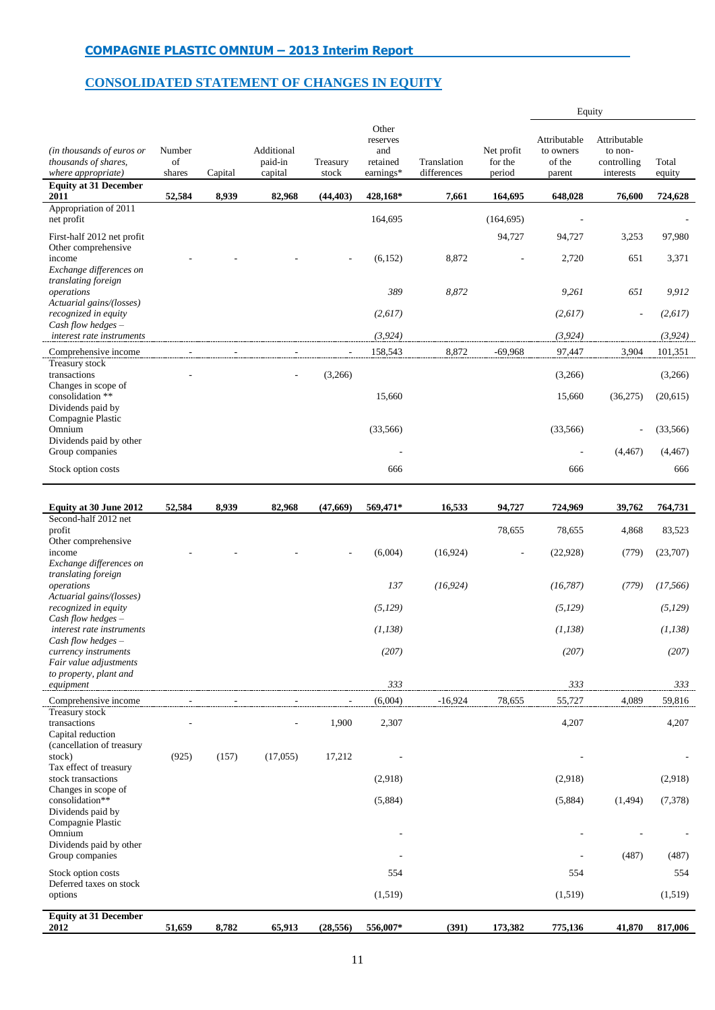# **CONSOLIDATED STATEMENT OF CHANGES IN EQUITY**

|                                                                         |                        |         |                                  |                   |                                                   |                            |                                 | Equity                                        |                                                     |                 |
|-------------------------------------------------------------------------|------------------------|---------|----------------------------------|-------------------|---------------------------------------------------|----------------------------|---------------------------------|-----------------------------------------------|-----------------------------------------------------|-----------------|
| (in thousands of euros or<br>thousands of shares,<br>where appropriate) | Number<br>of<br>shares | Capital | Additional<br>paid-in<br>capital | Treasury<br>stock | Other<br>reserves<br>and<br>retained<br>earnings* | Translation<br>differences | Net profit<br>for the<br>period | Attributable<br>to owners<br>of the<br>parent | Attributable<br>to non-<br>controlling<br>interests | Total<br>equity |
| <b>Equity at 31 December</b><br>2011                                    | 52,584                 | 8,939   | 82,968                           | (44, 403)         | 428,168*                                          | 7,661                      | 164,695                         | 648,028                                       | 76,600                                              | 724,628         |
| Appropriation of 2011<br>net profit                                     |                        |         |                                  |                   | 164,695                                           |                            | (164, 695)                      |                                               |                                                     |                 |
| First-half 2012 net profit                                              |                        |         |                                  |                   |                                                   |                            | 94,727                          | 94,727                                        | 3,253                                               | 97,980          |
| Other comprehensive<br>income<br>Exchange differences on                |                        |         |                                  |                   | (6, 152)                                          | 8,872                      |                                 | 2,720                                         | 651                                                 | 3,371           |
| translating foreign<br>operations<br>Actuarial gains/(losses)           |                        |         |                                  |                   | 389                                               | 8,872                      |                                 | 9,261                                         | 651                                                 | 9,912           |
| recognized in equity<br>Cash flow hedges $-$                            |                        |         |                                  |                   | (2,617)                                           |                            |                                 | (2,617)                                       | $\overline{a}$                                      | (2,617)         |
| interest rate instruments                                               |                        |         |                                  |                   | (3, 924)                                          |                            |                                 | (3, 924)                                      |                                                     | (3, 924)        |
| Comprehensive income<br>Treasury stock                                  |                        |         |                                  |                   | 158,543                                           | 8,872                      | $-69,968$                       | 97,447                                        | 3,904                                               | 101,351         |
| transactions<br>Changes in scope of                                     |                        |         |                                  | (3,266)           |                                                   |                            |                                 | (3,266)                                       |                                                     | (3,266)         |
| consolidation **<br>Dividends paid by<br>Compagnie Plastic              |                        |         |                                  |                   | 15,660                                            |                            |                                 | 15,660                                        | (36,275)                                            | (20,615)        |
| Omnium                                                                  |                        |         |                                  |                   | (33, 566)                                         |                            |                                 | (33, 566)                                     | $\overline{a}$                                      | (33,566)        |
| Dividends paid by other<br>Group companies                              |                        |         |                                  |                   |                                                   |                            |                                 |                                               | (4, 467)                                            | (4, 467)        |
| Stock option costs                                                      |                        |         |                                  |                   | 666                                               |                            |                                 | 666                                           |                                                     | 666             |
|                                                                         |                        |         |                                  |                   |                                                   |                            |                                 |                                               |                                                     |                 |
| Equity at 30 June 2012<br>Second-half 2012 net                          | 52,584                 | 8,939   | 82,968                           | (47,669)          | 569,471*                                          | 16,533                     | 94,727                          | 724,969                                       | 39,762                                              | 764,731         |
| profit<br>Other comprehensive                                           |                        |         |                                  |                   |                                                   |                            | 78,655                          | 78,655                                        | 4,868                                               | 83,523          |
| income<br>Exchange differences on                                       |                        |         |                                  |                   | (6,004)                                           | (16, 924)                  |                                 | (22, 928)                                     | (779)                                               | (23,707)        |
| translating foreign<br>operations                                       |                        |         |                                  |                   | 137                                               | (16, 924)                  |                                 | (16, 787)                                     | (779)                                               | (17, 566)       |
| Actuarial gains/(losses)<br>recognized in equity                        |                        |         |                                  |                   | (5, 129)                                          |                            |                                 | (5, 129)                                      |                                                     | (5,129)         |
| Cash flow hedges $-$<br>interest rate instruments                       |                        |         |                                  |                   | (1,138)                                           |                            |                                 | (1,138)                                       |                                                     | (1, 138)        |
| Cash flow hedges $-$<br>currency instruments                            |                        |         |                                  |                   | (207)                                             |                            |                                 | (207)                                         |                                                     | (207)           |
| Fair value adjustments<br>to property, plant and                        |                        |         |                                  |                   |                                                   |                            |                                 |                                               |                                                     |                 |
| equipment                                                               |                        |         |                                  |                   | 333                                               |                            |                                 | 333                                           |                                                     | 333             |
| Comprehensive income<br>Treasury stock                                  |                        |         |                                  |                   | (6,004)                                           | $-16,924$                  | 78,655                          | 55,727                                        | 4,089                                               | 59,816          |
| transactions<br>Capital reduction<br>(cancellation of treasury          |                        |         |                                  | 1,900             | 2,307                                             |                            |                                 | 4,207                                         |                                                     | 4,207           |
| stock)<br>Tax effect of treasury                                        | (925)                  | (157)   | (17,055)                         | 17,212            |                                                   |                            |                                 |                                               |                                                     |                 |
| stock transactions                                                      |                        |         |                                  |                   | (2,918)                                           |                            |                                 | (2,918)                                       |                                                     | (2,918)         |
| Changes in scope of<br>consolidation**                                  |                        |         |                                  |                   | (5,884)                                           |                            |                                 | (5,884)                                       | (1,494)                                             | (7,378)         |
| Dividends paid by<br>Compagnie Plastic<br>Omnium                        |                        |         |                                  |                   |                                                   |                            |                                 |                                               |                                                     |                 |
| Dividends paid by other<br>Group companies                              |                        |         |                                  |                   |                                                   |                            |                                 |                                               | (487)                                               | (487)           |
| Stock option costs                                                      |                        |         |                                  |                   | 554                                               |                            |                                 | 554                                           |                                                     | 554             |
| Deferred taxes on stock<br>options                                      |                        |         |                                  |                   | (1, 519)                                          |                            |                                 | (1,519)                                       |                                                     | (1,519)         |
| <b>Equity at 31 December</b><br>2012                                    | 51,659                 | 8,782   | 65,913                           | (28, 556)         | 556,007*                                          | (391)                      | 173,382                         | 775,136                                       | 41,870                                              | 817,006         |
|                                                                         |                        |         |                                  |                   |                                                   |                            |                                 |                                               |                                                     |                 |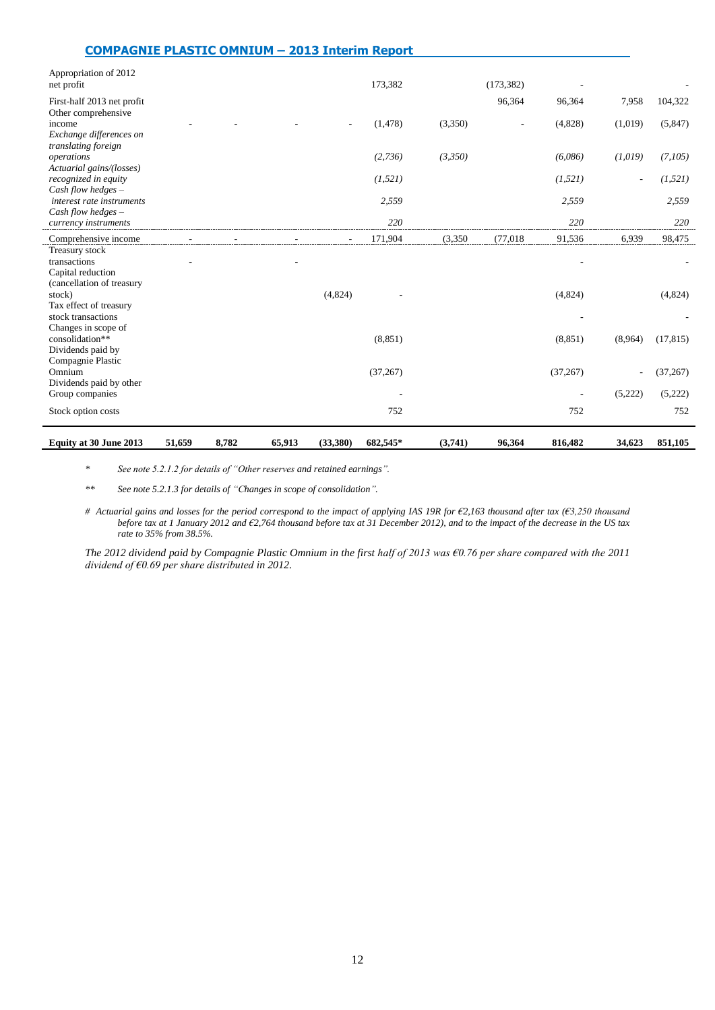| <b>COMPAGNIE PLASTIC OMNIUM - 2013 Interim Report</b>                               |        |       |        |          |           |         |            |           |         |           |
|-------------------------------------------------------------------------------------|--------|-------|--------|----------|-----------|---------|------------|-----------|---------|-----------|
| Appropriation of 2012<br>net profit                                                 |        |       |        |          | 173,382   |         | (173, 382) |           |         |           |
| First-half 2013 net profit<br>Other comprehensive                                   |        |       |        |          |           |         | 96,364     | 96,364    | 7,958   | 104,322   |
| income<br>Exchange differences on<br>translating foreign                            |        |       |        |          | (1, 478)  | (3,350) |            | (4,828)   | (1,019) | (5,847)   |
| operations<br>Actuarial gains/(losses)                                              |        |       |        |          | (2,736)   | (3,350) |            | (6,086)   | (1,019) | (7,105)   |
| recognized in equity<br>Cash flow hedges $-$                                        |        |       |        |          | (1, 521)  |         |            | (1, 521)  |         | (1, 521)  |
| interest rate instruments<br>Cash flow hedges -                                     |        |       |        |          | 2,559     |         |            | 2,559     |         | 2,559     |
| currency instruments                                                                |        |       |        |          | 220       |         |            | 220       |         | 220       |
| Comprehensive income                                                                |        |       |        |          | 171,904   | (3,350) | (77, 018)  | 91,536    | 6,939   | 98,475    |
| Treasury stock<br>transactions<br>Capital reduction                                 |        |       |        |          |           |         |            |           |         |           |
| (cancellation of treasury<br>stock)<br>Tax effect of treasury<br>stock transactions |        |       |        | (4,824)  |           |         |            | (4,824)   |         | (4,824)   |
| Changes in scope of<br>consolidation**<br>Dividends paid by                         |        |       |        |          | (8, 851)  |         |            | (8, 851)  | (8,964) | (17, 815) |
| Compagnie Plastic<br>Omnium                                                         |        |       |        |          | (37, 267) |         |            | (37, 267) | ä,      | (37, 267) |
| Dividends paid by other<br>Group companies                                          |        |       |        |          |           |         |            |           | (5,222) | (5,222)   |
| Stock option costs                                                                  |        |       |        |          | 752       |         |            | 752       |         | 752       |
| Equity at 30 June 2013                                                              | 51,659 | 8,782 | 65,913 | (33,380) | 682,545*  | (3,741) | 96,364     | 816,482   | 34,623  | 851,105   |

*\* See note 5.2.1.2 for details of "Other reserves and retained earnings".*

*\*\* See note 5.2.1.3 for details of "Changes in scope of consolidation".*

*# Actuarial gains and losses for the period correspond to the impact of applying IAS 19R for €2,163 thousand after tax (€3,250 thousand before tax at 1 January 2012 and €2,764 thousand before tax at 31 December 2012), and to the impact of the decrease in the US tax rate to 35% from 38.5%.*

*The 2012 dividend paid by Compagnie Plastic Omnium in the first half of 2013 was €0.76 per share compared with the 2011 dividend of €0.69 per share distributed in 2012.*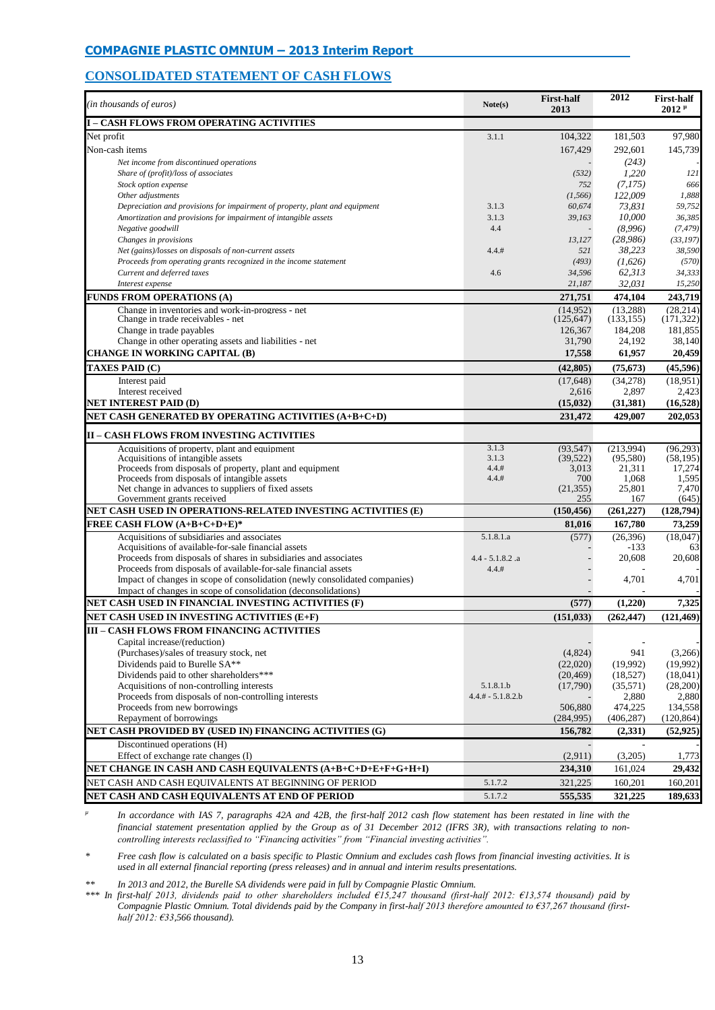# **CONSOLIDATED STATEMENT OF CASH FLOWS**

| (in thousands of euros)                                                                                                            | Note(s)                     | <b>First-half</b><br>2013 | 2012                  | <b>First-half</b><br>$2012$ <sup><math>\mu</math></sup> |
|------------------------------------------------------------------------------------------------------------------------------------|-----------------------------|---------------------------|-----------------------|---------------------------------------------------------|
| <b>I - CASH FLOWS FROM OPERATING ACTIVITIES</b>                                                                                    |                             |                           |                       |                                                         |
| Net profit                                                                                                                         | 3.1.1                       | 104,322                   | 181,503               | 97,980                                                  |
| Non-cash items                                                                                                                     |                             | 167,429                   | 292,601               | 145,739                                                 |
| Net income from discontinued operations                                                                                            |                             |                           | (243)                 |                                                         |
| Share of (profit)/loss of associates                                                                                               |                             | (532)                     | 1,220                 | 121                                                     |
| Stock option expense                                                                                                               |                             | 752                       | (7,175)               | 666                                                     |
| Other adjustments                                                                                                                  |                             | (1, 566)                  | 122,009               | 1,888                                                   |
| Depreciation and provisions for impairment of property, plant and equipment                                                        | 3.1.3                       | 60,674                    | 73,831                | 59,752                                                  |
| Amortization and provisions for impairment of intangible assets<br>Negative goodwill                                               | 3.1.3<br>4.4                | 39,163                    | 10,000<br>(8,996)     | 36,385<br>(7, 479)                                      |
| Changes in provisions                                                                                                              |                             | 13,127                    | (28,986)              | (33, 197)                                               |
| Net (gains)/losses on disposals of non-current assets                                                                              | 4.4.#                       | 521                       | 38,223                | 38,590                                                  |
| Proceeds from operating grants recognized in the income statement                                                                  |                             | (493)                     | (1,626)               | (570)                                                   |
| Current and deferred taxes                                                                                                         | 4.6                         | 34,596                    | 62,313                | 34,333                                                  |
| Interest expense                                                                                                                   |                             | 21,187                    | 32,031                | 15,250                                                  |
| <b>FUNDS FROM OPERATIONS (A)</b>                                                                                                   |                             | 271,751                   | 474,104               | 243,719                                                 |
| Change in inventories and work-in-progress - net                                                                                   |                             | (14,952)                  | (13, 288)             | (28.214)                                                |
| Change in trade receivables - net                                                                                                  |                             | (125, 647)                | (133, 155)            | (171, 322)                                              |
| Change in trade payables                                                                                                           |                             | 126,367                   | 184,208               | 181.855                                                 |
| Change in other operating assets and liabilities - net                                                                             |                             | 31,790                    | 24,192                | 38,140                                                  |
| <b>CHANGE IN WORKING CAPITAL (B)</b>                                                                                               |                             | 17,558                    | 61,957                | 20,459                                                  |
| <b>TAXES PAID (C)</b>                                                                                                              |                             | (42, 805)                 | (75, 673)             | (45,596)                                                |
| Interest paid                                                                                                                      |                             | (17,648)                  | (34,278)              | (18,951)                                                |
| Interest received<br><b>NET INTEREST PAID (D)</b>                                                                                  |                             | 2,616<br>(15,032)         | 2,897                 | 2,423                                                   |
| NET CASH GENERATED BY OPERATING ACTIVITIES (A+B+C+D)                                                                               |                             | 231,472                   | (31, 381)<br>429,007  | (16, 528)<br>202,053                                    |
|                                                                                                                                    |                             |                           |                       |                                                         |
| <b>II – CASH FLOWS FROM INVESTING ACTIVITIES</b>                                                                                   |                             |                           |                       |                                                         |
| Acquisitions of property, plant and equipment                                                                                      | 3.1.3<br>3.1.3              | (93, 547)                 | (213,994)             | (96, 293)                                               |
| Acquisitions of intangible assets<br>Proceeds from disposals of property, plant and equipment                                      | 4.4.#                       | (39, 522)<br>3,013        | (95,580)<br>21,311    | (58, 195)<br>17,274                                     |
| Proceeds from disposals of intangible assets                                                                                       | 4.4.#                       | 700                       | 1,068                 | 1,595                                                   |
| Net change in advances to suppliers of fixed assets                                                                                |                             | (21, 355)                 | 25,801                | 7,470                                                   |
| Government grants received                                                                                                         |                             | 255                       | 167                   | (645)                                                   |
| NET CASH USED IN OPERATIONS-RELATED INVESTING ACTIVITIES (E)                                                                       |                             | (150, 456)                | (261, 227)            | (128,794)                                               |
| <b>FREE CASH FLOW (A+B+C+D+E)*</b>                                                                                                 |                             | 81,016                    | 167,780               | 73,259                                                  |
| Acquisitions of subsidiaries and associates                                                                                        | 5.1.8.1.a                   | (577)                     | (26,396)              | (18,047)                                                |
| Acquisitions of available-for-sale financial assets                                                                                |                             |                           | -133                  | 63                                                      |
| Proceeds from disposals of shares in subsidiaries and associates<br>Proceeds from disposals of available-for-sale financial assets | $4.4 - 5.1.8.2$ .a<br>4.4.# |                           | 20,608                | 20,608                                                  |
| Impact of changes in scope of consolidation (newly consolidated companies)                                                         |                             |                           | 4,701                 | 4,701                                                   |
| Impact of changes in scope of consolidation (deconsolidations)                                                                     |                             |                           |                       |                                                         |
| NET CASH USED IN FINANCIAL INVESTING ACTIVITIES (F)                                                                                |                             | (577)                     | (1,220)               | 7,325                                                   |
| NET CASH USED IN INVESTING ACTIVITIES (E+F)                                                                                        |                             | (151, 033)                | (262, 447)            | (121, 469)                                              |
| <b>III - CASH FLOWS FROM FINANCING ACTIVITIES</b>                                                                                  |                             |                           |                       |                                                         |
| Capital increase/(reduction)                                                                                                       |                             |                           |                       |                                                         |
| (Purchases)/sales of treasury stock, net                                                                                           |                             | (4,824)                   | 941                   | (3,266)                                                 |
| Dividends paid to Burelle SA**                                                                                                     |                             | (22,020)                  | (19,992)              | (19,992)                                                |
| Dividends paid to other shareholders***                                                                                            |                             | (20, 469)                 | (18,527)              | (18,041)                                                |
| Acquisitions of non-controlling interests                                                                                          | 5.1.8.1.b                   | (17,790)                  | (35,571)              | (28,200)                                                |
| Proceeds from disposals of non-controlling interests                                                                               | $4.4.# - 5.1.8.2.b$         |                           | 2,880                 | 2,880                                                   |
| Proceeds from new borrowings<br>Repayment of borrowings                                                                            |                             | 506,880<br>(284,995)      | 474,225<br>(406, 287) | 134,558<br>(120, 864)                                   |
| NET CASH PROVIDED BY (USED IN) FINANCING ACTIVITIES (G)                                                                            |                             | 156,782                   | (2,331)               | (52, 925)                                               |
| Discontinued operations (H)                                                                                                        |                             |                           |                       |                                                         |
| Effect of exchange rate changes (I)                                                                                                |                             | (2,911)                   | (3,205)               | 1,773                                                   |
| NET CHANGE IN CASH AND CASH EQUIVALENTS (A+B+C+D+E+F+G+H+I)                                                                        |                             | 234,310                   | 161,024               | 29,432                                                  |
| NET CASH AND CASH EQUIVALENTS AT BEGINNING OF PERIOD                                                                               | 5.1.7.2                     | 321,225                   | 160,201               | 160,201                                                 |
| NET CASH AND CASH EQUIVALENTS AT END OF PERIOD                                                                                     | 5.1.7.2                     | 555,535                   | 321,225               | 189,633                                                 |

*µ In accordance with IAS 7, paragraphs 42A and 42B, the first-half 2012 cash flow statement has been restated in line with the financial statement presentation applied by the Group as of 31 December 2012 (IFRS 3R), with transactions relating to noncontrolling interests reclassified to "Financing activities" from "Financial investing activities".*

*\* Free cash flow is calculated on a basis specific to Plastic Omnium and excludes cash flows from financial investing activities. It is used in all external financial reporting (press releases) and in annual and interim results presentations.*

*\*\* In 2013 and 2012, the Burelle SA dividends were paid in full by Compagnie Plastic Omnium.*

*\*\*\* In first-half 2013, dividends paid to other shareholders included €15,247 thousand (first-half 2012: €13,574 thousand) paid by Compagnie Plastic Omnium. Total dividends paid by the Company in first-half 2013 therefore amounted to €37,267 thousand (firsthalf 2012: €33,566 thousand).*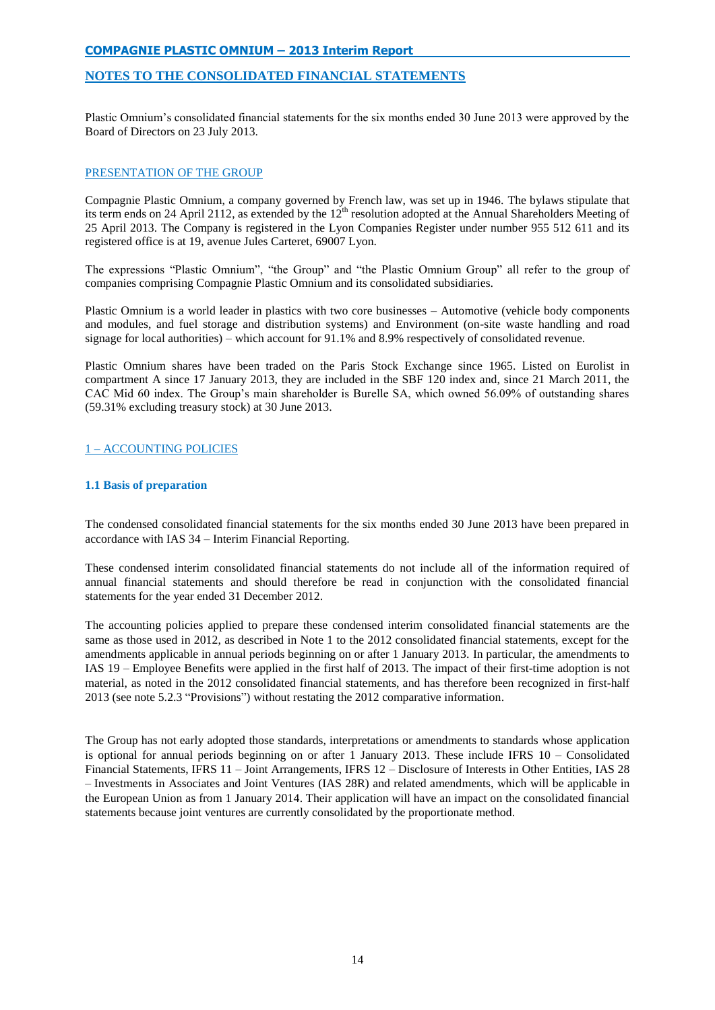# **NOTES TO THE CONSOLIDATED FINANCIAL STATEMENTS**

Plastic Omnium's consolidated financial statements for the six months ended 30 June 2013 were approved by the Board of Directors on 23 July 2013.

# PRESENTATION OF THE GROUP

Compagnie Plastic Omnium, a company governed by French law, was set up in 1946. The bylaws stipulate that its term ends on 24 April 2112, as extended by the 12<sup>th</sup> resolution adopted at the Annual Shareholders Meeting of 25 April 2013. The Company is registered in the Lyon Companies Register under number 955 512 611 and its registered office is at 19, avenue Jules Carteret, 69007 Lyon.

The expressions "Plastic Omnium", "the Group" and "the Plastic Omnium Group" all refer to the group of companies comprising Compagnie Plastic Omnium and its consolidated subsidiaries.

Plastic Omnium is a world leader in plastics with two core businesses – Automotive (vehicle body components and modules, and fuel storage and distribution systems) and Environment (on-site waste handling and road signage for local authorities) – which account for 91.1% and 8.9% respectively of consolidated revenue.

Plastic Omnium shares have been traded on the Paris Stock Exchange since 1965. Listed on Eurolist in compartment A since 17 January 2013, they are included in the SBF 120 index and, since 21 March 2011, the CAC Mid 60 index. The Group's main shareholder is Burelle SA, which owned 56.09% of outstanding shares (59.31% excluding treasury stock) at 30 June 2013.

# 1 – ACCOUNTING POLICIES

## **1.1 Basis of preparation**

The condensed consolidated financial statements for the six months ended 30 June 2013 have been prepared in accordance with IAS 34 – Interim Financial Reporting.

These condensed interim consolidated financial statements do not include all of the information required of annual financial statements and should therefore be read in conjunction with the consolidated financial statements for the year ended 31 December 2012.

The accounting policies applied to prepare these condensed interim consolidated financial statements are the same as those used in 2012, as described in Note 1 to the 2012 consolidated financial statements, except for the amendments applicable in annual periods beginning on or after 1 January 2013. In particular, the amendments to IAS 19 – Employee Benefits were applied in the first half of 2013. The impact of their first-time adoption is not material, as noted in the 2012 consolidated financial statements, and has therefore been recognized in first-half 2013 (see note 5.2.3 "Provisions") without restating the 2012 comparative information.

The Group has not early adopted those standards, interpretations or amendments to standards whose application is optional for annual periods beginning on or after 1 January 2013. These include IFRS 10 – Consolidated Financial Statements, IFRS 11 – Joint Arrangements, IFRS 12 – Disclosure of Interests in Other Entities, IAS 28 – Investments in Associates and Joint Ventures (IAS 28R) and related amendments, which will be applicable in the European Union as from 1 January 2014. Their application will have an impact on the consolidated financial statements because joint ventures are currently consolidated by the proportionate method.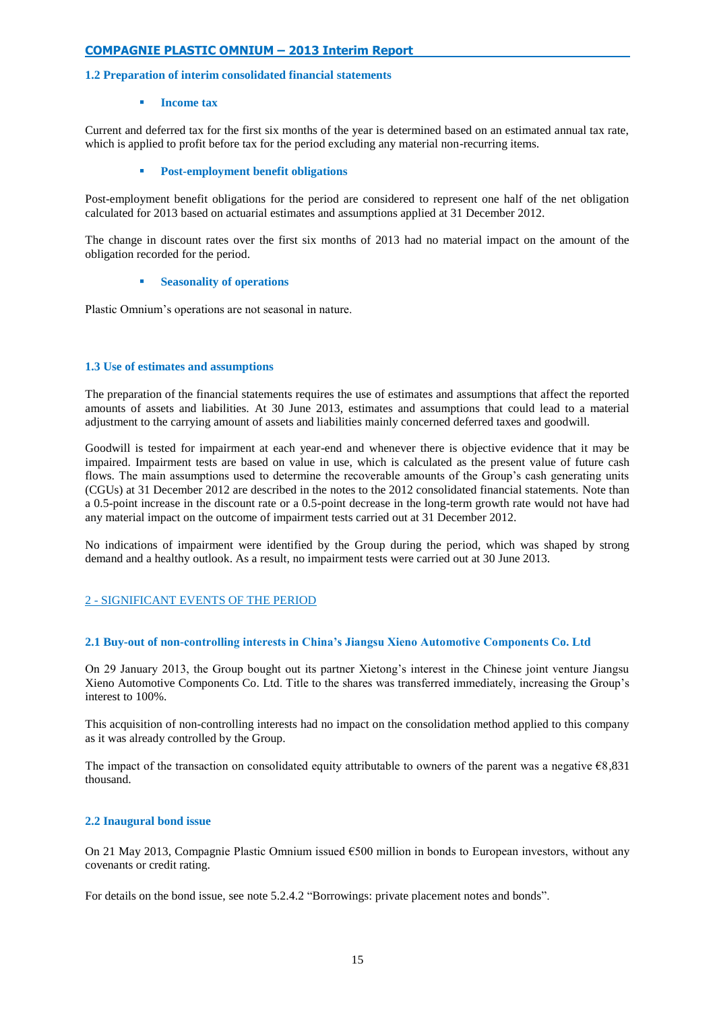## **1.2 Preparation of interim consolidated financial statements**

#### **Income tax**

Current and deferred tax for the first six months of the year is determined based on an estimated annual tax rate, which is applied to profit before tax for the period excluding any material non-recurring items.

### **Post-employment benefit obligations**

Post-employment benefit obligations for the period are considered to represent one half of the net obligation calculated for 2013 based on actuarial estimates and assumptions applied at 31 December 2012.

The change in discount rates over the first six months of 2013 had no material impact on the amount of the obligation recorded for the period.

### **Seasonality of operations**

Plastic Omnium's operations are not seasonal in nature.

## **1.3 Use of estimates and assumptions**

The preparation of the financial statements requires the use of estimates and assumptions that affect the reported amounts of assets and liabilities. At 30 June 2013, estimates and assumptions that could lead to a material adjustment to the carrying amount of assets and liabilities mainly concerned deferred taxes and goodwill.

Goodwill is tested for impairment at each year-end and whenever there is objective evidence that it may be impaired. Impairment tests are based on value in use, which is calculated as the present value of future cash flows. The main assumptions used to determine the recoverable amounts of the Group's cash generating units (CGUs) at 31 December 2012 are described in the notes to the 2012 consolidated financial statements. Note than a 0.5-point increase in the discount rate or a 0.5-point decrease in the long-term growth rate would not have had any material impact on the outcome of impairment tests carried out at 31 December 2012.

No indications of impairment were identified by the Group during the period, which was shaped by strong demand and a healthy outlook. As a result, no impairment tests were carried out at 30 June 2013.

# 2 - SIGNIFICANT EVENTS OF THE PERIOD

## **2.1 Buy-out of non-controlling interests in China's Jiangsu Xieno Automotive Components Co. Ltd**

On 29 January 2013, the Group bought out its partner Xietong's interest in the Chinese joint venture Jiangsu Xieno Automotive Components Co. Ltd. Title to the shares was transferred immediately, increasing the Group's interest to 100%.

This acquisition of non-controlling interests had no impact on the consolidation method applied to this company as it was already controlled by the Group.

The impact of the transaction on consolidated equity attributable to owners of the parent was a negative  $\epsilon$ 8,831 thousand.

## **2.2 Inaugural bond issue**

On 21 May 2013, Compagnie Plastic Omnium issued  $\epsilon$ 500 million in bonds to European investors, without any covenants or credit rating.

For details on the bond issue, see note 5.2.4.2 "Borrowings: private placement notes and bonds".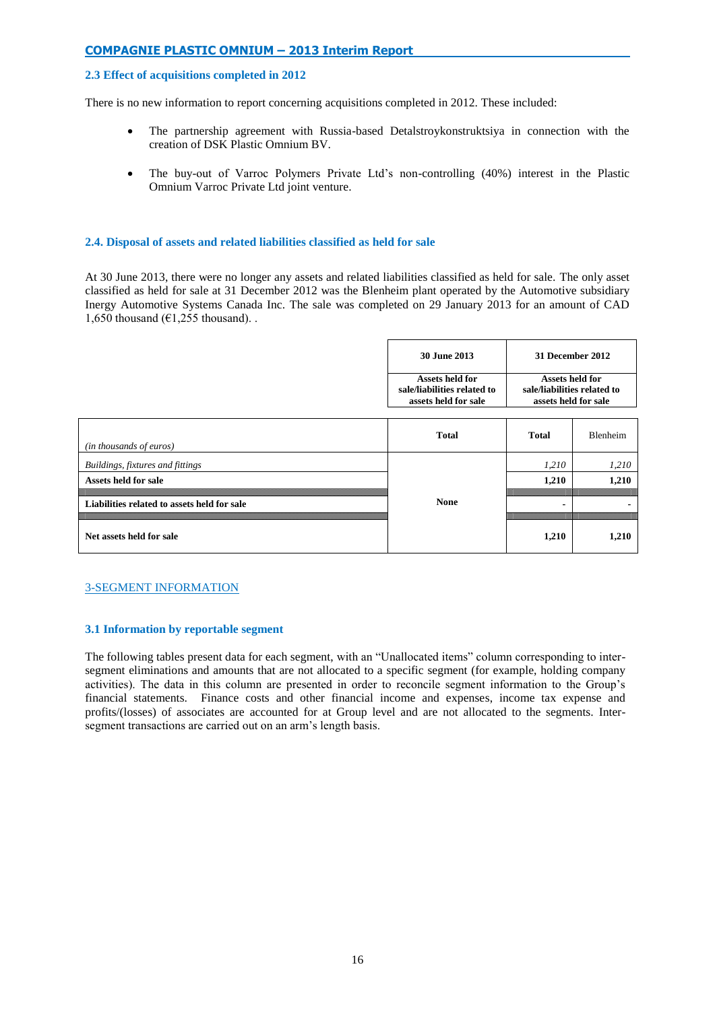### **2.3 Effect of acquisitions completed in 2012**

There is no new information to report concerning acquisitions completed in 2012. These included:

- The partnership agreement with Russia-based Detalstroykonstruktsiya in connection with the creation of DSK Plastic Omnium BV.
- The buy-out of Varroc Polymers Private Ltd's non-controlling (40%) interest in the Plastic Omnium Varroc Private Ltd joint venture.

### **2.4. Disposal of assets and related liabilities classified as held for sale**

At 30 June 2013, there were no longer any assets and related liabilities classified as held for sale. The only asset classified as held for sale at 31 December 2012 was the Blenheim plant operated by the Automotive subsidiary Inergy Automotive Systems Canada Inc. The sale was completed on 29 January 2013 for an amount of CAD 1,650 thousand ( $\epsilon$ 1,255 thousand).

| 30 June 2013                | 31 December 2012            |
|-----------------------------|-----------------------------|
| Assets held for             | Assets held for             |
| sale/liabilities related to | sale/liabilities related to |
| assets held for sale        | assets held for sale        |

| (in thousands of euros)                     | <b>Total</b> | <b>Total</b> | <b>Blenheim</b> |
|---------------------------------------------|--------------|--------------|-----------------|
| Buildings, fixtures and fittings            |              | 1,210        | 1,210           |
| Assets held for sale                        |              | 1,210        | 1.210           |
| Liabilities related to assets held for sale | <b>None</b>  |              |                 |
| Net assets held for sale                    |              | 1,210        | 1,210           |

## 3-SEGMENT INFORMATION

#### **3.1 Information by reportable segment**

The following tables present data for each segment, with an "Unallocated items" column corresponding to intersegment eliminations and amounts that are not allocated to a specific segment (for example, holding company activities). The data in this column are presented in order to reconcile segment information to the Group's financial statements. Finance costs and other financial income and expenses, income tax expense and profits/(losses) of associates are accounted for at Group level and are not allocated to the segments. Intersegment transactions are carried out on an arm's length basis.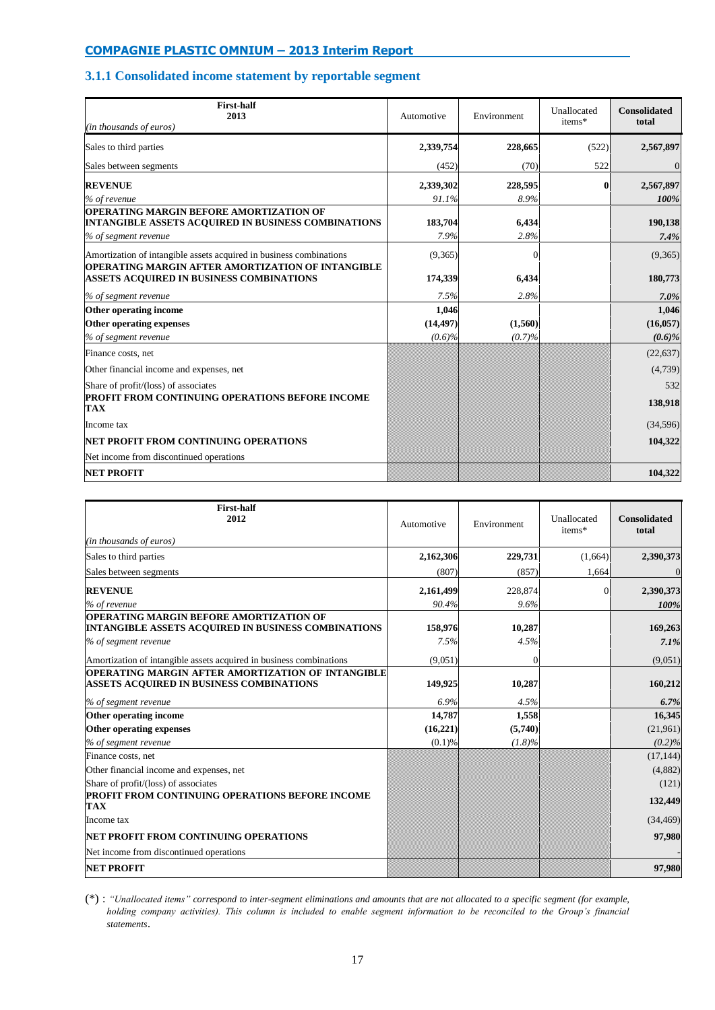# **3.1.1 Consolidated income statement by reportable segment**

| <b>First-half</b><br>2013<br>(in thousands of euros)                                                                                 | Automotive      | Environment   | Unallocated<br>items* | <b>Consolidated</b><br>total |
|--------------------------------------------------------------------------------------------------------------------------------------|-----------------|---------------|-----------------------|------------------------------|
| Sales to third parties                                                                                                               | 2,339,754       | 228,665       | (522)                 | 2,567,897                    |
| Sales between segments                                                                                                               | (452)           | (70)          | 522                   | $\overline{0}$               |
| <b>REVENUE</b>                                                                                                                       | 2,339,302       | 228,595       |                       | 2,567,897                    |
| % of revenue                                                                                                                         | 91.1%           | 8.9%          |                       | 100%                         |
| <b>OPERATING MARGIN BEFORE AMORTIZATION OF</b><br><b>INTANGIBLE ASSETS ACQUIRED IN BUSINESS COMBINATIONS</b><br>% of segment revenue | 183,704<br>7.9% | 6,434<br>2.8% |                       | 190,138<br>7.4%              |
| Amortization of intangible assets acquired in business combinations                                                                  | (9,365)         | $\Omega$      |                       | (9,365)                      |
| OPERATING MARGIN AFTER AMORTIZATION OF INTANGIBLE<br>ASSETS ACQUIRED IN BUSINESS COMBINATIONS                                        | 174,339         | 6,434         |                       | 180,773                      |
| % of segment revenue                                                                                                                 | 7.5%            | 2.8%          |                       | 7.0%                         |
| Other operating income                                                                                                               | 1,046           |               |                       | 1,046                        |
| Other operating expenses                                                                                                             | (14, 497)       | (1,560)       |                       | (16, 057)                    |
| % of segment revenue                                                                                                                 | (0.6)%          | (0.7)%        |                       | (0.6)%                       |
| Finance costs, net                                                                                                                   |                 |               |                       | (22, 637)                    |
| Other financial income and expenses, net                                                                                             |                 |               |                       | (4,739)                      |
| Share of profit/(loss) of associates                                                                                                 |                 |               |                       | 532                          |
| PROFIT FROM CONTINUING OPERATIONS BEFORE INCOME<br><b>TAX</b>                                                                        |                 |               |                       | 138,918                      |
| Income tax                                                                                                                           |                 |               |                       | (34, 596)                    |
| NET PROFIT FROM CONTINUING OPERATIONS                                                                                                |                 |               |                       | 104,322                      |
| Net income from discontinued operations                                                                                              |                 |               |                       |                              |
| <b>NET PROFIT</b>                                                                                                                    |                 |               |                       | 104,322                      |

| <b>First-half</b><br>2012                                                                                                     | Automotive      | Environment    | Unallocated<br>items* | <b>Consolidated</b><br>total |
|-------------------------------------------------------------------------------------------------------------------------------|-----------------|----------------|-----------------------|------------------------------|
| (in thousands of euros)                                                                                                       |                 |                |                       |                              |
| Sales to third parties                                                                                                        | 2,162,306       | 229,731        | (1,664)               | 2,390,373                    |
| Sales between segments                                                                                                        | (807)           | (857)          | 1,664                 | $\Omega$                     |
| <b>REVENUE</b>                                                                                                                | 2,161,499       | 228,874        |                       | 2,390,373                    |
| % of revenue                                                                                                                  | 90.4%           | 9.6%           |                       | 100%                         |
| <b>OPERATING MARGIN BEFORE AMORTIZATION OF</b><br>INTANGIBLE ASSETS ACQUIRED IN BUSINESS COMBINATIONS<br>% of segment revenue | 158.976<br>7.5% | 10,287<br>4.5% |                       | 169,263<br>7.1%              |
| Amortization of intangible assets acquired in business combinations                                                           | (9,051)         | $\Omega$       |                       | (9,051)                      |
| OPERATING MARGIN AFTER AMORTIZATION OF INTANGIBLE<br><b>ASSETS ACQUIRED IN BUSINESS COMBINATIONS</b>                          | 149,925         | 10,287         |                       | 160,212                      |
| % of segment revenue                                                                                                          | 6.9%            | 4.5%           |                       | 6.7%                         |
| Other operating income                                                                                                        | 14.787          | 1.558          |                       | 16.345                       |
| Other operating expenses                                                                                                      | (16, 221)       | (5,740)        |                       | (21,961)                     |
| % of segment revenue                                                                                                          | (0.1)%          | $(1.8)\%$      |                       | $(0.2)\%$                    |
| Finance costs, net                                                                                                            |                 |                |                       | (17, 144)                    |
| Other financial income and expenses, net                                                                                      |                 |                |                       | (4,882)                      |
| Share of profit/(loss) of associates                                                                                          |                 |                |                       | (121)                        |
| <b>PROFIT FROM CONTINUING OPERATIONS BEFORE INCOME</b><br><b>TAX</b>                                                          |                 |                |                       | 132,449                      |
| Income tax                                                                                                                    |                 |                |                       | (34, 469)                    |
| <b>INET PROFIT FROM CONTINUING OPERATIONS</b>                                                                                 |                 |                |                       | 97,980                       |
| Net income from discontinued operations                                                                                       |                 |                |                       |                              |
| <b>NET PROFIT</b>                                                                                                             |                 |                |                       | 97,980                       |

(\*) : *"Unallocated items" correspond to inter-segment eliminations and amounts that are not allocated to a specific segment (for example, holding company activities). This column is included to enable segment information to be reconciled to the Group's financial statements*.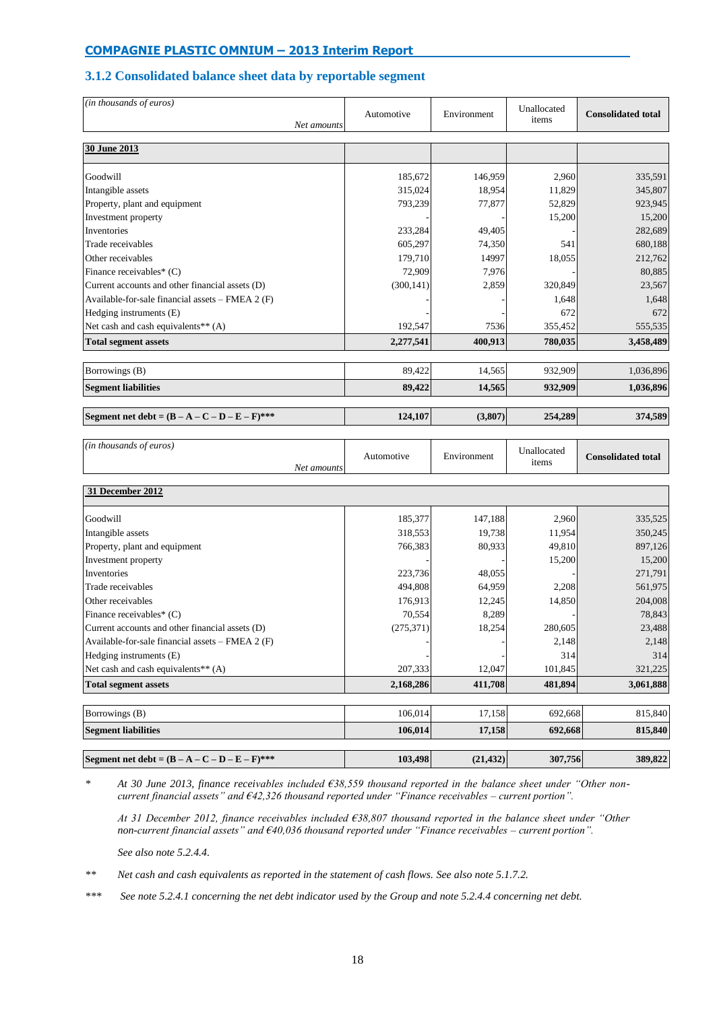# **3.1.2 Consolidated balance sheet data by reportable segment**

| (in thousands of euros)                            | Automotive<br>Net amounts | Environment | Unallocated<br>items | <b>Consolidated total</b> |
|----------------------------------------------------|---------------------------|-------------|----------------------|---------------------------|
| 30 June 2013                                       |                           |             |                      |                           |
| Goodwill                                           | 185,672                   | 146,959     | 2,960                | 335,591                   |
| Intangible assets                                  | 315,024                   | 18,954      | 11,829               | 345,807                   |
| Property, plant and equipment                      | 793,239                   | 77,877      | 52,829               | 923,945                   |
| Investment property                                |                           |             | 15,200               | 15,200                    |
| Inventories                                        | 233,284                   | 49,405      |                      | 282,689                   |
| Trade receivables                                  | 605,297                   | 74,350      | 541                  | 680,188                   |
| Other receivables                                  | 179,710                   | 14997       | 18,055               | 212,762                   |
| Finance receivables* (C)                           | 72,909                    | 7.976       |                      | 80,885                    |
| Current accounts and other financial assets (D)    | (300, 141)                | 2,859       | 320,849              | 23,567                    |
| Available-for-sale financial assets $-$ FMEA 2 (F) |                           |             | 1,648                | 1,648                     |
| Hedging instruments (E)                            |                           |             | 672                  | 672                       |
| Net cash and cash equivalents <sup>**</sup> $(A)$  | 192,547                   | 7536        | 355,452              | 555,535                   |
| <b>Total segment assets</b>                        | 2,277,541                 | 400,913     | 780,035              | 3,458,489                 |
| Borrowings (B)                                     | 89,422                    | 14,565      | 932,909              | 1,036,896                 |
| <b>Segment liabilities</b>                         | 89,422                    | 14,565      | 932,909              | 1,036,896                 |
|                                                    |                           |             |                      |                           |
| Segment net debt = $(B - A - C - D - E - F)$ ***   | 124,107                   | (3,807)     | 254,289              | 374.589                   |
|                                                    |                           |             |                      |                           |

| (in thousands of euros)<br>Net amounts             | Automotive | Environment | Unallocated<br>items | <b>Consolidated total</b> |
|----------------------------------------------------|------------|-------------|----------------------|---------------------------|
| 31 December 2012                                   |            |             |                      |                           |
| Goodwill                                           | 185,377    | 147,188     | 2,960                | 335,525                   |
| Intangible assets                                  | 318,553    | 19,738      | 11,954               | 350,245                   |
| Property, plant and equipment                      | 766,383    | 80,933      | 49,810               | 897,126                   |
| Investment property                                |            |             | 15,200               | 15,200                    |
| Inventories                                        | 223,736    | 48,055      |                      | 271,791                   |
| Trade receivables                                  | 494,808    | 64,959      | 2,208                | 561,975                   |
| Other receivables                                  | 176,913    | 12,245      | 14,850               | 204,008                   |
| Finance receivables* (C)                           | 70,554     | 8,289       |                      | 78,843                    |
| Current accounts and other financial assets (D)    | (275, 371) | 18,254      | 280,605              | 23,488                    |
| Available-for-sale financial assets $-$ FMEA 2 (F) |            |             | 2,148                | 2,148                     |
| Hedging instruments (E)                            |            |             | 314                  | 314                       |
| Net cash and cash equivalents** (A)                | 207,333    | 12,047      | 101,845              | 321,225                   |
| <b>Total segment assets</b>                        | 2,168,286  | 411,708     | 481,894              | 3,061,888                 |
| Borrowings (B)                                     | 106,014    | 17,158      | 692,668              | 815,840                   |
| <b>Segment liabilities</b>                         | 106,014    | 17,158      | 692,668              | 815,840                   |
| Segment net debt = $(B - A - C - D - E - F)$ ***   | 103,498    | (21, 432)   | 307,756              | 389,822                   |

*\* At 30 June 2013, finance receivables included €38,559 thousand reported in the balance sheet under "Other noncurrent financial assets" and €42,326 thousand reported under "Finance receivables – current portion".*

*At 31 December 2012, finance receivables included €38,807 thousand reported in the balance sheet under "Other non-current financial assets" and €40,036 thousand reported under "Finance receivables – current portion".*

*See also note 5.2.4.4.*

*\*\* Net cash and cash equivalents as reported in the statement of cash flows. See also note 5.1.7.2.*

*\*\*\* See note 5.2.4.1 concerning the net debt indicator used by the Group and note 5.2.4.4 concerning net debt.*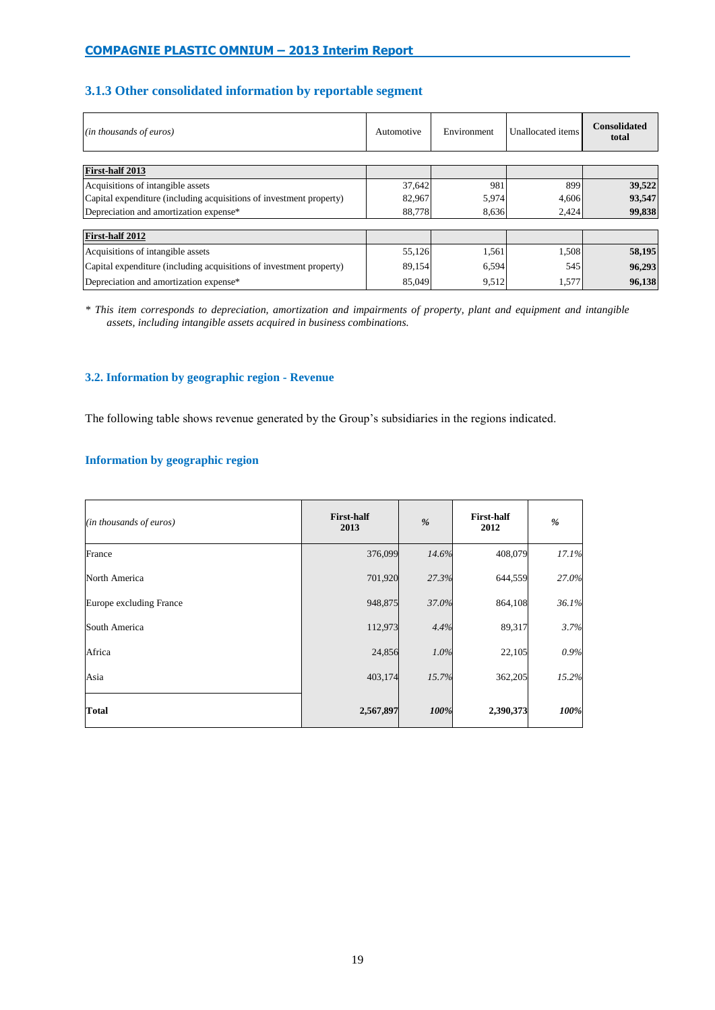# **3.1.3 Other consolidated information by reportable segment**

| (in thousands of euros)                                             | Automotive | Environment | Unallocated items | <b>Consolidated</b><br>total |
|---------------------------------------------------------------------|------------|-------------|-------------------|------------------------------|
|                                                                     |            |             |                   |                              |
| First-half 2013                                                     |            |             |                   |                              |
| Acquisitions of intangible assets                                   | 37,642     | 981         | 899               | 39,522                       |
| Capital expenditure (including acquisitions of investment property) | 82,967     | 5,974       | 4,606             | 93,547                       |
| Depreciation and amortization expense*                              | 88,778     | 8.636       | 2,424             | 99,838                       |
|                                                                     |            |             |                   |                              |
| First-half 2012                                                     |            |             |                   |                              |
| Acquisitions of intangible assets                                   | 55,126     | 1,561       | 1,508             | 58,195                       |
| Capital expenditure (including acquisitions of investment property) | 89,154     | 6,594       | 545               | 96,293                       |
| Depreciation and amortization expense*                              | 85,049     | 9,512       | 1,577             | 96,138                       |

*\* This item corresponds to depreciation, amortization and impairments of property, plant and equipment and intangible assets, including intangible assets acquired in business combinations.*

# **3.2. Information by geographic region - Revenue**

The following table shows revenue generated by the Group's subsidiaries in the regions indicated.

# **Information by geographic region**

| (in thousands of euros) | <b>First-half</b><br>2013 | %     | <b>First-half</b><br>2012 | %     |
|-------------------------|---------------------------|-------|---------------------------|-------|
| France                  | 376,099                   | 14.6% | 408,079                   | 17.1% |
| North America           | 701,920                   | 27.3% | 644,559                   | 27.0% |
| Europe excluding France | 948,875                   | 37.0% | 864,108                   | 36.1% |
| South America           | 112,973                   | 4.4%  | 89,317                    | 3.7%  |
| Africa                  | 24,856                    | 1.0%  | 22,105                    | 0.9%  |
| Asia                    | 403,174                   | 15.7% | 362,205                   | 15.2% |
| <b>Total</b>            | 2,567,897                 | 100%  | 2,390,373                 | 100%  |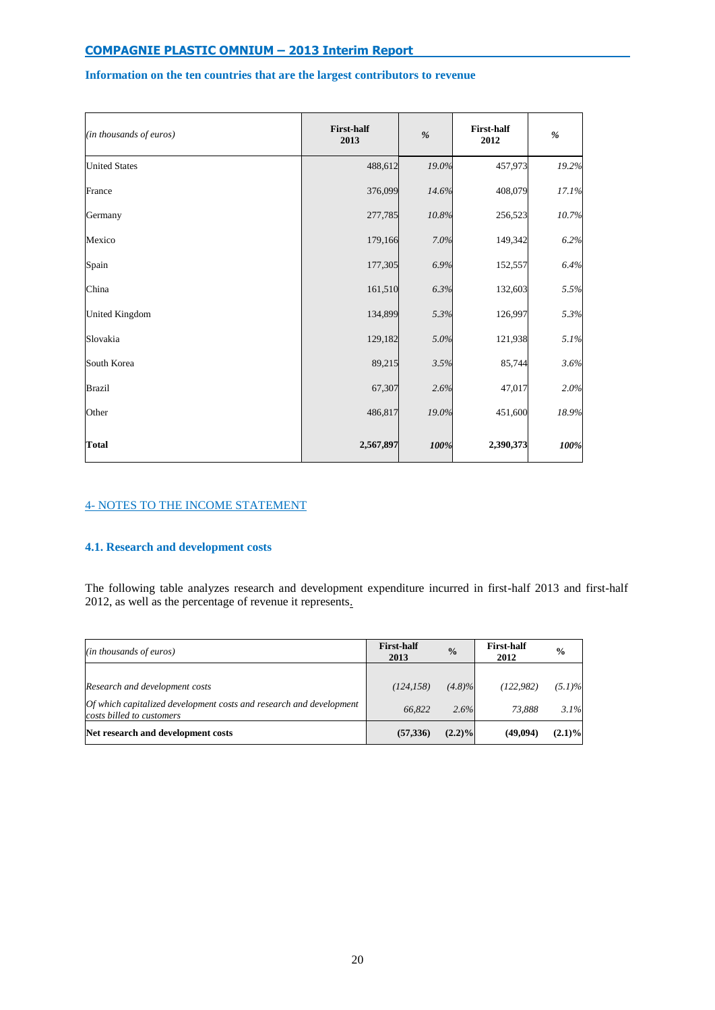# **Information on the ten countries that are the largest contributors to revenue**

| (in thousands of euros) | <b>First-half</b><br>2013 | $\frac{9}{6}$ | <b>First-half</b><br>2012 | $\frac{9}{6}$ |
|-------------------------|---------------------------|---------------|---------------------------|---------------|
| <b>United States</b>    | 488,612                   | 19.0%         | 457,973                   | 19.2%         |
| France                  | 376,099                   | 14.6%         | 408,079                   | 17.1%         |
| Germany                 | 277,785                   | 10.8%         | 256,523                   | 10.7%         |
| Mexico                  | 179,166                   | 7.0%          | 149,342                   | 6.2%          |
| Spain                   | 177,305                   | 6.9%          | 152,557                   | 6.4%          |
| China                   | 161,510                   | 6.3%          | 132,603                   | 5.5%          |
| <b>United Kingdom</b>   | 134,899                   | 5.3%          | 126,997                   | 5.3%          |
| Slovakia                | 129,182                   | 5.0%          | 121,938                   | 5.1%          |
| South Korea             | 89,215                    | 3.5%          | 85,744                    | 3.6%          |
| <b>Brazil</b>           | 67,307                    | 2.6%          | 47,017                    | 2.0%          |
| Other                   | 486,817                   | 19.0%         | 451,600                   | 18.9%         |
| <b>Total</b>            | 2,567,897                 | 100%          | 2,390,373                 | 100%          |

# 4- NOTES TO THE INCOME STATEMENT

# **4.1. Research and development costs**

The following table analyzes research and development expenditure incurred in first-half 2013 and first-half 2012, as well as the percentage of revenue it represents.

| (in thousands of euros)                                                                               | <b>First-half</b><br>2013 | $\frac{0}{0}$     | <b>First-half</b><br>2012 | $\frac{0}{0}$     |
|-------------------------------------------------------------------------------------------------------|---------------------------|-------------------|---------------------------|-------------------|
| Research and development costs<br>Of which capitalized development costs and research and development | (124, 158)<br>66.822      | $(4.8)\%$<br>2.6% | (122.982)<br>73.888       | $(5.1)\%$<br>3.1% |
| costs billed to customers<br>Net research and development costs                                       | (57,336)                  | $(2.2)\%$         | (49,094)                  | $(2.1)\%$         |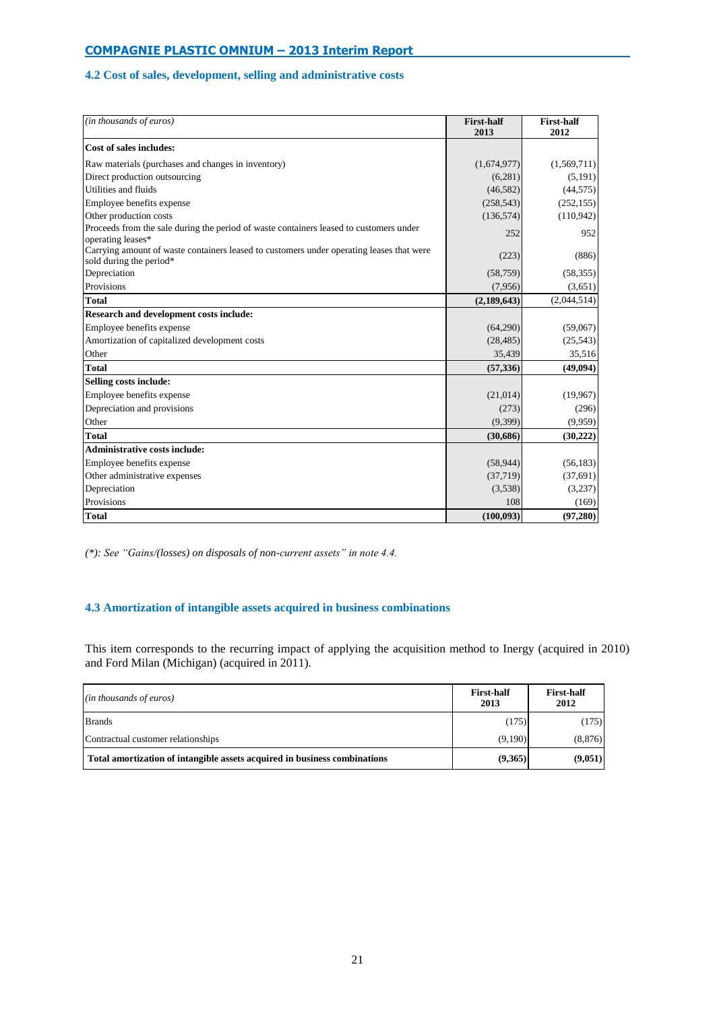# **4.2 Cost of sales, development, selling and administrative costs**

| (in thousands of euros)                                                                                             | <b>First-half</b><br>2013 | <b>First-half</b><br>2012 |
|---------------------------------------------------------------------------------------------------------------------|---------------------------|---------------------------|
| Cost of sales includes:                                                                                             |                           |                           |
| Raw materials (purchases and changes in inventory)                                                                  | (1,674,977)               | (1,569,711)               |
| Direct production outsourcing                                                                                       | (6,281)                   | (5, 191)                  |
| Utilities and fluids                                                                                                | (46,582)                  | (44, 575)                 |
| Employee benefits expense                                                                                           | (258, 543)                | (252, 155)                |
| Other production costs                                                                                              | (136, 574)                | (110, 942)                |
| Proceeds from the sale during the period of waste containers leased to customers under<br>operating leases*         | 252                       | 952                       |
| Carrying amount of waste containers leased to customers under operating leases that were<br>sold during the period* | (223)                     | (886)                     |
| Depreciation                                                                                                        | (58, 759)                 | (58, 355)                 |
| Provisions                                                                                                          | (7,956)                   | (3,651)                   |
| <b>Total</b>                                                                                                        | (2, 189, 643)             | (2,044,514)               |
| <b>Research and development costs include:</b>                                                                      |                           |                           |
| Employee benefits expense                                                                                           | (64,290)                  | (59,067)                  |
| Amortization of capitalized development costs                                                                       | (28, 485)                 | (25,543)                  |
| Other                                                                                                               | 35,439                    | 35,516                    |
| <b>Total</b>                                                                                                        | (57,336)                  | (49,094)                  |
| Selling costs include:                                                                                              |                           |                           |
| Employee benefits expense                                                                                           | (21,014)                  | (19,967)                  |
| Depreciation and provisions                                                                                         | (273)                     | (296)                     |
| Other                                                                                                               | (9,399)                   | (9,959)                   |
| <b>Total</b>                                                                                                        | (30,686)                  | (30,222)                  |
| <b>Administrative costs include:</b>                                                                                |                           |                           |
| Employee benefits expense                                                                                           | (58, 944)                 | (56, 183)                 |
| Other administrative expenses                                                                                       | (37,719)                  | (37,691)                  |
| Depreciation                                                                                                        | (3,538)                   | (3,237)                   |
| Provisions                                                                                                          | 108                       | (169)                     |
| <b>Total</b>                                                                                                        | (100, 093)                | (97,280)                  |

*(\*): See "Gains/(losses) on disposals of non-current assets" in note 4.4.*

# **4.3 Amortization of intangible assets acquired in business combinations**

This item corresponds to the recurring impact of applying the acquisition method to Inergy (acquired in 2010) and Ford Milan (Michigan) (acquired in 2011).

| (in thousands of euros)                                                   | <b>First-half</b><br>2013 | <b>First-half</b><br>2012 |
|---------------------------------------------------------------------------|---------------------------|---------------------------|
| <b>Brands</b>                                                             | (175)                     | (175)                     |
| Contractual customer relationships                                        | (9.190)                   | (8, 876)                  |
| Total amortization of intangible assets acquired in business combinations | (9,365)                   | (9,051)                   |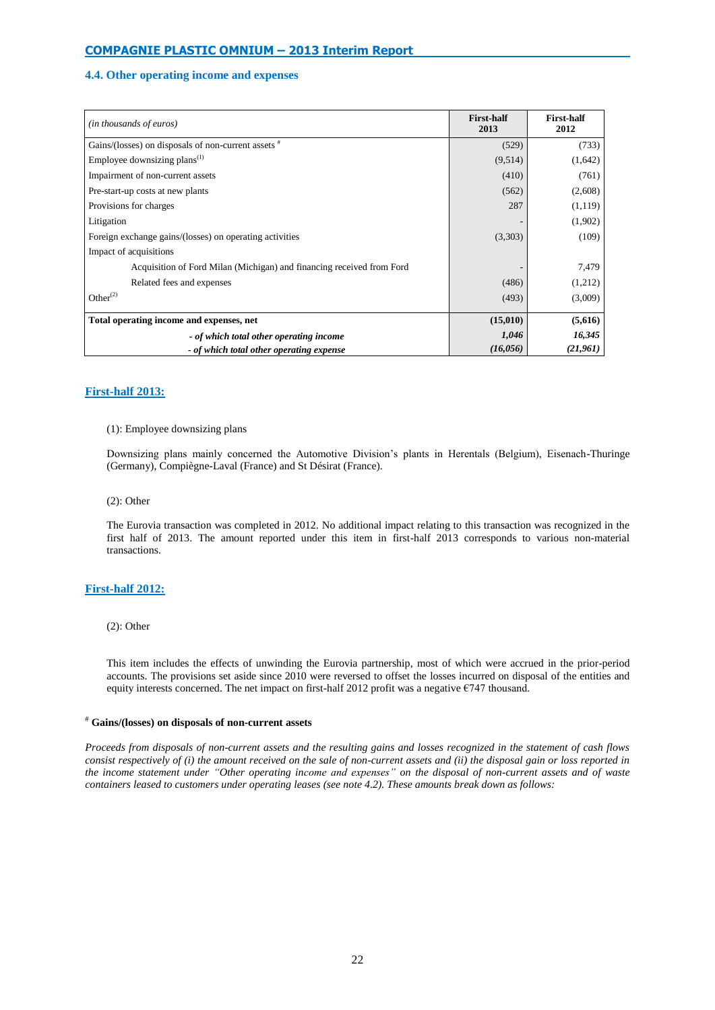## **4.4. Other operating income and expenses**

| (in thousands of euros)                                               | <b>First-half</b><br>2013 | <b>First-half</b><br>2012 |
|-----------------------------------------------------------------------|---------------------------|---------------------------|
| Gains/(losses) on disposals of non-current assets $*$                 | (529)                     | (733)                     |
| Employee downsizing plans <sup>(1)</sup>                              | (9,514)                   | (1,642)                   |
| Impairment of non-current assets                                      | (410)                     | (761)                     |
| Pre-start-up costs at new plants                                      | (562)                     | (2,608)                   |
| Provisions for charges                                                | 287                       | (1,119)                   |
| Litigation                                                            |                           | (1,902)                   |
| Foreign exchange gains/(losses) on operating activities               | (3,303)                   | (109)                     |
| Impact of acquisitions                                                |                           |                           |
| Acquisition of Ford Milan (Michigan) and financing received from Ford |                           | 7,479                     |
| Related fees and expenses                                             | (486)                     | (1,212)                   |
| Other $^{(2)}$                                                        | (493)                     | (3,009)                   |
| Total operating income and expenses, net                              | (15,010)                  | (5,616)                   |
| - of which total other operating income                               | 1,046                     | 16,345                    |
| - of which total other operating expense                              | (16, 056)                 | (21, 961)                 |

## **First-half 2013:**

#### (1): Employee downsizing plans

Downsizing plans mainly concerned the Automotive Division's plants in Herentals (Belgium), Eisenach-Thuringe (Germany), Compiègne-Laval (France) and St Désirat (France).

(2): Other

The Eurovia transaction was completed in 2012. No additional impact relating to this transaction was recognized in the first half of 2013. The amount reported under this item in first-half 2013 corresponds to various non-material transactions.

#### **First-half 2012:**

#### (2): Other

This item includes the effects of unwinding the Eurovia partnership, most of which were accrued in the prior-period accounts. The provisions set aside since 2010 were reversed to offset the losses incurred on disposal of the entities and equity interests concerned. The net impact on first-half 2012 profit was a negative €747 thousand.

#### # **Gains/(losses) on disposals of non-current assets**

*Proceeds from disposals of non-current assets and the resulting gains and losses recognized in the statement of cash flows consist respectively of (i) the amount received on the sale of non-current assets and (ii) the disposal gain or loss reported in the income statement under "Other operating income and expenses" on the disposal of non-current assets and of waste containers leased to customers under operating leases (see note 4.2). These amounts break down as follows:*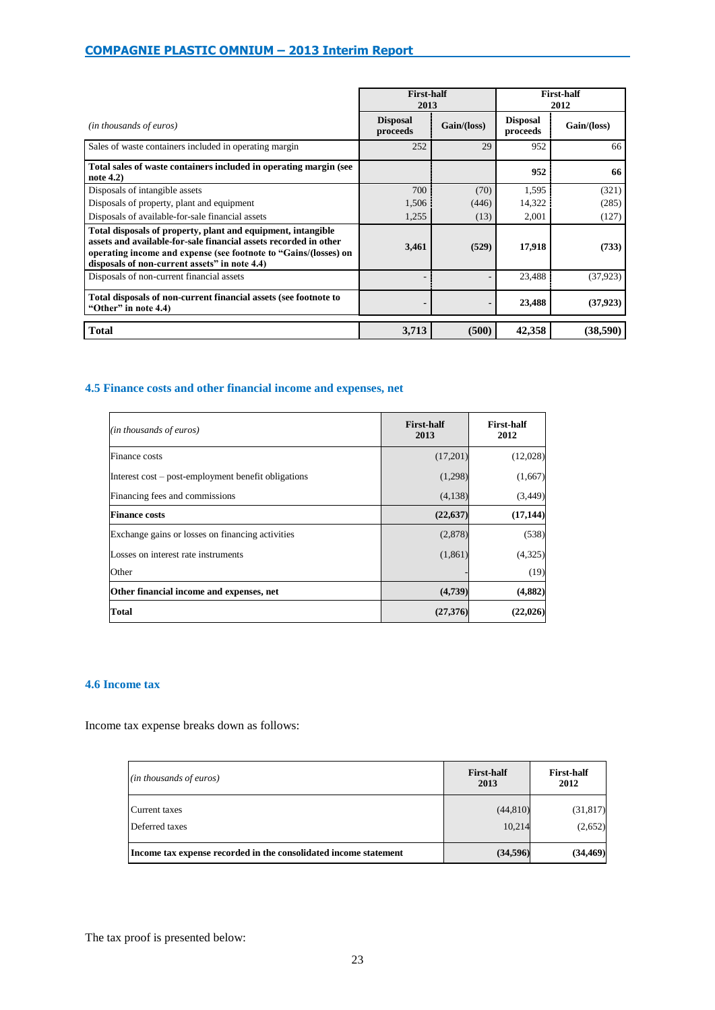|                                                                                                                                                                                                                                                       | <b>First-half</b><br>2013   |             | <b>First-half</b><br>2012   |             |
|-------------------------------------------------------------------------------------------------------------------------------------------------------------------------------------------------------------------------------------------------------|-----------------------------|-------------|-----------------------------|-------------|
| (in thousands of euros)                                                                                                                                                                                                                               | <b>Disposal</b><br>proceeds | Gain/(loss) | <b>Disposal</b><br>proceeds | Gain/(loss) |
| Sales of waste containers included in operating margin                                                                                                                                                                                                | 252                         | 29          | 952                         | 66          |
| Total sales of waste containers included in operating margin (see<br>note 4.2)                                                                                                                                                                        |                             |             | 952                         | 66          |
| Disposals of intangible assets                                                                                                                                                                                                                        | 700                         | (70)        | 1,595                       | (321)       |
| Disposals of property, plant and equipment                                                                                                                                                                                                            | 1,506                       | (446)       | 14,322                      | (285)       |
| Disposals of available-for-sale financial assets                                                                                                                                                                                                      | 1,255                       | (13)        | 2,001                       | (127)       |
| Total disposals of property, plant and equipment, intangible<br>assets and available-for-sale financial assets recorded in other<br>operating income and expense (see footnote to "Gains/(losses) on<br>disposals of non-current assets" in note 4.4) | 3,461                       | (529)       | 17,918                      | (733)       |
| Disposals of non-current financial assets                                                                                                                                                                                                             |                             |             | 23,488                      | (37.923)    |
| Total disposals of non-current financial assets (see footnote to<br>"Other" in note 4.4)                                                                                                                                                              |                             |             | 23,488                      | (37, 923)   |
| <b>Total</b>                                                                                                                                                                                                                                          | 3,713                       | (500)       | 42,358                      | (38,590)    |

# **4.5 Finance costs and other financial income and expenses, net**

| (in thousands of euros)                             | <b>First-half</b><br>2013 | <b>First-half</b><br>2012 |
|-----------------------------------------------------|---------------------------|---------------------------|
| Finance costs                                       | (17,201)                  | (12,028)                  |
| Interest cost – post-employment benefit obligations | (1,298)                   | (1,667)                   |
| Financing fees and commissions                      | (4,138)                   | (3, 449)                  |
| <b>Finance costs</b>                                | (22, 637)                 | (17, 144)                 |
| Exchange gains or losses on financing activities    | (2,878)                   | (538)                     |
| Losses on interest rate instruments                 | (1, 861)                  | (4, 325)                  |
| Other                                               |                           | (19)                      |
| Other financial income and expenses, net            | (4,739)                   | (4, 882)                  |
| <b>Total</b>                                        | (27,376)                  | (22, 026)                 |

## **4.6 Income tax**

Income tax expense breaks down as follows:

| (in thousands of euros)                                          | <b>First-half</b><br>2013 | <b>First-half</b><br>2012 |
|------------------------------------------------------------------|---------------------------|---------------------------|
| Current taxes<br>Deferred taxes                                  | (44, 810)<br>10,214       | (31, 817)<br>(2,652)      |
| Income tax expense recorded in the consolidated income statement | (34,596)                  | (34, 469)                 |

The tax proof is presented below: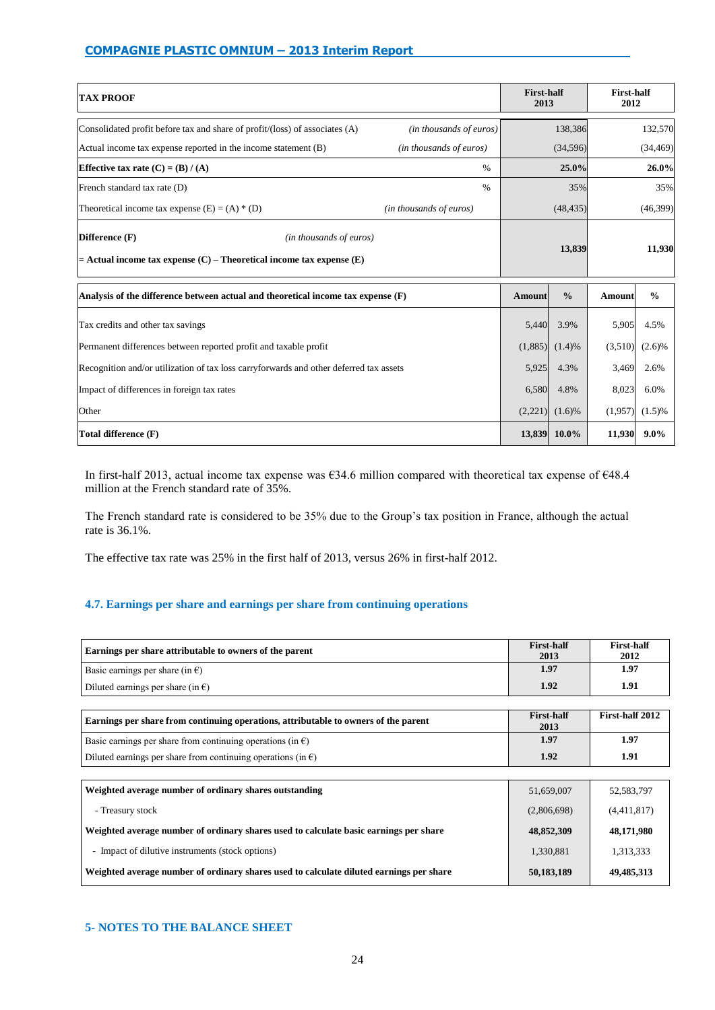| <b>TAX PROOF</b>                                                                                                        |                         | <b>First-half</b><br>2013 |                     | <b>First-half</b><br>2012 |               |
|-------------------------------------------------------------------------------------------------------------------------|-------------------------|---------------------------|---------------------|---------------------------|---------------|
| Consolidated profit before tax and share of profit/(loss) of associates (A)                                             | (in thousands of euros) |                           | 138,386             |                           | 132,570       |
| Actual income tax expense reported in the income statement (B)                                                          | (in thousands of euros) |                           | (34, 596)           |                           | (34, 469)     |
| Effective tax rate $(C) = (B) / (A)$                                                                                    | $\%$                    |                           | 25.0%               |                           | 26.0%         |
| French standard tax rate (D)                                                                                            | $\%$                    |                           | 35%                 |                           | 35%           |
| Theoretical income tax expense $(E) = (A) * (D)$                                                                        | (in thousands of euros) |                           | (48, 435)           |                           | (46,399)      |
| Difference (F)<br>(in thousands of euros)<br>$=$ Actual income tax expense $(C)$ – Theoretical income tax expense $(E)$ |                         |                           | 13,839              |                           | 11,930        |
| Analysis of the difference between actual and theoretical income tax expense $(F)$                                      |                         | Amount                    | $\frac{0}{0}$       | Amount                    | $\frac{0}{0}$ |
| Tax credits and other tax savings                                                                                       |                         | 5,440                     | 3.9%                | 5,905                     | 4.5%          |
| Permanent differences between reported profit and taxable profit                                                        |                         | (1,885)                   | (1.4)%              | (3,510)                   | (2.6)%        |
| Recognition and/or utilization of tax loss carryforwards and other deferred tax assets                                  |                         | 5,925                     | 4.3%                | 3,469                     | 2.6%          |
| Impact of differences in foreign tax rates                                                                              |                         | 6,580                     | 4.8%                | 8,023                     | 6.0%          |
| Other                                                                                                                   |                         |                           | $(2,221)$ $(1.6)\%$ | (1,957)                   | (1.5)%        |
| Total difference (F)                                                                                                    |                         | 13,839                    | $10.0\%$            | 11,930                    | $9.0\%$       |

In first-half 2013, actual income tax expense was €34.6 million compared with theoretical tax expense of €48.4 million at the French standard rate of 35%.

The French standard rate is considered to be 35% due to the Group's tax position in France, although the actual rate is 36.1%.

The effective tax rate was 25% in the first half of 2013, versus 26% in first-half 2012.

# **4.7. Earnings per share and earnings per share from continuing operations**

| Earnings per share attributable to owners of the parent | <b>First-half</b><br>2013 | <b>First-half</b><br>2012 |
|---------------------------------------------------------|---------------------------|---------------------------|
| Basic earnings per share (in $\epsilon$ )               | 1.97                      | 1.97                      |
| Diluted earnings per share (in $\epsilon$ )             | 1.92                      | 1.91                      |
|                                                         |                           |                           |

| Earnings per share from continuing operations, attributable to owners of the parent | <b>First-half</b><br>2013 | First-half 2012 |
|-------------------------------------------------------------------------------------|---------------------------|-----------------|
| Basic earnings per share from continuing operations (in $\epsilon$ )                | 1.97                      | 1.97            |
| Diluted earnings per share from continuing operations (in $\epsilon$ )              | 1.92                      | 1.91            |

| Weighted average number of ordinary shares outstanding                                  | 51,659,007  | 52, 583, 797 |
|-----------------------------------------------------------------------------------------|-------------|--------------|
| - Treasury stock                                                                        | (2,806,698) | (4,411,817)  |
| Weighted average number of ordinary shares used to calculate basic earnings per share   | 48,852,309  | 48,171,980   |
| - Impact of dilutive instruments (stock options)                                        | 1,330,881   | 1,313,333    |
| Weighted average number of ordinary shares used to calculate diluted earnings per share | 50,183,189  | 49,485,313   |

# **5- NOTES TO THE BALANCE SHEET**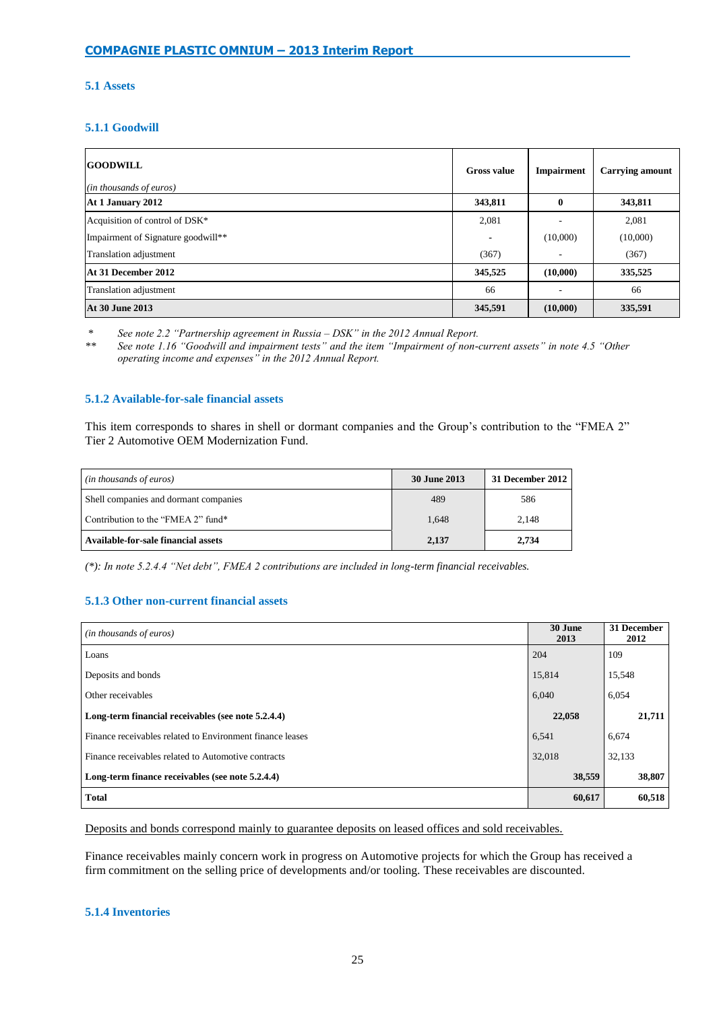# **5.1 Assets**

# **5.1.1 Goodwill**

| <b>GOODWILL</b><br>(in thousands of euros) | <b>Gross value</b> | <b>Impairment</b> | <b>Carrying amount</b> |
|--------------------------------------------|--------------------|-------------------|------------------------|
| At 1 January 2012                          | 343,811            | $\mathbf{0}$      | 343,811                |
| Acquisition of control of DSK*             | 2,081              |                   | 2,081                  |
| Impairment of Signature goodwill**         | -                  | (10,000)          | (10,000)               |
| Translation adjustment                     | (367)              | ۰                 | (367)                  |
| At 31 December 2012                        | 345,525            | (10,000)          | 335,525                |
| Translation adjustment                     | 66                 |                   | 66                     |
| <b>At 30 June 2013</b>                     | 345,591            | (10,000)          | 335,591                |

*\* See note 2.2 "Partnership agreement in Russia – DSK" in the 2012 Annual Report.*

*\*\* See note 1.16 "Goodwill and impairment tests" and the item "Impairment of non-current assets" in note 4.5 "Other operating income and expenses" in the 2012 Annual Report.*

## **5.1.2 Available-for-sale financial assets**

This item corresponds to shares in shell or dormant companies and the Group's contribution to the "FMEA 2" Tier 2 Automotive OEM Modernization Fund.

| (in thousands of euros)               | 30 June 2013 | 31 December 2012 |
|---------------------------------------|--------------|------------------|
| Shell companies and dormant companies | 489          | 586              |
| Contribution to the "FMEA 2" fund*    | 1,648        | 2,148            |
| Available-for-sale financial assets   | 2,137        | 2,734            |

*(\*): In note 5.2.4.4 "Net debt", FMEA 2 contributions are included in long-term financial receivables.*

## **5.1.3 Other non-current financial assets**

| ( <i>in thousands of euros</i> )                          | 30 June<br>2013 | 31 December<br>2012 |
|-----------------------------------------------------------|-----------------|---------------------|
| Loans                                                     | 204             | 109                 |
| Deposits and bonds                                        | 15,814          | 15,548              |
| Other receivables                                         | 6,040           | 6,054               |
| Long-term financial receivables (see note 5.2.4.4)        | 22,058          | 21,711              |
| Finance receivables related to Environment finance leases | 6,541           | 6,674               |
| Finance receivables related to Automotive contracts       | 32.018          | 32,133              |
| Long-term finance receivables (see note 5.2.4.4)          | 38,559          | 38,807              |
| <b>Total</b>                                              | 60,617          | 60,518              |

Deposits and bonds correspond mainly to guarantee deposits on leased offices and sold receivables.

Finance receivables mainly concern work in progress on Automotive projects for which the Group has received a firm commitment on the selling price of developments and/or tooling. These receivables are discounted.

## **5.1.4 Inventories**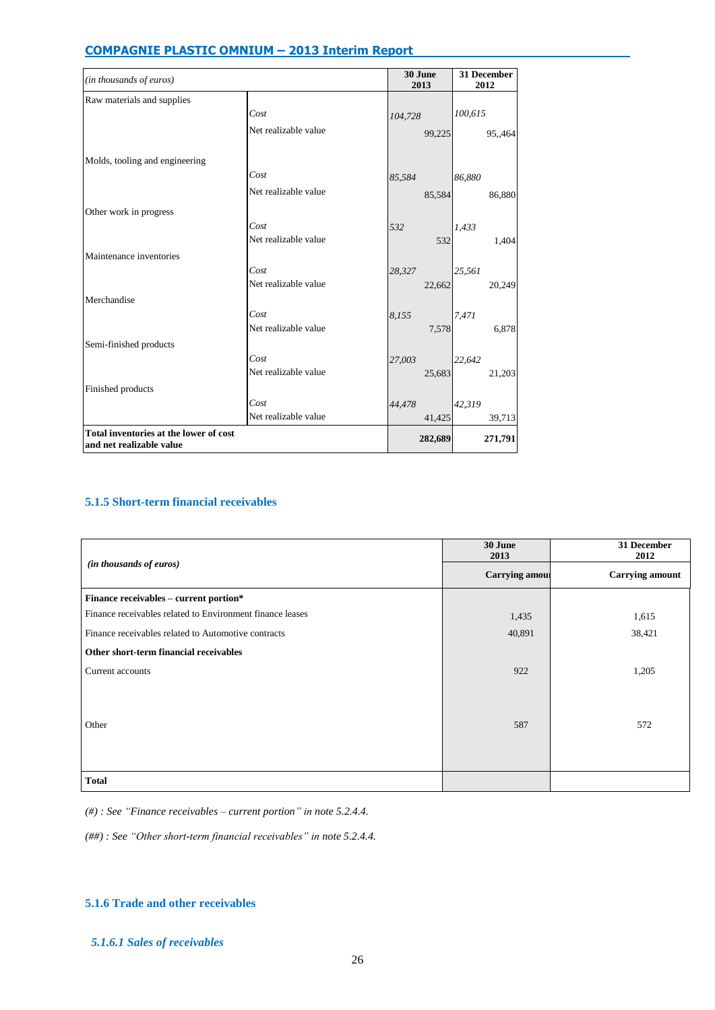| (in thousands of euros)                                            |                      | 30 June<br>2013 | 31 December<br>2012 |
|--------------------------------------------------------------------|----------------------|-----------------|---------------------|
| Raw materials and supplies                                         |                      |                 |                     |
|                                                                    | Cost                 | 104,728         | 100,615             |
|                                                                    | Net realizable value | 99,225          | 95,,464             |
| Molds, tooling and engineering                                     |                      |                 |                     |
|                                                                    | Cost                 | 85,584          | 86,880              |
|                                                                    | Net realizable value | 85,584          | 86,880              |
| Other work in progress                                             |                      |                 |                     |
|                                                                    | Cost                 | 532             | 1,433               |
|                                                                    | Net realizable value | 532             | 1,404               |
| Maintenance inventories                                            |                      |                 |                     |
|                                                                    | Cost                 | 28,327          | 25,561              |
|                                                                    | Net realizable value | 22,662          | 20,249              |
| Merchandise                                                        |                      |                 |                     |
|                                                                    | Cost                 | 8,155           | 7,471               |
|                                                                    | Net realizable value | 7,578           | 6,878               |
| Semi-finished products                                             |                      |                 |                     |
|                                                                    | Cost                 | 27,003          | 22,642              |
|                                                                    | Net realizable value | 25,683          | 21,203              |
| Finished products                                                  |                      |                 |                     |
|                                                                    | Cost                 | 44,478          | 42,319              |
|                                                                    | Net realizable value | 41,425          | 39,713              |
| Total inventories at the lower of cost<br>and net realizable value |                      | 282,689         | 271,791             |

# **5.1.5 Short-term financial receivables**

|                                                           | 30 June<br>2013       | 31 December<br>2012    |
|-----------------------------------------------------------|-----------------------|------------------------|
| (in thousands of euros)                                   | <b>Carrying amous</b> | <b>Carrying amount</b> |
| Finance receivables - current portion*                    |                       |                        |
| Finance receivables related to Environment finance leases | 1,435                 | 1,615                  |
| Finance receivables related to Automotive contracts       | 40,891                | 38,421                 |
| Other short-term financial receivables                    |                       |                        |
| Current accounts                                          | 922                   | 1,205                  |
|                                                           |                       |                        |
|                                                           |                       |                        |
| Other                                                     | 587                   | 572                    |
|                                                           |                       |                        |
|                                                           |                       |                        |
| <b>Total</b>                                              |                       |                        |

*(#) : See "Finance receivables – current portion" in note 5.2.4.4.*

*(##) : See "Other short-term financial receivables" in note 5.2.4.4.*

## **5.1.6 Trade and other receivables**

# *5.1.6.1 Sales of receivables*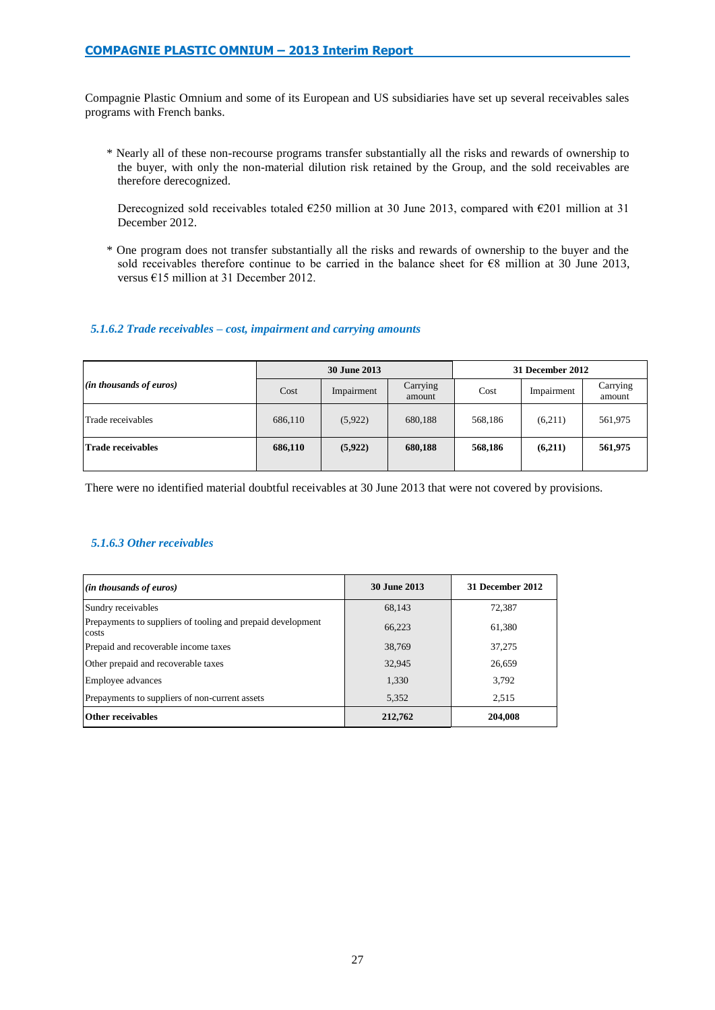Compagnie Plastic Omnium and some of its European and US subsidiaries have set up several receivables sales programs with French banks.

\* Nearly all of these non-recourse programs transfer substantially all the risks and rewards of ownership to the buyer, with only the non-material dilution risk retained by the Group, and the sold receivables are therefore derecognized.

Derecognized sold receivables totaled  $E250$  million at 30 June 2013, compared with  $E201$  million at 31 December 2012.

\* One program does not transfer substantially all the risks and rewards of ownership to the buyer and the sold receivables therefore continue to be carried in the balance sheet for €8 million at 30 June 2013, versus €15 million at 31 December 2012.

## *5.1.6.2 Trade receivables – cost, impairment and carrying amounts*

|                           |         | 30 June 2013 |                    | 31 December 2012 |            |                    |  |
|---------------------------|---------|--------------|--------------------|------------------|------------|--------------------|--|
| $(in$ thousands of euros) | Cost    | Impairment   | Carrying<br>amount | Cost             | Impairment | Carrying<br>amount |  |
| Trade receivables         | 686,110 | (5,922)      | 680,188            | 568,186          | (6,211)    | 561,975            |  |
| <b>Trade receivables</b>  | 686,110 | (5,922)      | 680,188            | 568,186          | (6,211)    | 561,975            |  |

There were no identified material doubtful receivables at 30 June 2013 that were not covered by provisions.

# *5.1.6.3 Other receivables*

| (in thousands of euros)                                              | <b>30 June 2013</b> | 31 December 2012 |
|----------------------------------------------------------------------|---------------------|------------------|
| Sundry receivables                                                   | 68,143              | 72,387           |
| Prepayments to suppliers of tooling and prepaid development<br>costs | 66,223              | 61,380           |
| Prepaid and recoverable income taxes                                 | 38,769              | 37,275           |
| Other prepaid and recoverable taxes                                  | 32,945              | 26,659           |
| Employee advances                                                    | 1,330               | 3,792            |
| Prepayments to suppliers of non-current assets                       | 5,352               | 2,515            |
| <b>Other receivables</b>                                             | 212,762             | 204,008          |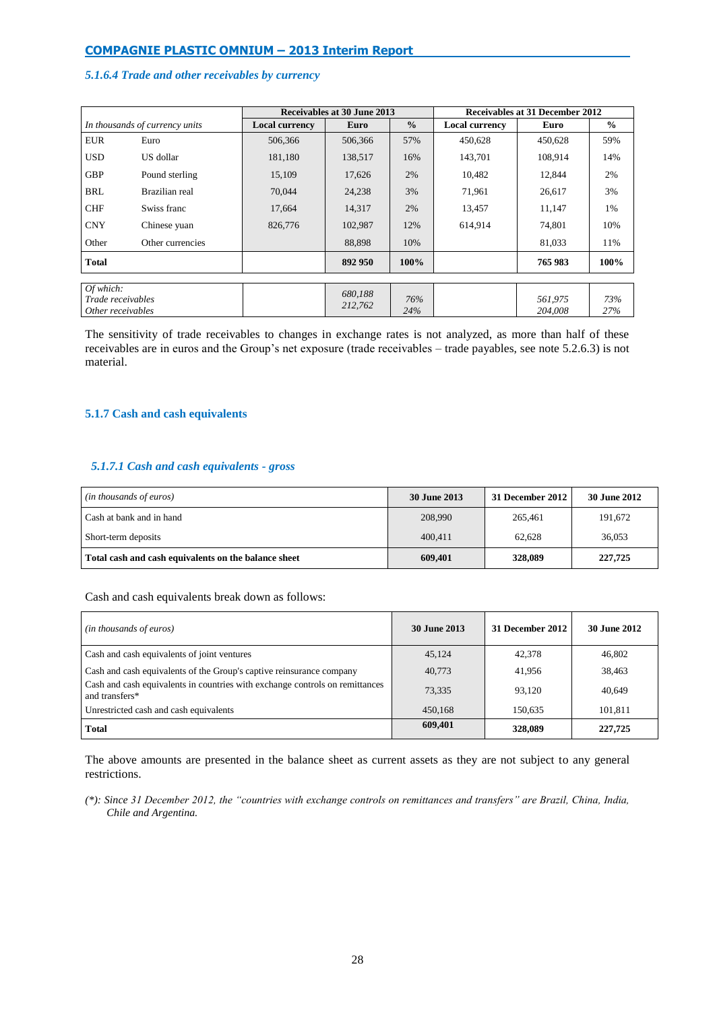## *5.1.6.4 Trade and other receivables by currency*

|                                                     |                                | Receivables at 30 June 2013<br>Receivables at 31 December 2012 |                    |               |                       |                    |               |
|-----------------------------------------------------|--------------------------------|----------------------------------------------------------------|--------------------|---------------|-----------------------|--------------------|---------------|
|                                                     | In thousands of currency units | <b>Local currency</b>                                          | Euro               | $\frac{0}{0}$ | <b>Local currency</b> | Euro               | $\frac{0}{0}$ |
| <b>EUR</b>                                          | Euro                           | 506,366                                                        | 506,366            | 57%           | 450.628               | 450,628            | 59%           |
| <b>USD</b>                                          | US dollar                      | 181,180                                                        | 138,517            | 16%           | 143,701               | 108,914            | 14%           |
| <b>GBP</b>                                          | Pound sterling                 | 15,109                                                         | 17,626             | 2%            | 10,482                | 12,844             | 2%            |
| <b>BRL</b>                                          | Brazilian real                 | 70,044                                                         | 24,238             | 3%            | 71,961                | 26,617             | 3%            |
| <b>CHF</b>                                          | Swiss franc                    | 17,664                                                         | 14,317             | 2%            | 13,457                | 11,147             | 1%            |
| <b>CNY</b>                                          | Chinese yuan                   | 826,776                                                        | 102,987            | 12%           | 614,914               | 74,801             | 10%           |
| Other                                               | Other currencies               |                                                                | 88,898             | 10%           |                       | 81,033             | 11%           |
| <b>Total</b>                                        |                                |                                                                | 892 950            | 100%          |                       | 765 983            | 100%          |
|                                                     |                                |                                                                |                    |               |                       |                    |               |
| Of which:<br>Trade receivables<br>Other receivables |                                |                                                                | 680,188<br>212,762 | 76%<br>24%    |                       | 561,975<br>204.008 | 73%<br>27%    |

The sensitivity of trade receivables to changes in exchange rates is not analyzed, as more than half of these receivables are in euros and the Group's net exposure (trade receivables – trade payables, see note 5.2.6.3) is not material.

### **5.1.7 Cash and cash equivalents**

## *5.1.7.1 Cash and cash equivalents - gross*

| (in thousands of euros)                              | 30 June 2013 | <b>31 December 2012</b> | <b>30 June 2012</b> |
|------------------------------------------------------|--------------|-------------------------|---------------------|
| Cash at bank and in hand                             | 208,990      | 265.461                 | 191.672             |
| Short-term deposits                                  | 400.411      | 62.628                  | 36.053              |
| Total cash and cash equivalents on the balance sheet | 609,401      | 328,089                 | 227,725             |

## Cash and cash equivalents break down as follows:

| ( <i>in thousands of euros</i> )                                                               | 30 June 2013 | 31 December 2012 | 30 June 2012 |
|------------------------------------------------------------------------------------------------|--------------|------------------|--------------|
| Cash and cash equivalents of joint ventures                                                    | 45.124       | 42,378           | 46,802       |
| Cash and cash equivalents of the Group's captive reinsurance company                           | 40,773       | 41.956           | 38,463       |
| Cash and cash equivalents in countries with exchange controls on remittances<br>and transfers* | 73,335       | 93.120           | 40,649       |
| Unrestricted cash and cash equivalents                                                         | 450,168      | 150,635          | 101,811      |
| Total                                                                                          | 609,401      | 328,089          | 227,725      |

The above amounts are presented in the balance sheet as current assets as they are not subject to any general restrictions.

*(\*): Since 31 December 2012, the "countries with exchange controls on remittances and transfers" are Brazil, China, India, Chile and Argentina.*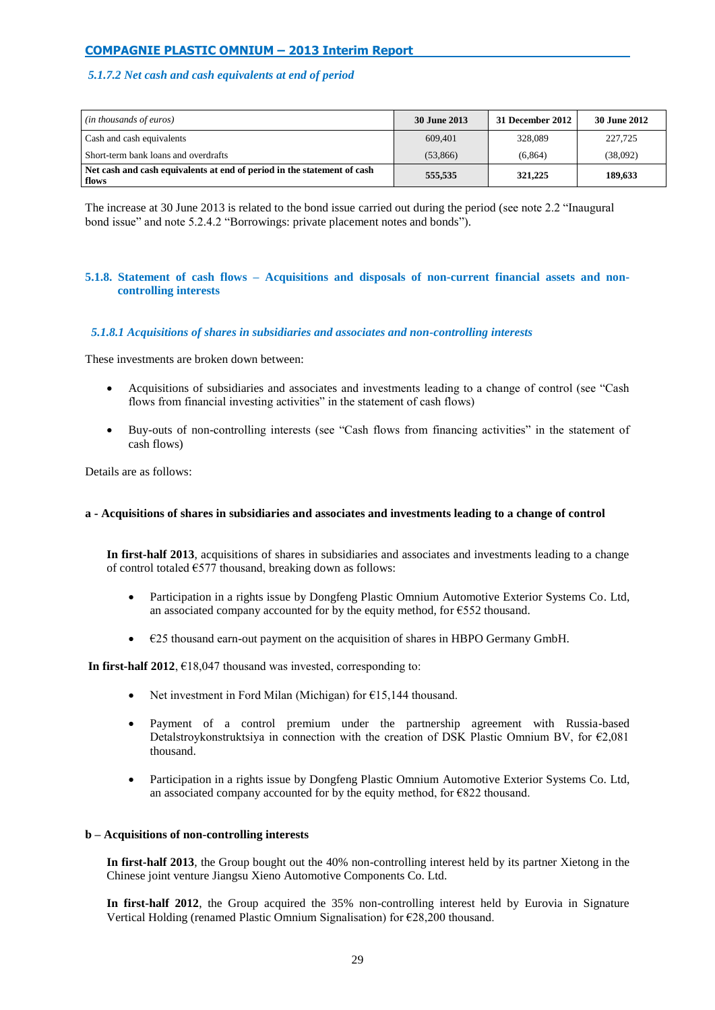# *5.1.7.2 Net cash and cash equivalents at end of period*

| (in thousands of euros)                                                          | 30 June 2013 | 31 December 2012 | <b>30 June 2012</b> |
|----------------------------------------------------------------------------------|--------------|------------------|---------------------|
| Cash and cash equivalents                                                        | 609.401      | 328,089          | 227,725             |
| Short-term bank loans and overdrafts                                             | (53,866)     | (6, 864)         | (38,092)            |
| Net cash and cash equivalents at end of period in the statement of cash<br>flows | 555.535      | 321,225          | 189,633             |

The increase at 30 June 2013 is related to the bond issue carried out during the period (see note 2.2 "Inaugural bond issue" and note 5.2.4.2 "Borrowings: private placement notes and bonds").

## **5.1.8. Statement of cash flows – Acquisitions and disposals of non-current financial assets and noncontrolling interests**

## *5.1.8.1 Acquisitions of shares in subsidiaries and associates and non-controlling interests*

These investments are broken down between:

- Acquisitions of subsidiaries and associates and investments leading to a change of control (see "Cash flows from financial investing activities" in the statement of cash flows)
- Buy-outs of non-controlling interests (see "Cash flows from financing activities" in the statement of cash flows)

Details are as follows:

#### **a - Acquisitions of shares in subsidiaries and associates and investments leading to a change of control**

**In first-half 2013**, acquisitions of shares in subsidiaries and associates and investments leading to a change of control totaled  $E$ 577 thousand, breaking down as follows:

- Participation in a rights issue by Dongfeng Plastic Omnium Automotive Exterior Systems Co. Ltd, an associated company accounted for by the equity method, for  $\epsilon$ 552 thousand.
- $\bullet$   $\epsilon$ 25 thousand earn-out payment on the acquisition of shares in HBPO Germany GmbH.

**In first-half 2012**,  $E18,047$  thousand was invested, corresponding to:

- Net investment in Ford Milan (Michigan) for €15,144 thousand.
- Payment of a control premium under the partnership agreement with Russia-based Detalstroykonstruktsiya in connection with the creation of DSK Plastic Omnium BV, for  $\epsilon$ 2,081 thousand.
- Participation in a rights issue by Dongfeng Plastic Omnium Automotive Exterior Systems Co. Ltd, an associated company accounted for by the equity method, for  $E822$  thousand.

#### **b – Acquisitions of non-controlling interests**

**In first-half 2013**, the Group bought out the 40% non-controlling interest held by its partner Xietong in the Chinese joint venture Jiangsu Xieno Automotive Components Co. Ltd.

**In first-half 2012**, the Group acquired the 35% non-controlling interest held by Eurovia in Signature Vertical Holding (renamed Plastic Omnium Signalisation) for €28,200 thousand.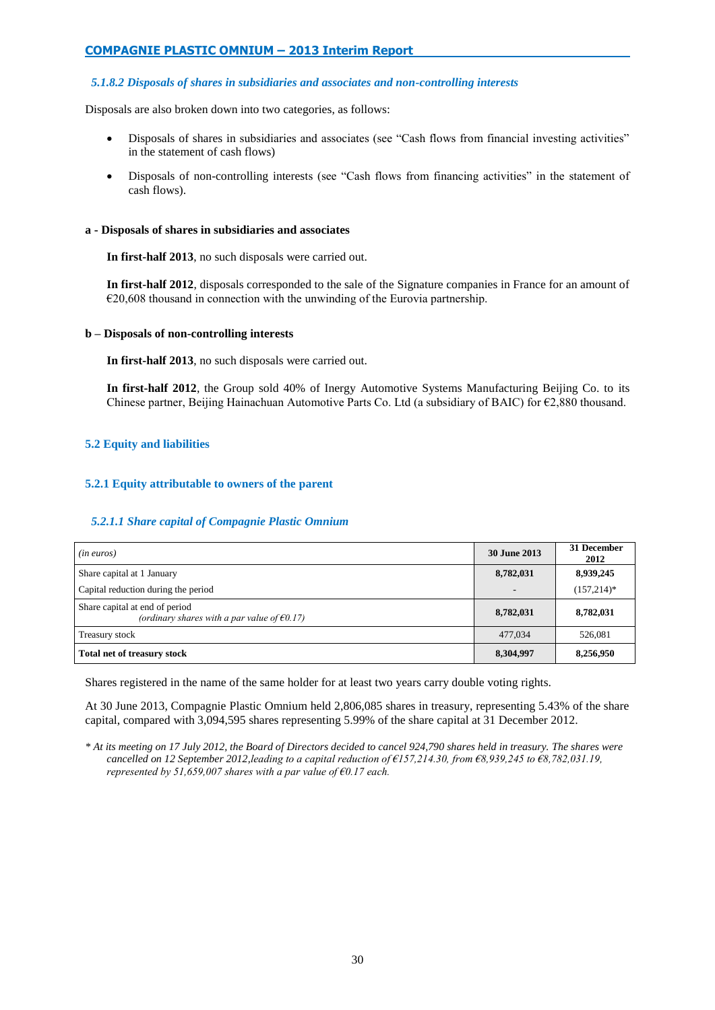## *5.1.8.2 Disposals of shares in subsidiaries and associates and non-controlling interests*

Disposals are also broken down into two categories, as follows:

- Disposals of shares in subsidiaries and associates (see "Cash flows from financial investing activities" in the statement of cash flows)
- Disposals of non-controlling interests (see "Cash flows from financing activities" in the statement of cash flows).

### **a - Disposals of shares in subsidiaries and associates**

**In first-half 2013**, no such disposals were carried out.

**In first-half 2012**, disposals corresponded to the sale of the Signature companies in France for an amount of  $\epsilon$ 20,608 thousand in connection with the unwinding of the Eurovia partnership.

## **b – Disposals of non-controlling interests**

**In first-half 2013**, no such disposals were carried out.

**In first-half 2012**, the Group sold 40% of Inergy Automotive Systems Manufacturing Beijing Co. to its Chinese partner, Beijing Hainachuan Automotive Parts Co. Ltd (a subsidiary of BAIC) for €2,880 thousand.

# **5.2 Equity and liabilities**

## **5.2.1 Equity attributable to owners of the parent**

## *5.2.1.1 Share capital of Compagnie Plastic Omnium*

| ( <i>in euros</i> )                                                                      | <b>30 June 2013</b>      | 31 December<br>2012 |
|------------------------------------------------------------------------------------------|--------------------------|---------------------|
| Share capital at 1 January                                                               | 8,782,031                | 8,939,245           |
| Capital reduction during the period                                                      | $\overline{\phantom{a}}$ | $(157,214)*$        |
| Share capital at end of period<br>(ordinary shares with a par value of $\epsilon 0.17$ ) | 8,782,031                | 8,782,031           |
| Treasury stock                                                                           | 477,034                  | 526,081             |
| Total net of treasury stock                                                              | 8,304,997                | 8,256,950           |

Shares registered in the name of the same holder for at least two years carry double voting rights.

At 30 June 2013, Compagnie Plastic Omnium held 2,806,085 shares in treasury, representing 5.43% of the share capital, compared with 3,094,595 shares representing 5.99% of the share capital at 31 December 2012.

*\* At its meeting on 17 July 2012, the Board of Directors decided to cancel 924,790 shares held in treasury. The shares were cancelled on 12 September 2012,leading to a capital reduction of €157,214.30, from €8,939,245 to €8,782,031.19, represented by 51,659,007 shares with a par value of €0.17 each.*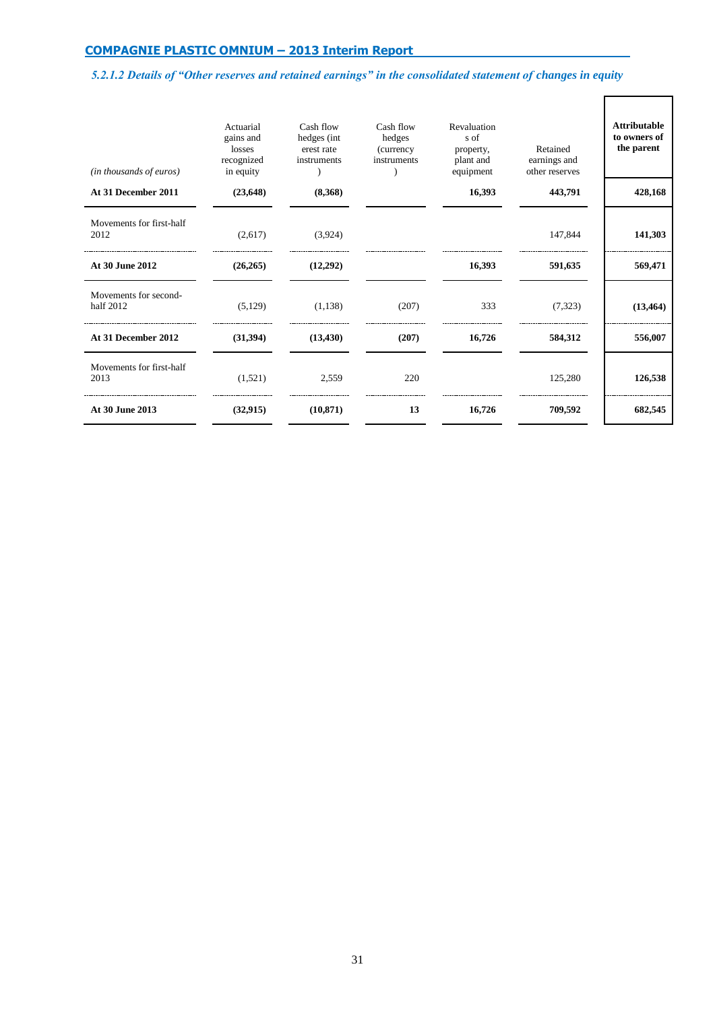# *5.2.1.2 Details of "Other reserves and retained earnings" in the consolidated statement of changes in equity*

 $\overline{\mathsf{I}}$ 

 $\Gamma$ 

| (in thousands of euros)            | Actuarial<br>gains and<br>losses<br>recognized<br>in equity | Cash flow<br>hedges (int<br>erest rate<br>instruments | Cash flow<br>hedges<br>(currency<br>instruments | Revaluation<br>s of<br>property,<br>plant and<br>equipment | Retained<br>earnings and<br>other reserves | <b>Attributable</b><br>to owners of<br>the parent |
|------------------------------------|-------------------------------------------------------------|-------------------------------------------------------|-------------------------------------------------|------------------------------------------------------------|--------------------------------------------|---------------------------------------------------|
| At 31 December 2011                | (23, 648)                                                   | (8,368)                                               |                                                 | 16,393                                                     | 443,791                                    | 428,168                                           |
| Movements for first-half<br>2012   | (2,617)                                                     | (3,924)                                               |                                                 |                                                            | 147,844                                    | 141,303                                           |
| At 30 June 2012                    | (26, 265)                                                   | (12,292)                                              |                                                 | 16,393                                                     | 591,635                                    | 569,471                                           |
| Movements for second-<br>half 2012 | (5,129)                                                     | (1,138)                                               | (207)                                           | 333                                                        | (7,323)                                    | (13, 464)                                         |
| At 31 December 2012                | (31,394)                                                    | (13, 430)                                             | (207)                                           | 16,726                                                     | 584,312                                    | 556,007                                           |
| Movements for first-half<br>2013   | (1,521)                                                     | 2,559                                                 | 220                                             |                                                            | 125,280                                    | 126,538                                           |
| At 30 June 2013                    | (32, 915)                                                   | (10, 871)                                             | 13                                              | 16,726                                                     | 709,592                                    | 682,545                                           |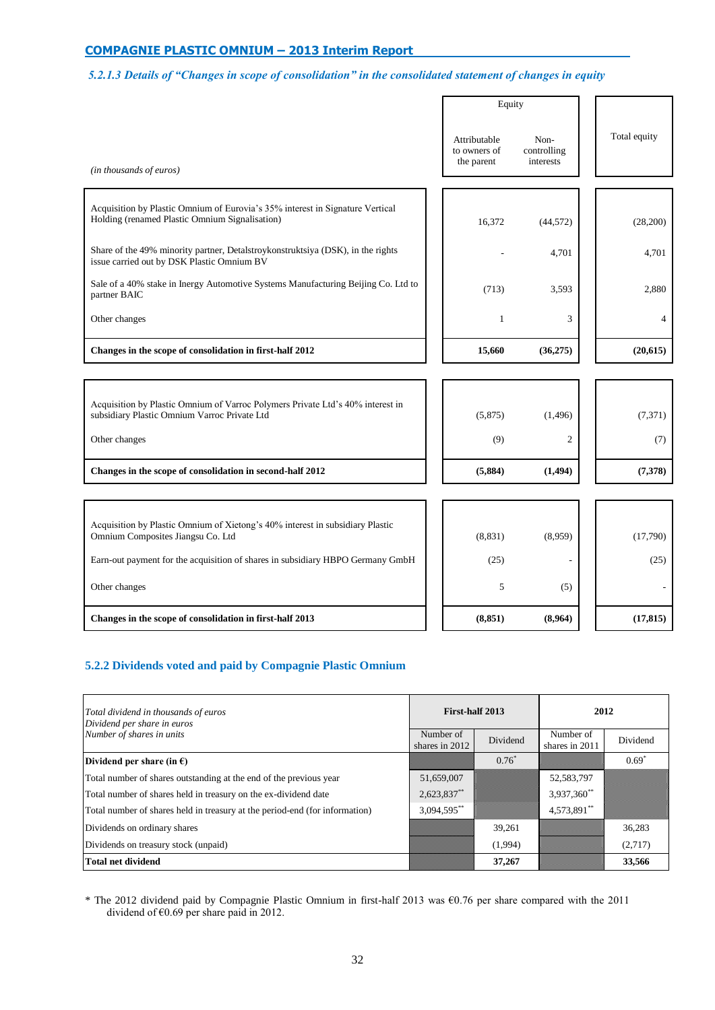# *5.2.1.3 Details of "Changes in scope of consolidation" in the consolidated statement of changes in equity*

|                                                                                                                                 | Equity                                     |                                  |  |                |
|---------------------------------------------------------------------------------------------------------------------------------|--------------------------------------------|----------------------------------|--|----------------|
| (in thousands of euros)                                                                                                         | Attributable<br>to owners of<br>the parent | Non-<br>controlling<br>interests |  | Total equity   |
|                                                                                                                                 |                                            |                                  |  |                |
| Acquisition by Plastic Omnium of Eurovia's 35% interest in Signature Vertical<br>Holding (renamed Plastic Omnium Signalisation) | 16,372                                     | (44, 572)                        |  | (28,200)       |
| Share of the 49% minority partner, Detalstroykonstruktsiya (DSK), in the rights<br>issue carried out by DSK Plastic Omnium BV   |                                            | 4,701                            |  | 4,701          |
| Sale of a 40% stake in Inergy Automotive Systems Manufacturing Beijing Co. Ltd to<br>partner BAIC                               | (713)                                      | 3,593                            |  | 2,880          |
| Other changes                                                                                                                   | $\mathbf{1}$                               | 3                                |  | $\overline{4}$ |
| Changes in the scope of consolidation in first-half 2012                                                                        | 15,660                                     | (36,275)                         |  | (20, 615)      |
|                                                                                                                                 |                                            |                                  |  |                |
| Acquisition by Plastic Omnium of Varroc Polymers Private Ltd's 40% interest in                                                  |                                            |                                  |  |                |
| subsidiary Plastic Omnium Varroc Private Ltd                                                                                    | (5,875)                                    | (1,496)                          |  | (7, 371)       |
| Other changes                                                                                                                   | (9)                                        | 2                                |  | (7)            |
| Changes in the scope of consolidation in second-half 2012                                                                       | (5,884)                                    | (1, 494)                         |  | (7,378)        |
|                                                                                                                                 |                                            |                                  |  |                |
| Acquisition by Plastic Omnium of Xietong's 40% interest in subsidiary Plastic<br>Omnium Composites Jiangsu Co. Ltd              | (8, 831)                                   | (8,959)                          |  | (17,790)       |
| Earn-out payment for the acquisition of shares in subsidiary HBPO Germany GmbH                                                  | (25)                                       |                                  |  | (25)           |
| Other changes                                                                                                                   | 5                                          | (5)                              |  |                |
| Changes in the scope of consolidation in first-half 2013                                                                        | (8, 851)                                   | (8,964)                          |  | (17, 815)      |

# **5.2.2 Dividends voted and paid by Compagnie Plastic Omnium**

| Total dividend in thousands of euros<br>Dividend per share in euros         | First-half 2013             |          | 2012                        |          |  |
|-----------------------------------------------------------------------------|-----------------------------|----------|-----------------------------|----------|--|
| Number of shares in units                                                   | Number of<br>shares in 2012 | Dividend | Number of<br>shares in 2011 | Dividend |  |
| Dividend per share (in $\epsilon$ )                                         |                             | $0.76*$  |                             | $0.69*$  |  |
| Total number of shares outstanding at the end of the previous year          | 51,659,007                  |          | 52,583,797                  |          |  |
| Total number of shares held in treasury on the ex-dividend date             | $2,623,837$ **              |          | 3,937,360**                 |          |  |
| Total number of shares held in treasury at the period-end (for information) | 3,094,595**                 |          | 4,573,891**                 |          |  |
| Dividends on ordinary shares                                                |                             | 39,261   |                             | 36,283   |  |
| Dividends on treasury stock (unpaid)                                        |                             | (1,994)  |                             | (2,717)  |  |
| <b>Total net dividend</b>                                                   |                             | 37,267   |                             | 33,566   |  |

\* The 2012 dividend paid by Compagnie Plastic Omnium in first-half 2013 was €0.76 per share compared with the 2011 dividend of  $\epsilon$ 0.69 per share paid in 2012.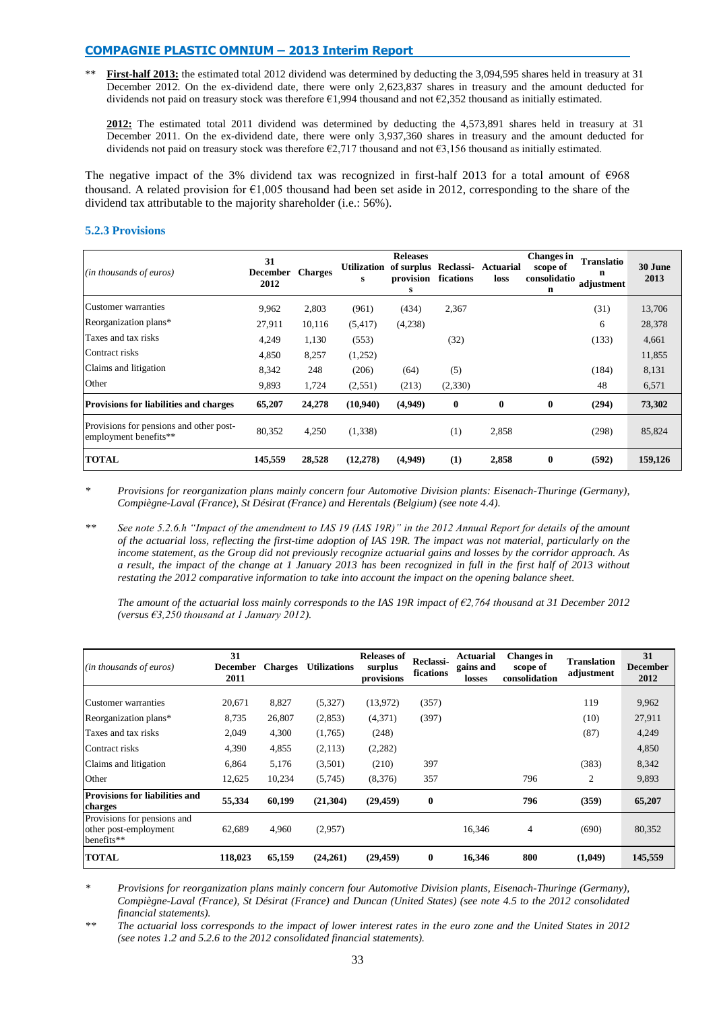First-half 2013: the estimated total 2012 dividend was determined by deducting the 3,094,595 shares held in treasury at 31 December 2012. On the ex-dividend date, there were only 2,623,837 shares in treasury and the amount deducted for dividends not paid on treasury stock was therefore €1,994 thousand and not €2,352 thousand as initially estimated.

**2012:** The estimated total 2011 dividend was determined by deducting the 4,573,891 shares held in treasury at 31 December 2011. On the ex-dividend date, there were only 3,937,360 shares in treasury and the amount deducted for dividends not paid on treasury stock was therefore  $\epsilon$ 2,717 thousand and not  $\epsilon$ 3,156 thousand as initially estimated.

The negative impact of the 3% dividend tax was recognized in first-half 2013 for a total amount of €968 thousand. A related provision for  $\epsilon 1,005$  thousand had been set aside in 2012, corresponding to the share of the dividend tax attributable to the majority shareholder (i.e.: 56%).

## **5.2.3 Provisions**

| ( <i>in thousands of euros</i> )                                 | 31<br><b>December</b><br>2012 | <b>Charges</b> | <b>Utilization</b><br>s | <b>Releases</b><br>of surplus Reclassi-<br>provision<br>s | fications | Actuarial<br>loss | <b>Changes</b> in<br>scope of<br>consolidatio<br>n | <b>Translatio</b><br>n<br>adjustment | 30 June<br>2013 |
|------------------------------------------------------------------|-------------------------------|----------------|-------------------------|-----------------------------------------------------------|-----------|-------------------|----------------------------------------------------|--------------------------------------|-----------------|
| Customer warranties                                              | 9,962                         | 2,803          | (961)                   | (434)                                                     | 2,367     |                   |                                                    | (31)                                 | 13,706          |
| Reorganization plans*                                            | 27,911                        | 10,116         | (5, 417)                | (4,238)                                                   |           |                   |                                                    | 6                                    | 28,378          |
| Taxes and tax risks                                              | 4,249                         | 1,130          | (553)                   |                                                           | (32)      |                   |                                                    | (133)                                | 4,661           |
| Contract risks                                                   | 4,850                         | 8,257          | (1,252)                 |                                                           |           |                   |                                                    |                                      | 11,855          |
| Claims and litigation                                            | 8,342                         | 248            | (206)                   | (64)                                                      | (5)       |                   |                                                    | (184)                                | 8,131           |
| Other                                                            | 9,893                         | 1,724          | (2,551)                 | (213)                                                     | (2,330)   |                   |                                                    | 48                                   | 6,571           |
| <b>Provisions for liabilities and charges</b>                    | 65,207                        | 24,278         | (10,940)                | (4,949)                                                   | $\bf{0}$  | $\bf{0}$          | 0                                                  | (294)                                | 73,302          |
| Provisions for pensions and other post-<br>employment benefits** | 80,352                        | 4,250          | (1,338)                 |                                                           | (1)       | 2,858             |                                                    | (298)                                | 85,824          |
| <b>TOTAL</b>                                                     | 145,559                       | 28,528         | (12, 278)               | (4,949)                                                   | (1)       | 2,858             | 0                                                  | (592)                                | 159,126         |

*\* Provisions for reorganization plans mainly concern four Automotive Division plants: Eisenach-Thuringe (Germany), Compiègne-Laval (France), St Désirat (France) and Herentals (Belgium) (see note 4.4).*

*\*\* See note 5.2.6.h "Impact of the amendment to IAS 19 (IAS 19R)" in the 2012 Annual Report for details of the amount of the actuarial loss, reflecting the first-time adoption of IAS 19R. The impact was not material, particularly on the income statement, as the Group did not previously recognize actuarial gains and losses by the corridor approach. As a result, the impact of the change at 1 January 2013 has been recognized in full in the first half of 2013 without restating the 2012 comparative information to take into account the impact on the opening balance sheet.*

*The amount of the actuarial loss mainly corresponds to the IAS 19R impact of €2,764 thousand at 31 December 2012 (versus €3,250 thousand at 1 January 2012).*

| (in thousands of euros)                                            | 31<br><b>December</b><br>2011 | <b>Charges</b> | <b>Utilizations</b> | <b>Releases of</b><br>surplus<br>provisions | Reclassi-<br>fications | Actuarial<br>gains and<br>losses | <b>Changes</b> in<br>scope of<br>consolidation | <b>Translation</b><br>adjustment | 31<br><b>December</b><br>2012 |
|--------------------------------------------------------------------|-------------------------------|----------------|---------------------|---------------------------------------------|------------------------|----------------------------------|------------------------------------------------|----------------------------------|-------------------------------|
| Customer warranties                                                | 20,671                        | 8,827          | (5,327)             | (13,972)                                    | (357)                  |                                  |                                                | 119                              | 9,962                         |
| Reorganization plans*                                              | 8,735                         | 26,807         | (2,853)             | (4,371)                                     | (397)                  |                                  |                                                | (10)                             | 27,911                        |
| Taxes and tax risks                                                | 2,049                         | 4,300          | (1,765)             | (248)                                       |                        |                                  |                                                | (87)                             | 4,249                         |
| Contract risks                                                     | 4,390                         | 4,855          | (2,113)             | (2,282)                                     |                        |                                  |                                                |                                  | 4,850                         |
| Claims and litigation                                              | 6,864                         | 5,176          | (3,501)             | (210)                                       | 397                    |                                  |                                                | (383)                            | 8,342                         |
| Other                                                              | 12,625                        | 10,234         | (5,745)             | (8,376)                                     | 357                    |                                  | 796                                            | 2                                | 9,893                         |
| <b>Provisions for liabilities and</b><br>charges                   | 55,334                        | 60,199         | (21,304)            | (29, 459)                                   | $\bf{0}$               |                                  | 796                                            | (359)                            | 65,207                        |
| Provisions for pensions and<br>other post-employment<br>benefits** | 62,689                        | 4,960          | (2,957)             |                                             |                        | 16,346                           | 4                                              | (690)                            | 80,352                        |
| <b>TOTAL</b>                                                       | 118,023                       | 65,159         | (24,261)            | (29, 459)                                   | $\bf{0}$               | 16,346                           | 800                                            | (1,049)                          | 145,559                       |

*\* Provisions for reorganization plans mainly concern four Automotive Division plants, Eisenach-Thuringe (Germany), Compiègne-Laval (France), St Désirat (France) and Duncan (United States) (see note 4.5 to the 2012 consolidated financial statements).*

*\*\* The actuarial loss corresponds to the impact of lower interest rates in the euro zone and the United States in 2012 (see notes 1.2 and 5.2.6 to the 2012 consolidated financial statements).*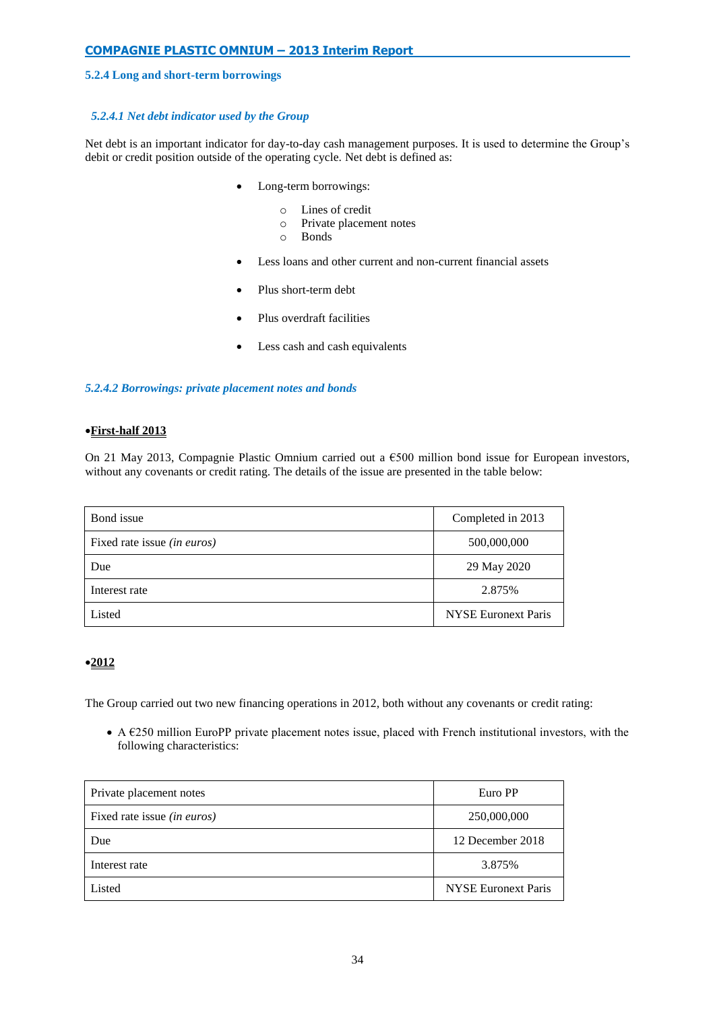## **5.2.4 Long and short-term borrowings**

# *5.2.4.1 Net debt indicator used by the Group*

Net debt is an important indicator for day-to-day cash management purposes. It is used to determine the Group's debit or credit position outside of the operating cycle. Net debt is defined as:

- Long-term borrowings:
	- o Lines of credit
	- o Private placement notes
	- o Bonds
- Less loans and other current and non-current financial assets
- Plus short-term debt
- Plus overdraft facilities
- Less cash and cash equivalents

## *5.2.4.2 Borrowings: private placement notes and bonds*

## **First-half 2013**

On 21 May 2013, Compagnie Plastic Omnium carried out a  $\epsilon$ 500 million bond issue for European investors, without any covenants or credit rating. The details of the issue are presented in the table below:

| Bond issue                         | Completed in 2013          |
|------------------------------------|----------------------------|
| Fixed rate issue <i>(in euros)</i> | 500,000,000                |
| Due                                | 29 May 2020                |
| Interest rate                      | 2.875%                     |
| Listed                             | <b>NYSE Euronext Paris</b> |

# **2012**

The Group carried out two new financing operations in 2012, both without any covenants or credit rating:

 $\bullet$  A  $\epsilon$ 250 million EuroPP private placement notes issue, placed with French institutional investors, with the following characteristics:

| Private placement notes            | Euro PP                    |
|------------------------------------|----------------------------|
| Fixed rate issue <i>(in euros)</i> | 250,000,000                |
| Due                                | 12 December 2018           |
| Interest rate                      | 3.875%                     |
| Listed                             | <b>NYSE Euronext Paris</b> |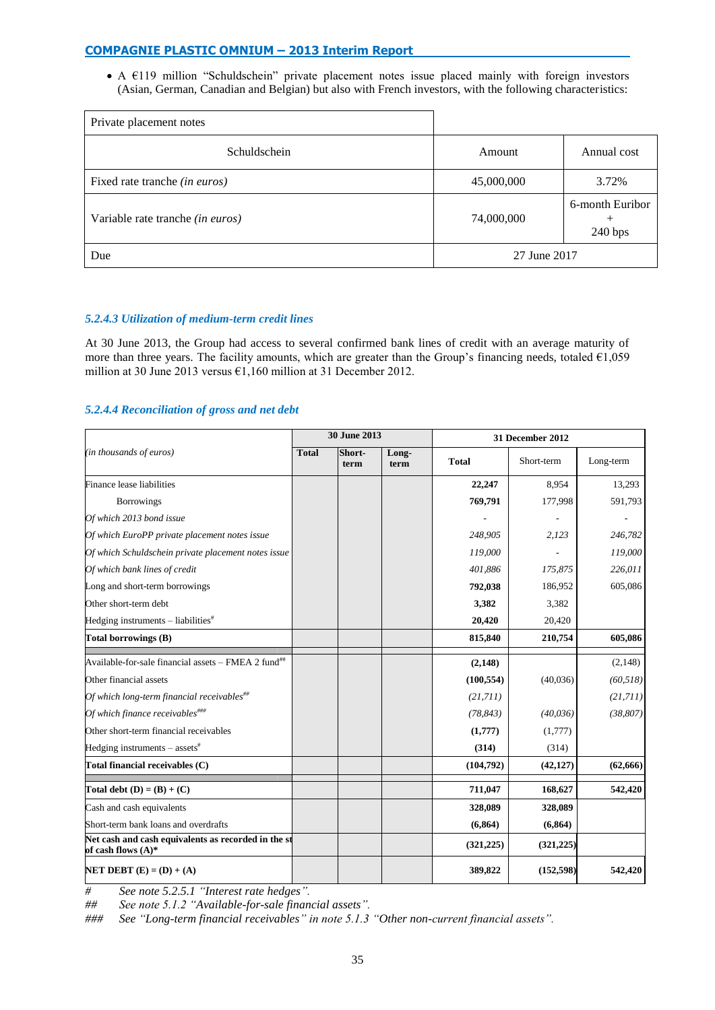A €119 million "Schuldschein" private placement notes issue placed mainly with foreign investors (Asian, German, Canadian and Belgian) but also with French investors, with the following characteristics:

| Private placement notes                 |                                          |             |  |
|-----------------------------------------|------------------------------------------|-------------|--|
| Schuldschein                            | Amount                                   | Annual cost |  |
| Fixed rate tranche (in euros)           | 45,000,000                               | 3.72%       |  |
| Variable rate tranche <i>(in euros)</i> | 6-month Euribor<br>74,000,000<br>240 bps |             |  |
| Due                                     | 27 June 2017                             |             |  |

# *5.2.4.3 Utilization of medium-term credit lines*

At 30 June 2013, the Group had access to several confirmed bank lines of credit with an average maturity of more than three years. The facility amounts, which are greater than the Group's financing needs, totaled €1,059 million at 30 June 2013 versus €1,160 million at 31 December 2012.

# *5.2.4.4 Reconciliation of gross and net debt*

|                                                                              |              | 30 June 2013   |               | 31 December 2012 |            |           |
|------------------------------------------------------------------------------|--------------|----------------|---------------|------------------|------------|-----------|
| (in thousands of euros)                                                      | <b>Total</b> | Short-<br>term | Long-<br>term | <b>Total</b>     | Short-term | Long-term |
| Finance lease liabilities                                                    |              |                |               | 22,247           | 8,954      | 13,293    |
| <b>Borrowings</b>                                                            |              |                |               | 769,791          | 177,998    | 591,793   |
| Of which 2013 bond issue                                                     |              |                |               |                  |            |           |
| Of which EuroPP private placement notes issue                                |              |                |               | 248,905          | 2,123      | 246,782   |
| Of which Schuldschein private placement notes issue                          |              |                |               | 119,000          |            | 119,000   |
| Of which bank lines of credit                                                |              |                |               | 401,886          | 175,875    | 226,011   |
| Long and short-term borrowings                                               |              |                |               | 792,038          | 186,952    | 605,086   |
| Other short-term debt                                                        |              |                |               | 3,382            | 3,382      |           |
| Hedging instruments $-$ liabilities <sup>#</sup>                             |              |                |               | 20,420           | 20,420     |           |
| <b>Total borrowings (B)</b>                                                  |              |                |               | 815,840          | 210,754    | 605,086   |
| Available-for-sale financial assets - FMEA 2 fund <sup>##</sup>              |              |                |               | (2,148)          |            | (2,148)   |
| Other financial assets                                                       |              |                |               | (100, 554)       | (40,036)   | (60, 518) |
| Of which long-term financial receivables $^{\#}$                             |              |                |               | (21,711)         |            | (21,711)  |
| Of which finance receivables###                                              |              |                |               | (78, 843)        | (40, 036)  | (38, 807) |
| Other short-term financial receivables                                       |              |                |               | (1,777)          | (1,777)    |           |
| Hedging instruments $-$ assets <sup>#</sup>                                  |              |                |               | (314)            | (314)      |           |
| Total financial receivables (C)                                              |              |                |               | (104,792)        | (42, 127)  | (62,666)  |
| Total debt $(D) = (B) + (C)$                                                 |              |                |               | 711,047          | 168,627    | 542,420   |
| Cash and cash equivalents                                                    |              |                |               | 328,089          | 328,089    |           |
| Short-term bank loans and overdrafts                                         |              |                |               | (6, 864)         | (6, 864)   |           |
| Net cash and cash equivalents as recorded in the st<br>of cash flows $(A)^*$ |              |                |               | (321, 225)       | (321, 225) |           |
| NET DEBT $(E) = (D) + (A)$                                                   |              |                |               | 389,822          | (152,598)  | 542,420   |

*# See note 5.2.5.1 "Interest rate hedges".*

*## See note 5.1.2 "Available-for-sale financial assets".*

*### See "Long-term financial receivables" in note 5.1.3 "Other non-current financial assets".*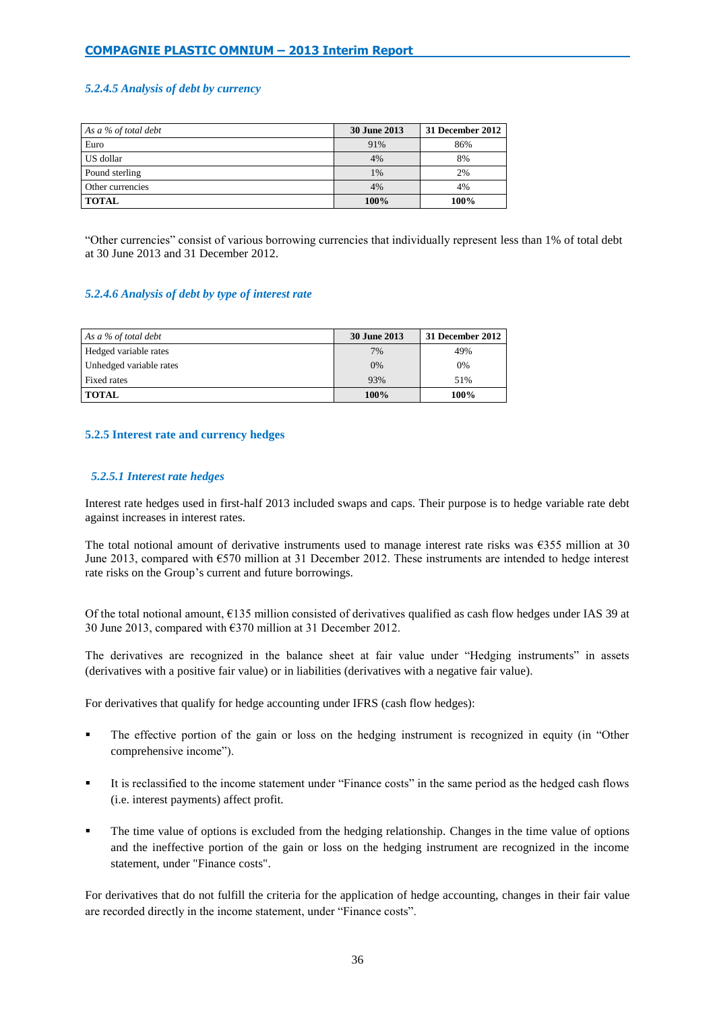# *5.2.4.5 Analysis of debt by currency*

| As a $\%$ of total debt | <b>30 June 2013</b> | 31 December 2012 |
|-------------------------|---------------------|------------------|
| Euro                    | 91%                 | 86%              |
| US dollar               | 4%                  | 8%               |
| Pound sterling          | 1%                  | 2%               |
| Other currencies        | 4%                  | 4%               |
| <b>TOTAL</b>            | 100%                | 100%             |

"Other currencies" consist of various borrowing currencies that individually represent less than 1% of total debt at 30 June 2013 and 31 December 2012.

## *5.2.4.6 Analysis of debt by type of interest rate*

| As a % of total debt    | <b>30 June 2013</b> | 31 December 2012 |
|-------------------------|---------------------|------------------|
| Hedged variable rates   | 7%                  | 49%              |
| Unhedged variable rates | 0%                  | 0%               |
| Fixed rates             | 93%                 | 51%              |
| <b>TOTAL</b>            | 100%                | 100%             |

## **5.2.5 Interest rate and currency hedges**

## *5.2.5.1 Interest rate hedges*

Interest rate hedges used in first-half 2013 included swaps and caps. Their purpose is to hedge variable rate debt against increases in interest rates.

The total notional amount of derivative instruments used to manage interest rate risks was  $\epsilon$ 355 million at 30 June 2013, compared with €570 million at 31 December 2012. These instruments are intended to hedge interest rate risks on the Group's current and future borrowings.

Of the total notional amount,  $\epsilon$ 135 million consisted of derivatives qualified as cash flow hedges under IAS 39 at 30 June 2013, compared with €370 million at 31 December 2012.

The derivatives are recognized in the balance sheet at fair value under "Hedging instruments" in assets (derivatives with a positive fair value) or in liabilities (derivatives with a negative fair value).

For derivatives that qualify for hedge accounting under IFRS (cash flow hedges):

- The effective portion of the gain or loss on the hedging instrument is recognized in equity (in "Other comprehensive income").
- It is reclassified to the income statement under "Finance costs" in the same period as the hedged cash flows (i.e. interest payments) affect profit.
- The time value of options is excluded from the hedging relationship. Changes in the time value of options and the ineffective portion of the gain or loss on the hedging instrument are recognized in the income statement, under "Finance costs".

For derivatives that do not fulfill the criteria for the application of hedge accounting, changes in their fair value are recorded directly in the income statement, under "Finance costs".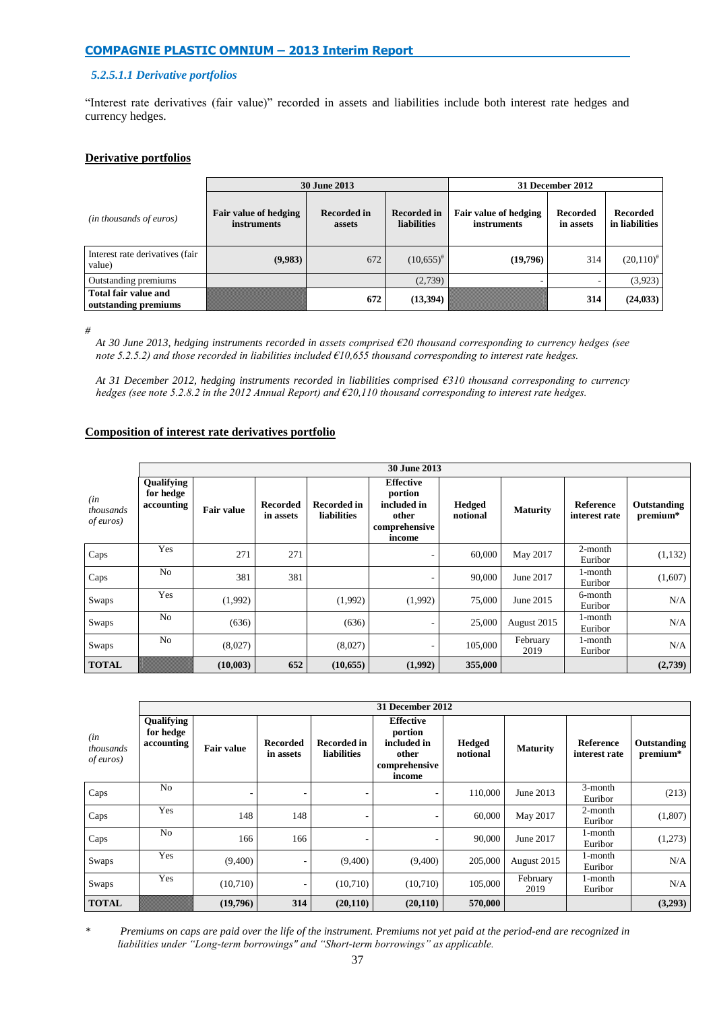# *5.2.5.1.1 Derivative portfolios*

"Interest rate derivatives (fair value)" recorded in assets and liabilities include both interest rate hedges and currency hedges.

## **Derivative portfolios**

|                                                     |                                      | <b>30 June 2013</b>          | 31 December 2012                         |                                             |                       |                                   |
|-----------------------------------------------------|--------------------------------------|------------------------------|------------------------------------------|---------------------------------------------|-----------------------|-----------------------------------|
| (in thousands of euros)                             | Fair value of hedging<br>instruments | <b>Recorded in</b><br>assets | <b>Recorded in</b><br><b>liabilities</b> | Fair value of hedging<br><i>instruments</i> | Recorded<br>in assets | <b>Recorded</b><br>in liabilities |
| Interest rate derivatives (fair<br>value)           | (9,983)                              | 672                          | $(10,655)^{#}$                           | (19,796)                                    | 314                   | $(20,110)^{4}$                    |
| Outstanding premiums                                |                                      |                              | (2,739)                                  |                                             |                       | (3, 923)                          |
| <b>Total fair value and</b><br>outstanding premiums |                                      | 672                          | (13, 394)                                |                                             | 314                   | (24, 033)                         |

*#* 

*At 30 June 2013, hedging instruments recorded in assets comprised €20 thousand corresponding to currency hedges (see note 5.2.5.2) and those recorded in liabilities included €10,655 thousand corresponding to interest rate hedges.*

*At 31 December 2012, hedging instruments recorded in liabilities comprised €310 thousand corresponding to currency hedges (see note 5.2.8.2 in the 2012 Annual Report) and €20,110 thousand corresponding to interest rate hedges.*

# **Composition of interest rate derivatives portfolio**

|                                       | 30 June 2013                          |                   |                              |                                   |                                                                                |                           |                  |                                   |                         |
|---------------------------------------|---------------------------------------|-------------------|------------------------------|-----------------------------------|--------------------------------------------------------------------------------|---------------------------|------------------|-----------------------------------|-------------------------|
| (in<br>thousands<br><i>of euros</i> ) | Qualifying<br>for hedge<br>accounting | <b>Fair value</b> | <b>Recorded</b><br>in assets | <b>Recorded in</b><br>liabilities | <b>Effective</b><br>portion<br>included in<br>other<br>comprehensive<br>income | <b>Hedged</b><br>notional | <b>Maturity</b>  | <b>Reference</b><br>interest rate | Outstanding<br>premium* |
| Caps                                  | Yes                                   | 271               | 271                          |                                   | ۰                                                                              | 60,000                    | May 2017         | 2-month<br>Euribor                | (1,132)                 |
| Caps                                  | N <sub>o</sub>                        | 381               | 381                          |                                   | ۰                                                                              | 90,000                    | June 2017        | 1-month<br>Euribor                | (1,607)                 |
| Swaps                                 | Yes                                   | (1,992)           |                              | (1,992)                           | (1,992)                                                                        | 75,000                    | June 2015        | 6-month<br>Euribor                | N/A                     |
| Swaps                                 | N <sub>o</sub>                        | (636)             |                              | (636)                             | ۰                                                                              | 25,000                    | August 2015      | 1-month<br>Euribor                | N/A                     |
| Swaps                                 | No                                    | (8,027)           |                              | (8,027)                           |                                                                                | 105,000                   | February<br>2019 | 1-month<br>Euribor                | N/A                     |
| <b>TOTAL</b>                          |                                       | (10,003)          | 652                          | (10,655)                          | (1,992)                                                                        | 355,000                   |                  |                                   | (2,739)                 |

|                                       | <b>31 December 2012</b>               |                          |                              |                            |                                                                                |                    |                  |                            |                         |
|---------------------------------------|---------------------------------------|--------------------------|------------------------------|----------------------------|--------------------------------------------------------------------------------|--------------------|------------------|----------------------------|-------------------------|
| (in<br>thousands<br><i>of euros</i> ) | Qualifying<br>for hedge<br>accounting | <b>Fair value</b>        | <b>Recorded</b><br>in assets | Recorded in<br>liabilities | <b>Effective</b><br>portion<br>included in<br>other<br>comprehensive<br>income | Hedged<br>notional | <b>Maturity</b>  | Reference<br>interest rate | Outstanding<br>premium* |
| Caps                                  | No                                    | $\overline{\phantom{a}}$ | ۰                            | ۰                          | ۰                                                                              | 110,000            | June 2013        | 3-month<br>Euribor         | (213)                   |
| Caps                                  | Yes                                   | 148                      | 148                          | ٠                          | ۰                                                                              | 60,000             | May 2017         | 2-month<br>Euribor         | (1,807)                 |
| Caps                                  | N <sub>o</sub>                        | 166                      | 166                          |                            |                                                                                | 90,000             | June 2017        | 1-month<br>Euribor         | (1,273)                 |
| Swaps                                 | Yes                                   | (9,400)                  |                              | (9,400)                    | (9,400)                                                                        | 205,000            | August 2015      | 1-month<br>Euribor         | N/A                     |
| Swaps                                 | Yes                                   | (10,710)                 |                              | (10,710)                   | (10,710)                                                                       | 105,000            | February<br>2019 | 1-month<br>Euribor         | N/A                     |
| <b>TOTAL</b>                          |                                       | (19,796)                 | 314                          | (20, 110)                  | (20, 110)                                                                      | 570,000            |                  |                            | (3,293)                 |

*\* Premiums on caps are paid over the life of the instrument. Premiums not yet paid at the period-end are recognized in liabilities under "Long-term borrowings" and "Short-term borrowings" as applicable.*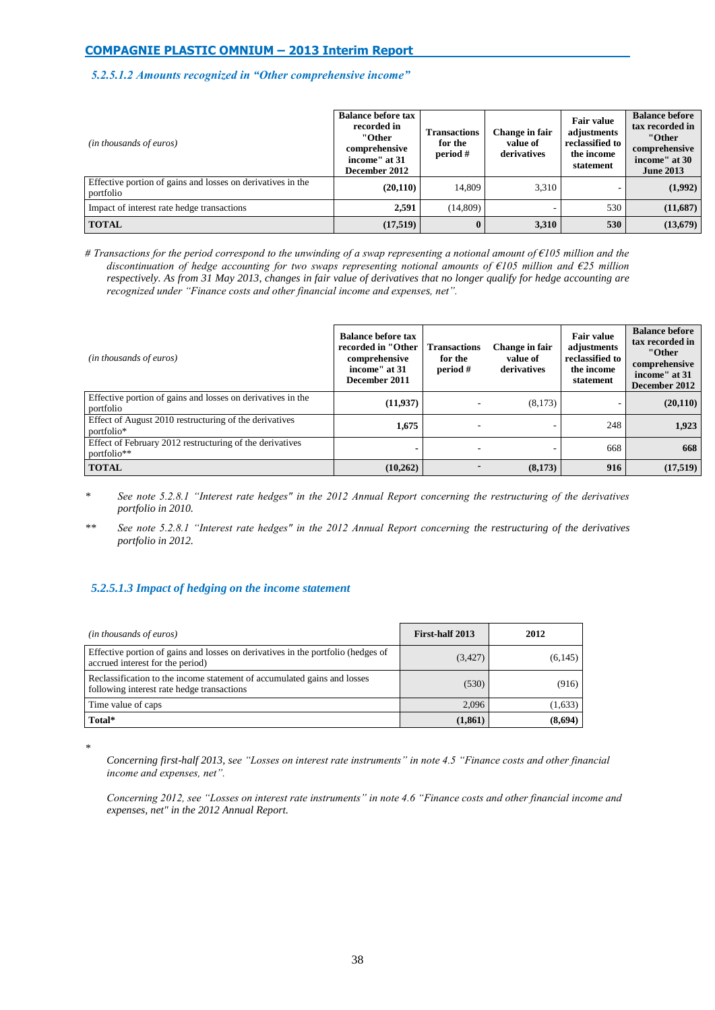## *5.2.5.1.2 Amounts recognized in "Other comprehensive income"*

| (in thousands of euros)                                                  | <b>Balance before tax</b><br>recorded in<br>"Other<br>comprehensive<br>income" at 31<br>December 2012 | Transactions<br>for the<br>period # | Change in fair<br>value of<br>derivatives | <b>Fair value</b><br>adjustments<br>reclassified to<br>the income<br>statement | <b>Balance before</b><br>tax recorded in<br>"Other<br>comprehensive<br>income" at 30<br><b>June 2013</b> |
|--------------------------------------------------------------------------|-------------------------------------------------------------------------------------------------------|-------------------------------------|-------------------------------------------|--------------------------------------------------------------------------------|----------------------------------------------------------------------------------------------------------|
| Effective portion of gains and losses on derivatives in the<br>portfolio | (20, 110)                                                                                             | 14.809                              | 3.310                                     |                                                                                | (1,992)                                                                                                  |
| Impact of interest rate hedge transactions                               | 2,591                                                                                                 | (14, 809)                           |                                           | 530                                                                            | (11,687)                                                                                                 |
| <b>TOTAL</b>                                                             | (17,519)                                                                                              | $\bf{0}$                            | 3,310                                     | 530                                                                            | (13,679)                                                                                                 |

*# Transactions for the period correspond to the unwinding of a swap representing a notional amount of €105 million and the discontinuation of hedge accounting for two swaps representing notional amounts of €105 million and €25 million respectively. As from 31 May 2013, changes in fair value of derivatives that no longer qualify for hedge accounting are recognized under "Finance costs and other financial income and expenses, net".*

| (in thousands of euros)                                                  | <b>Balance before tax</b><br>recorded in "Other<br>comprehensive<br>income" at 31<br>December 2011 | <b>Transactions</b><br>for the<br>period # | Change in fair<br>value of<br>derivatives | <b>Fair value</b><br>adjustments<br>reclassified to<br>the income<br>statement | <b>Balance before</b><br>tax recorded in<br>"Other<br>comprehensive<br>income" at 31<br>December 2012 |
|--------------------------------------------------------------------------|----------------------------------------------------------------------------------------------------|--------------------------------------------|-------------------------------------------|--------------------------------------------------------------------------------|-------------------------------------------------------------------------------------------------------|
| Effective portion of gains and losses on derivatives in the<br>portfolio | (11, 937)                                                                                          |                                            | (8,173)                                   |                                                                                | (20,110)                                                                                              |
| Effect of August 2010 restructuring of the derivatives<br>portfolio*     | 1,675                                                                                              |                                            |                                           | 248                                                                            | 1,923                                                                                                 |
| Effect of February 2012 restructuring of the derivatives<br>portfolio**  | $\overline{\phantom{0}}$                                                                           |                                            |                                           | 668                                                                            | 668                                                                                                   |
| <b>TOTAL</b>                                                             | (10,262)                                                                                           |                                            | (8,173)                                   | 916                                                                            | (17,519)                                                                                              |

- *\* See note 5.2.8.1 "Interest rate hedges" in the 2012 Annual Report concerning the restructuring of the derivatives portfolio in 2010.*
- *\*\* See note 5.2.8.1 "Interest rate hedges" in the 2012 Annual Report concerning the restructuring of the derivatives portfolio in 2012.*

## *5.2.5.1.3 Impact of hedging on the income statement*

| (in thousands of euros)                                                                                                | First-half 2013 | 2012     |
|------------------------------------------------------------------------------------------------------------------------|-----------------|----------|
| Effective portion of gains and losses on derivatives in the portfolio (hedges of<br>accrued interest for the period)   | (3, 427)        | (6, 145) |
| Reclassification to the income statement of accumulated gains and losses<br>following interest rate hedge transactions | (530)           | (916)    |
| Time value of caps                                                                                                     | 2.096           | (1,633)  |
| Total*                                                                                                                 | (1, 861)        | (8,694)  |

*\** 

*Concerning first-half 2013, see "Losses on interest rate instruments" in note 4.5 "Finance costs and other financial income and expenses, net".*

*Concerning 2012, see "Losses on interest rate instruments" in note 4.6 "Finance costs and other financial income and expenses, net" in the 2012 Annual Report.*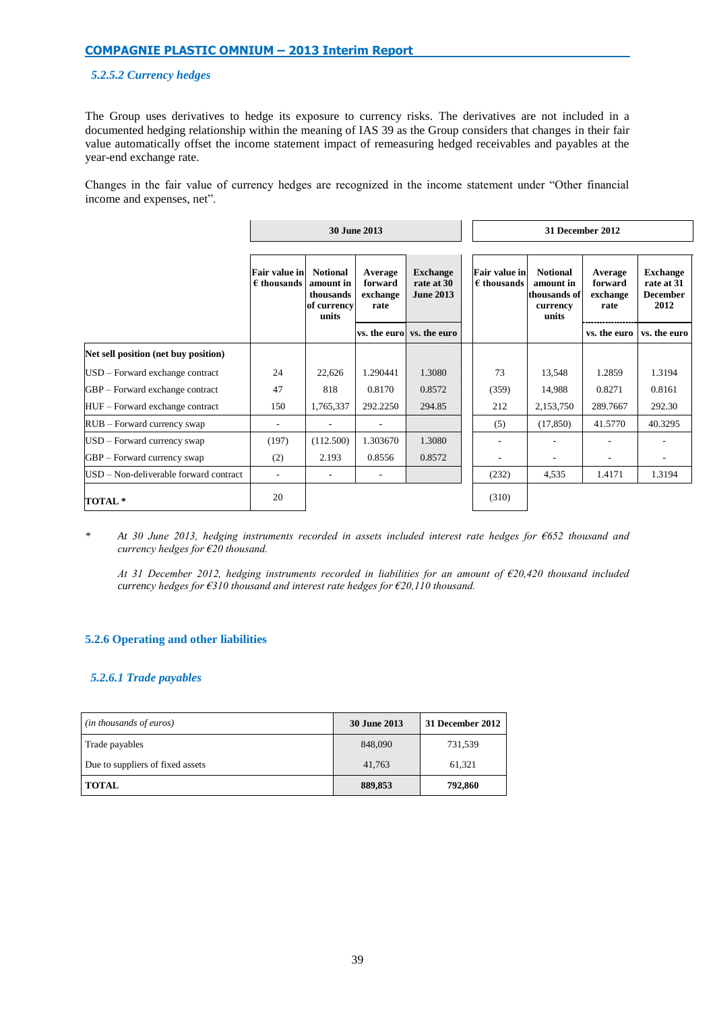## *5.2.5.2 Currency hedges*

The Group uses derivatives to hedge its exposure to currency risks. The derivatives are not included in a documented hedging relationship within the meaning of IAS 39 as the Group considers that changes in their fair value automatically offset the income statement impact of remeasuring hedged receivables and payables at the year-end exchange rate.

Changes in the fair value of currency hedges are recognized in the income statement under "Other financial income and expenses, net".

|                                        |                                              |                                                                   | 30 June 2013                           |                                                   | 31 December 2012                             |                                                                   |                                        |                                                          |  |  |
|----------------------------------------|----------------------------------------------|-------------------------------------------------------------------|----------------------------------------|---------------------------------------------------|----------------------------------------------|-------------------------------------------------------------------|----------------------------------------|----------------------------------------------------------|--|--|
|                                        |                                              |                                                                   |                                        |                                                   |                                              |                                                                   |                                        |                                                          |  |  |
|                                        | <b>Fair value in</b><br>$\epsilon$ thousands | <b>Notional</b><br>amount in<br>thousands<br>of currency<br>units | Average<br>forward<br>exchange<br>rate | <b>Exchange</b><br>rate at 30<br><b>June 2013</b> | <b>Fair value in</b><br>$\epsilon$ thousands | <b>Notional</b><br>amount in<br>thousands of<br>currency<br>units | Average<br>forward<br>exchange<br>rate | <b>Exchange</b><br>rate at 31<br><b>December</b><br>2012 |  |  |
|                                        |                                              |                                                                   |                                        | vs. the euro vs. the euro                         |                                              |                                                                   | vs. the euro                           | vs. the euro                                             |  |  |
| Net sell position (net buy position)   |                                              |                                                                   |                                        |                                                   |                                              |                                                                   |                                        |                                                          |  |  |
| USD – Forward exchange contract        | 24                                           | 22,626                                                            | 1.290441                               | 1.3080                                            | 73                                           | 13,548                                                            | 1.2859                                 | 1.3194                                                   |  |  |
| GBP – Forward exchange contract        | 47                                           | 818                                                               | 0.8170                                 | 0.8572                                            | (359)                                        | 14,988                                                            | 0.8271                                 | 0.8161                                                   |  |  |
| HUF - Forward exchange contract        | 150                                          | 1,765,337                                                         | 292.2250                               | 294.85                                            | 212                                          | 2,153,750                                                         | 289.7667                               | 292.30                                                   |  |  |
| $RUB - Forward$ currency swap          | ٠                                            | ٠.                                                                | ۰.                                     |                                                   | (5)                                          | (17, 850)                                                         | 41.5770                                | 40.3295                                                  |  |  |
| USD – Forward currency swap            | (197)                                        | (112.500)                                                         | 1.303670                               | 1.3080                                            |                                              |                                                                   |                                        |                                                          |  |  |
| GBP – Forward currency swap            | (2)                                          | 2.193                                                             | 0.8556                                 | 0.8572                                            |                                              |                                                                   |                                        |                                                          |  |  |
| USD – Non-deliverable forward contract |                                              | ٠.                                                                | ٠                                      |                                                   | (232)                                        | 4,535                                                             | 1.4171                                 | 1.3194                                                   |  |  |
| TOTAL <sup>*</sup>                     | 20                                           |                                                                   |                                        |                                                   | (310)                                        |                                                                   |                                        |                                                          |  |  |

*\* At 30 June 2013, hedging instruments recorded in assets included interest rate hedges for €652 thousand and currency hedges for €20 thousand.*

*At 31 December 2012, hedging instruments recorded in liabilities for an amount of €20,420 thousand included currency hedges for €310 thousand and interest rate hedges for €20,110 thousand.*

# **5.2.6 Operating and other liabilities**

## *5.2.6.1 Trade payables*

| ( <i>in thousands of euros</i> ) | 30 June 2013 | 31 December 2012 |
|----------------------------------|--------------|------------------|
| Trade payables                   | 848,090      | 731,539          |
| Due to suppliers of fixed assets | 41,763       | 61.321           |
| <b>TOTAL</b>                     | 889,853      | 792,860          |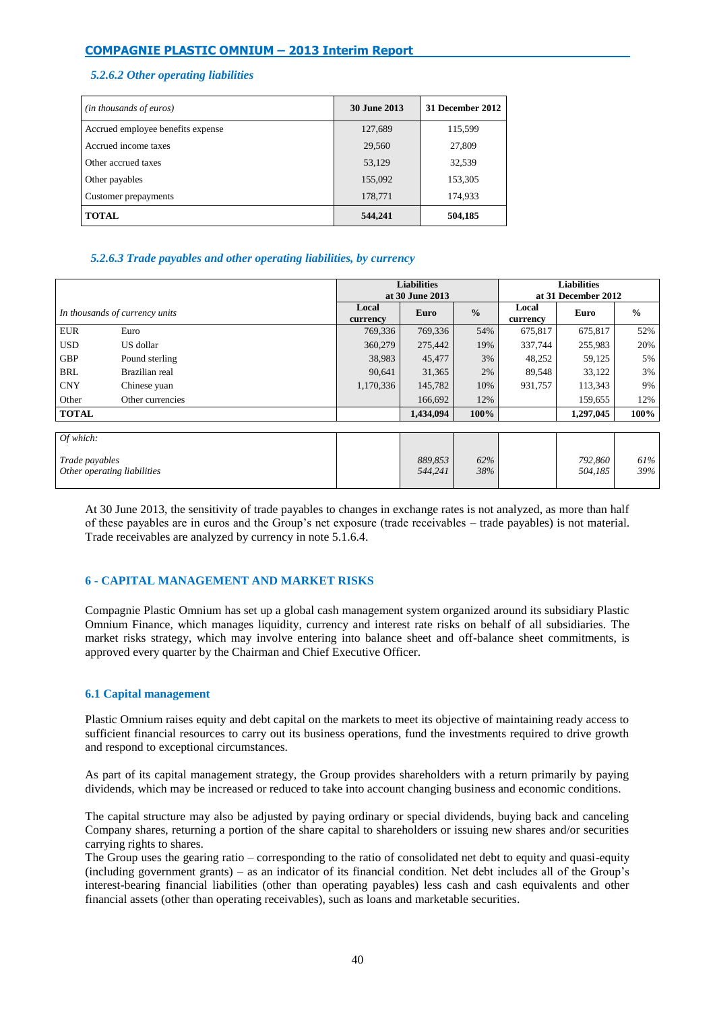# *5.2.6.2 Other operating liabilities*

| (in thousands of euros)           | 30 June 2013 | 31 December 2012 |
|-----------------------------------|--------------|------------------|
| Accrued employee benefits expense | 127,689      | 115,599          |
| Accrued income taxes              | 29,560       | 27,809           |
| Other accrued taxes               | 53,129       | 32,539           |
| Other payables                    | 155,092      | 153,305          |
| Customer prepayments              | 178,771      | 174,933          |
| <b>TOTAL</b>                      | 544,241      | 504,185          |

# *5.2.6.3 Trade payables and other operating liabilities, by currency*

|                                |                             |                   | <b>Liabilities</b><br>at 30 June 2013 |               | <b>Liabilities</b><br>at 31 December 2012 |                    |               |  |
|--------------------------------|-----------------------------|-------------------|---------------------------------------|---------------|-------------------------------------------|--------------------|---------------|--|
| In thousands of currency units |                             | Local<br>currency | Euro                                  | $\frac{0}{0}$ | Local<br>currency                         | Euro               | $\frac{6}{9}$ |  |
| <b>EUR</b>                     | Euro                        | 769,336           | 769,336                               | 54%           | 675,817                                   | 675,817            | 52%           |  |
| <b>USD</b>                     | US dollar                   | 360,279           | 275,442                               | 19%           | 337,744                                   | 255,983            | 20%           |  |
| <b>GBP</b>                     | Pound sterling              | 38,983            | 45,477                                | 3%            | 48,252                                    | 59,125             | 5%            |  |
| <b>BRL</b>                     | Brazilian real              | 90,641            | 31,365                                | 2%            | 89,548                                    | 33,122             | 3%            |  |
| <b>CNY</b>                     | Chinese yuan                | 1,170,336         | 145,782                               | 10%           | 931,757                                   | 113,343            | 9%            |  |
| Other                          | Other currencies            |                   | 166,692                               | 12%           |                                           | 159,655            | 12%           |  |
| <b>TOTAL</b>                   |                             |                   | 1,434,094                             | 100%          |                                           | 1,297,045          | 100%          |  |
|                                |                             |                   |                                       |               |                                           |                    |               |  |
| Of which:                      |                             |                   |                                       |               |                                           |                    |               |  |
| Trade payables                 | Other operating liabilities |                   | 889,853<br>544,241                    | 62%<br>38%    |                                           | 792,860<br>504,185 | 61%<br>39%    |  |

At 30 June 2013, the sensitivity of trade payables to changes in exchange rates is not analyzed, as more than half of these payables are in euros and the Group's net exposure (trade receivables – trade payables) is not material. Trade receivables are analyzed by currency in note 5.1.6.4.

# **6 - CAPITAL MANAGEMENT AND MARKET RISKS**

Compagnie Plastic Omnium has set up a global cash management system organized around its subsidiary Plastic Omnium Finance, which manages liquidity, currency and interest rate risks on behalf of all subsidiaries. The market risks strategy, which may involve entering into balance sheet and off-balance sheet commitments, is approved every quarter by the Chairman and Chief Executive Officer.

## **6.1 Capital management**

Plastic Omnium raises equity and debt capital on the markets to meet its objective of maintaining ready access to sufficient financial resources to carry out its business operations, fund the investments required to drive growth and respond to exceptional circumstances.

As part of its capital management strategy, the Group provides shareholders with a return primarily by paying dividends, which may be increased or reduced to take into account changing business and economic conditions.

The capital structure may also be adjusted by paying ordinary or special dividends, buying back and canceling Company shares, returning a portion of the share capital to shareholders or issuing new shares and/or securities carrying rights to shares.

The Group uses the gearing ratio – corresponding to the ratio of consolidated net debt to equity and quasi-equity (including government grants) – as an indicator of its financial condition. Net debt includes all of the Group's interest-bearing financial liabilities (other than operating payables) less cash and cash equivalents and other financial assets (other than operating receivables), such as loans and marketable securities.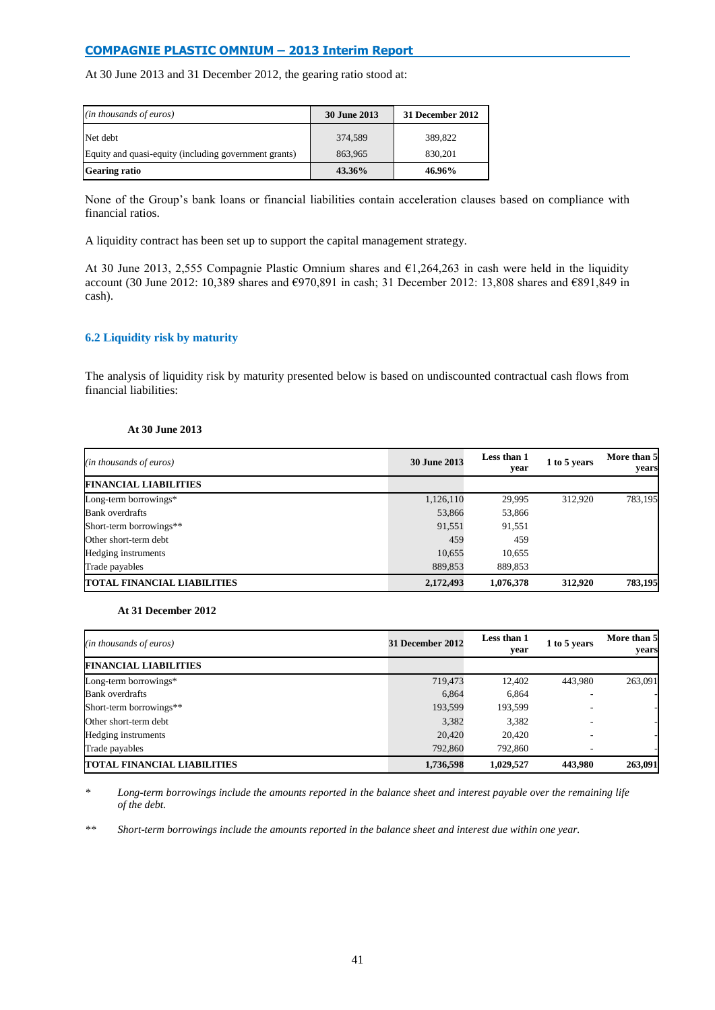At 30 June 2013 and 31 December 2012, the gearing ratio stood at:

| $(in$ thousands of euros)                             | <b>30 June 2013</b> | 31 December 2012 |
|-------------------------------------------------------|---------------------|------------------|
| Net debt                                              | 374,589             | 389,822          |
| Equity and quasi-equity (including government grants) | 863,965             | 830.201          |
| <b>Gearing ratio</b>                                  | 43.36%              | 46.96%           |

None of the Group's bank loans or financial liabilities contain acceleration clauses based on compliance with financial ratios.

A liquidity contract has been set up to support the capital management strategy.

At 30 June 2013, 2,555 Compagnie Plastic Omnium shares and €1,264,263 in cash were held in the liquidity account (30 June 2012: 10,389 shares and €970,891 in cash; 31 December 2012: 13,808 shares and €891,849 in cash).

## **6.2 Liquidity risk by maturity**

The analysis of liquidity risk by maturity presented below is based on undiscounted contractual cash flows from financial liabilities:

## **At 30 June 2013**

| (in thousands of euros)            | <b>30 June 2013</b> | Less than 1<br>year | 1 to 5 years | More than 5<br>years |
|------------------------------------|---------------------|---------------------|--------------|----------------------|
| <b>FINANCIAL LIABILITIES</b>       |                     |                     |              |                      |
| Long-term borrowings*              | 1,126,110           | 29,995              | 312,920      | 783,195              |
| <b>Bank</b> overdrafts             | 53,866              | 53,866              |              |                      |
| Short-term borrowings**            | 91,551              | 91,551              |              |                      |
| Other short-term debt              | 459                 | 459                 |              |                      |
| Hedging instruments                | 10,655              | 10.655              |              |                      |
| Trade payables                     | 889,853             | 889.853             |              |                      |
| <b>TOTAL FINANCIAL LIABILITIES</b> | 2,172,493           | 1,076,378           | 312,920      | 783,195              |

#### **At 31 December 2012**

| (in thousands of euros)            | 31 December 2012 | Less than 1<br>year | 1 to 5 years | More than 5<br>years |  |
|------------------------------------|------------------|---------------------|--------------|----------------------|--|
| <b>FINANCIAL LIABILITIES</b>       |                  |                     |              |                      |  |
| Long-term borrowings*              | 719,473          | 12,402              | 443,980      | 263,091              |  |
| <b>Bank</b> overdrafts             | 6,864            | 6,864               |              |                      |  |
| Short-term borrowings**            | 193,599          | 193.599             |              |                      |  |
| Other short-term debt              | 3,382            | 3,382               |              |                      |  |
| Hedging instruments                | 20,420           | 20,420              |              |                      |  |
| Trade payables                     | 792,860          | 792,860             |              |                      |  |
| <b>TOTAL FINANCIAL LIABILITIES</b> | 1,736,598        | 1,029,527           | 443,980      | 263,091              |  |

Long-term borrowings include the amounts reported in the balance sheet and interest payable over the remaining life *of the debt.* 

*\*\* Short-term borrowings include the amounts reported in the balance sheet and interest due within one year.*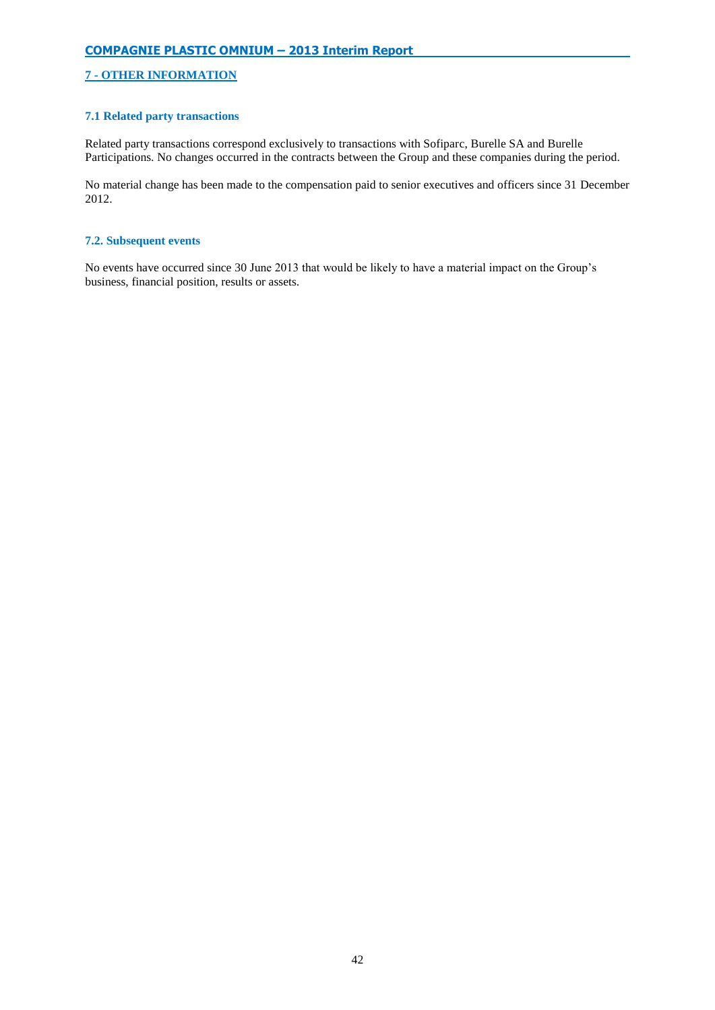# **7 - OTHER INFORMATION**

## **7.1 Related party transactions**

Related party transactions correspond exclusively to transactions with Sofiparc, Burelle SA and Burelle Participations. No changes occurred in the contracts between the Group and these companies during the period.

No material change has been made to the compensation paid to senior executives and officers since 31 December 2012.

## **7.2. Subsequent events**

No events have occurred since 30 June 2013 that would be likely to have a material impact on the Group's business, financial position, results or assets.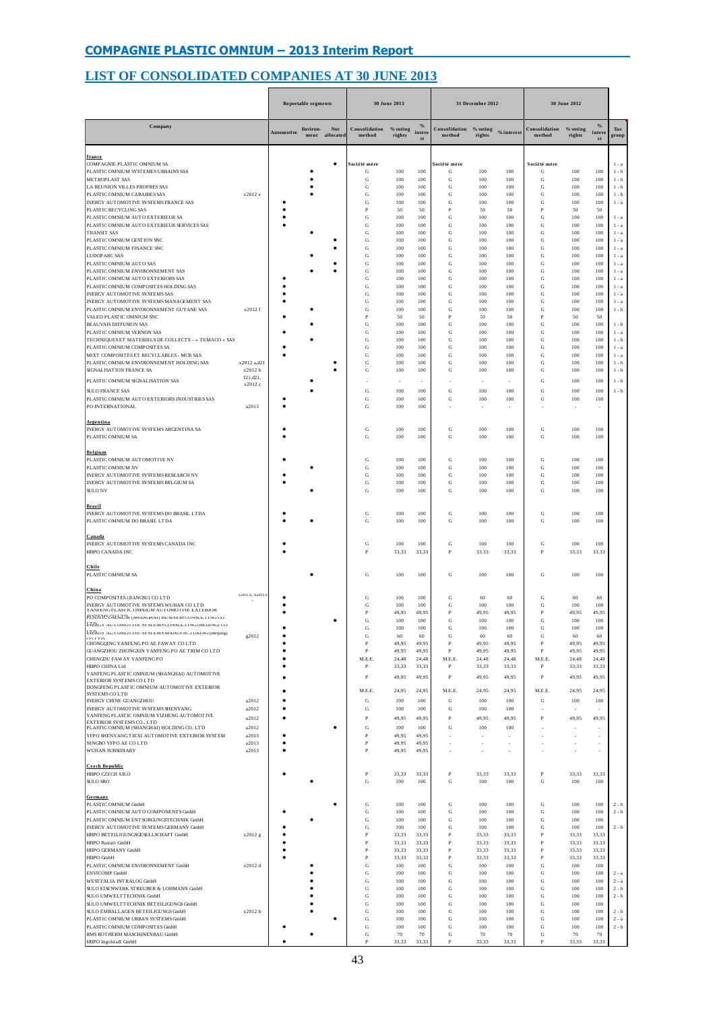# **LIST OF CONSOLIDATED COMPANIES AT 30 JUNE 2013**

|                                                                                                                 |                     | <b>Reportable segments</b><br>30 June 2013 |          |                       |                         | 31 December 2012   |                               | 30 June 2012                     |                |                |                         |                    |                               |                                |
|-----------------------------------------------------------------------------------------------------------------|---------------------|--------------------------------------------|----------|-----------------------|-------------------------|--------------------|-------------------------------|----------------------------------|----------------|----------------|-------------------------|--------------------|-------------------------------|--------------------------------|
| Company                                                                                                         |                     | <b>Automotive</b>                          | Environ- | Not<br>ment allocated | Consolidation<br>method | % voting<br>rights | $\frac{9}{9}$<br>intere<br>st | Consolidation % voting<br>method | rights         | % interest     | Consolidation<br>method | % voting<br>rights | $\frac{0}{6}$<br>intere<br>st | Tax<br>group                   |
| France<br>COMPAGNIE PLASTIC OMNIUM SA                                                                           |                     |                                            |          | ٠                     | Société mère            | 100                | 100                           | Société mère                     | 100            | 100            | Société mère            | 100                | 100                           | $1 - a$<br>$1 - b$             |
| PLASTIC OMNIUM SYSTEMES URBAINS SAS<br>METROPLAST SAS                                                           |                     |                                            |          |                       | G<br>G                  | 100                | 100                           | G<br>G                           | 100            | 100            | G<br>G                  | 100                | 100                           | $1 - b$                        |
| LA REUNION VILLES PROPRES SAS<br>PLASTIC OMNIUM CARAIBES SAS                                                    | x2012 e             |                                            |          |                       | G<br>G                  | 100<br>100         | 100<br>100                    | G<br>G                           | 100<br>100     | 100<br>100     | G<br>G                  | 100<br>100         | 100<br>100                    | $1 - b$<br>$1 - b$             |
| INERGY AUTOMOTIVE SYSTEMS FRANCE SAS                                                                            |                     |                                            |          |                       | G                       | 100                | 100                           | G                                | 100            | 100            | G                       | 100                | 100                           | $1 - a$                        |
| PLASTIC RECYCLING SAS<br>PLASTIC OMNIUM AUTO EXTERIEUR SA                                                       |                     |                                            |          |                       | P<br>G                  | 50<br>100          | 50<br>100                     | P<br>G                           | 50<br>100      | 50<br>100      | P<br>G                  | 50<br>100          | 50<br>100                     | $1 - a$                        |
| PLASTIC OMNIUM AUTO EXTERIEUR SERVICES SAS                                                                      |                     |                                            |          |                       | G                       | 100                | 100                           | ${\bf G}$                        | 100            | 100            | G                       | 100                | 100                           | $1 - a$                        |
| <b>TRANSIT SAS</b><br>PLASTIC OMNIUM GESTION SNC                                                                |                     |                                            |          | ٠                     | G<br>G                  | 100<br>100         | 100<br>100                    | G<br>G                           | 100<br>100     | 100<br>100     | G<br>G                  | 100<br>100         | 100<br>100                    | $1 - a$<br>$1 - a$             |
| PLASTIC OMNIUM FINANCE SNC<br><b>LUDOPARC SAS</b>                                                               |                     |                                            |          |                       | G<br>G                  | 100<br>100         | 100<br>100                    | G<br>G                           | 100<br>100     | 100<br>100     | G<br>G                  | 100<br>100         | 100<br>100                    | $1 - a$<br>$1\,$ - $\,$ a $\,$ |
| PLASTIC OMNIUM AUTO SAS                                                                                         |                     |                                            |          |                       | G                       | 100                | 100                           | G                                | 100            | 100            | G                       | 100                | 100                           | $1\,$ - $\,$ a                 |
| PLASTIC OMNIUM ENVIRONNEMENT SAS<br>PLASTIC OMNIUM AUTO EXTERIORS SAS                                           |                     |                                            |          | ٠                     | G<br>G                  | 100<br>100         | 100<br>100                    | G<br>G                           | 100<br>100     | 100<br>100     | G<br>G                  | 100<br>100         | 100<br>100                    | $1 - a$<br>$1 - a$             |
| PLASTIC OMNIUM COMPOSITES HOLDING SAS                                                                           |                     |                                            |          |                       | G                       | 100                | 100                           | ${\rm G}$                        | 100            | 100            | G                       | 100                | 100                           | $1 - a$                        |
| INERGY AUTOMOTIVE SYSTEMS SAS<br>INERGY AUTOMOTIVE SYSTEMS MANAGEMENT SAS                                       |                     |                                            |          |                       | G<br>G                  | 100<br>100         | 100<br>100                    | G<br>G                           | 100<br>100     | 100<br>100     | G<br>G                  | 100<br>100         | 100<br>100                    | $1 - a$<br>$1 - a$             |
| PLASTIC OMNIUM ENVIRONNEMENT GUYANE SAS                                                                         | x2012 f             |                                            |          |                       | G                       | 100                | 100                           | G                                | 100            | 100            | G                       | 100                | 100                           | $1 - b$                        |
| VALEO PLASTIC OMNIUM SNC<br><b>BEAUVAIS DIFFUSION SAS</b>                                                       |                     |                                            |          |                       | P<br>G                  | 50<br>100          | 50<br>100                     | p<br>G                           | 50<br>100      | 50<br>100      | $\overline{P}$<br>G     | 50<br>100          | 50<br>100                     | $1 - b$                        |
| PLASTIC OMNIUM VERNON SAS                                                                                       |                     |                                            |          |                       | G                       | 100                | 100                           | G                                | 100            | 100            | G                       | 100                | 100                           | $1 - a$                        |
| TECHNIQUES ET MATERIELS DE COLLECTE - « TEMACO » SAS<br>PLASTIC OMNIUM COMPOSITES SA                            |                     |                                            |          |                       | G<br>G                  | 100<br>100         | 100<br>100                    | G<br>G                           | 100<br>100     | 100<br>100     | G<br>G                  | 100<br>100         | 100<br>100                    | $1 - b$<br>$1 - a$             |
| MIXT COMPOSITES ET RECYCLABLES - MCR SAS<br>PLASTIC OMNIUM ENVIRONNEMENT HOLDING SAS                            | x2012 a,d21         |                                            |          |                       | G<br>G                  | 100<br>100         | 100<br>100                    | G<br>G                           | 100<br>100     | 100<br>100     | G<br>G                  | 100<br>100         | 100<br>100                    | $1 - a$<br>$1 - b$             |
| SIGNALISATION FRANCE SA                                                                                         | x2012 b             |                                            |          |                       | G                       | 100                | 100                           | G                                | 100            | 100            | G                       | 100                | 100                           | $1 - b$                        |
| PLASTIC OMNIUM SIGNALISATION SAS                                                                                | f21,d21,<br>x2012 c |                                            |          |                       |                         |                    |                               |                                  |                |                | G                       | 100                | 100                           | $1 - b$                        |
| <b>SULO FRANCE SAS</b>                                                                                          |                     |                                            |          |                       | G                       | 100                | 100                           | ${\bf G}$                        | 100            | 100            | G                       | 100                | 100                           | $1 - b$                        |
| PLASTIC OMNIUM AUTO EXTERIORS INDUSTRIES SAS<br>PO INTERNATIONAL                                                | a2013               |                                            |          |                       | G<br>G                  | 100<br>100         | 100<br>100                    | G                                | 100            | 100            | G                       | 100                | 100                           |                                |
| Argentina<br>INERGY AUTOMOTIVE SYSTEMS ARGENTINA SA<br>PLASTIC OMNIUM SA                                        |                     |                                            |          |                       | G<br>G                  | 100<br>100         | 100<br>100                    | G<br>G                           | 100<br>100     | 100<br>100     | G<br>G                  | 100<br>100         | 100<br>100                    |                                |
| Belgium<br>PLASTIC OMNIUM AUTOMOTIVE NV<br>PLASTIC OMNIUM NV                                                    |                     |                                            |          |                       | G<br>G                  | 100<br>100         | 100<br>100                    | G<br>G                           | 100<br>100     | 100<br>100     | G<br>G                  | 100<br>100         | 100<br>100                    |                                |
| INERGY AUTOMOTIVE SYSTEMS RESEARCH NV                                                                           |                     |                                            |          |                       | G                       | 100                | 100                           | ${\rm G}$                        | 100            | 100            | G                       | 100                | 100                           |                                |
| INERGY AUTOMOTIVE SYSTEMS BELGIUM SA<br><b>SULO NV</b>                                                          |                     |                                            |          |                       | G<br>G                  | 100<br>100         | 100<br>100                    | G<br>G                           | 100<br>100     | 100<br>100     | G<br>G                  | 100<br>100         | 100<br>100                    |                                |
| Brazil<br>INERGY AUTOMOTIVE SYSTEMS DO BRASIL LTDA<br>PLASTIC OMNIUM DO BRASIL LTDA                             |                     |                                            |          |                       | G<br>G                  | 100<br>100         | 100<br>100                    | G<br>G                           | 100<br>100     | 100<br>100     | G<br>G                  | 100<br>100         | 100<br>100                    |                                |
| <u>Canada</u><br>INERGY AUTOMOTIVE SYSTEMS CANADA INC<br>HBPO CANADA INC                                        |                     |                                            |          |                       | G<br>P                  | 100<br>33,33       | 100<br>33,33                  | G<br>P                           | 100<br>33,33   | 100<br>33,33   | G<br>P                  | 100<br>33,33       | 100<br>33,33                  |                                |
| Chile<br>PLASTIC OMNIUM SA                                                                                      |                     |                                            |          |                       | G                       | 100                | 100                           | G                                | 100            | 100            | G                       | 100                | 100                           |                                |
| China<br>PO COMPOSITES (JIANGSU) CO LTD                                                                         | 12013, X201.        |                                            |          |                       | G                       | 100                | 100                           | ${\rm G}$                        | 60             | 60             | G                       | 60                 | 60                            |                                |
| INERGY AUTOMOTIVE SYSTEMS WUHAN CO LTD<br>YANFENG PLASITC OMNIUM AUTOMOTIVE EXTERIOR                            |                     |                                            |          |                       | G                       | 100                | 100                           | G                                | 100            | 100            | G                       | 100                | 100                           |                                |
| <b>FLASTIC GMATIM</b> (SHANGHAI) BUSINESS CONSULTING CO                                                         |                     |                                            |          |                       | P<br>G                  | 49,95<br>100       | 49,95<br>100                  | $\, {\bf p}$<br>${\rm G}$        | 49,95<br>100   | 49,95<br>100   | $\mathbf{P}$<br>G       | 49,95<br>100       | 49,95<br>100                  |                                |
| <b>INERGY AUTOMOTIVE STSTEMS CONSULTING (BELIEVE) CO</b><br>INERGY AUTOMOTIVE STSI EMS MANUFACI UKING (Beijing) |                     |                                            |          |                       | G                       | 100                | 100                           | G                                | 100            | 100            | G                       | 100                | 100                           |                                |
| CHONGQING YANFENG PO AE FAWAY CO LTD                                                                            | g2012               |                                            |          |                       | G<br>P                  | 60<br>49,95        | 60<br>49,95                   | G<br>P                           | 60<br>49,95    | 60<br>49,95    | G<br>$\mathbf{P}$       | 60<br>49,95        | 60<br>49,95                   |                                |
| GUANGZHOU ZHONGXIN YANFENG PO AE TRIM CO LTD<br>CHENGDU FAWAY YANFENG PO                                        |                     |                                            |          |                       | P<br>M.E.E              | 49,95<br>24.48     | 49,95<br>24.48                | $\mathbf{P}$<br>M.E.E.           | 49,95<br>24.48 | 49,95<br>24.48 | P<br>M.E.E.             | 49,95<br>24,48     | 49,95<br>24.48                |                                |
| HBPO CHINA Ltd                                                                                                  |                     |                                            |          |                       | P                       | 33,33              | 33,33                         | P                                | 33,33          | 33,33          | $\, {\bf p}$            | 33,33              | 33,33                         |                                |
| YANFENG PLASTIC OMNIUM (SHANGHAI) AUTOMOTIVE<br>EXTERIOR SYSTEMS CO LTD                                         |                     |                                            |          |                       | P                       | 49,95              | 49,95                         | P                                | 49,95          | 49,95          | P                       | 49,95              | 49,95                         |                                |
| DONGFENG PLASTIC OMNIUM AUTOMOTIVE EXTERIOR<br>SYSTEMS COLTD                                                    |                     |                                            |          |                       | M.E.E.                  | 24,95              | 24,95                         | M.E.E.                           | 24,95          | 24,95          | M.E.E.                  | 24,95              | 24,95                         |                                |
| INERGY CHINE GUANGZHOU<br>INERGY AUTOMOTIVE SYSTEMS SHENYANG                                                    | a2012<br>a2012      |                                            |          |                       | G<br>G                  | 100<br>100         | 100<br>100                    | G<br>G                           | 100<br>100     | 100<br>100     | G                       | 100                | 100                           |                                |
| YANFENG PLASTIC OMNIUM YIZHENG AUTOMOTIVE                                                                       | a2012               |                                            |          |                       | P                       | 49,95              | 49.95                         | P                                | 49,95          | 49,95          | P                       | 49,95              | 49,95                         |                                |
| EXTERIOR SYSTEMS CO. LTD<br>PLASTIC OMNIUM (SHANGHAI) HOLDING CO. LTD                                           | a2012               |                                            |          | ٠                     | G                       | 100                | 100                           | G                                | 100            | 100            |                         |                    |                               |                                |
| YFPO SHENYANG TIEXI AUTOMOTIVE EXTERIOR SYSTEM<br>NINGBO YFPO AE CO LTD                                         | a2013<br>a2013      |                                            |          |                       | P<br>P                  | 49,95<br>49.95     | 49,95<br>49.95                |                                  |                |                |                         |                    | ä,<br>à.                      |                                |
| WUHAN SUBSIDIARY                                                                                                | a2013               |                                            |          |                       | P                       | 49,95              | 49,95                         |                                  |                |                |                         |                    |                               |                                |
| <b>Czech Republic</b><br>HBPO CZECH S.R.O<br><b>SULO SRO</b>                                                    |                     |                                            |          |                       | P<br>G                  | 33.33<br>100       | 33.33<br>100                  | $\, {\bf p}$<br>G                | 33.33<br>100   | 33.33<br>100   | $\mathbf{P}$<br>G       | 33.33<br>100       | 33.33<br>100                  |                                |
| Germany                                                                                                         |                     |                                            |          |                       |                         |                    |                               |                                  |                |                |                         |                    |                               |                                |
| PLASTIC OMNIUM GmbH<br>PLASTIC OMNIUM AUTO COMPONENTS GmbH                                                      |                     |                                            |          | ٠                     | G<br>G                  | 100<br>100         | 100<br>100                    | ${\bf G}$<br>G                   | 100<br>100     | 100<br>100     | G<br>G                  | 100<br>100         | 100<br>100                    | $2 - b$<br>$2 - b$             |
| PLASTIC OMNIUM ENTSORGUNGSTECHNIK GmbH                                                                          |                     |                                            | ٠        |                       | G                       | 100                | 100                           | G                                | 100            | 100            | G                       | 100                | 100                           |                                |
| INERGY AUTOMOTIVE SYSTEMS GERMANY GmbH<br>HBPO BETEILIGUNGSGESELLSCHAFT GmbH                                    | x2012 g             |                                            |          |                       | G<br>P                  | 100<br>33.33       | 100<br>33.33                  | G<br>$\, {\bf p}$                | 100<br>33.33   | 100<br>33.33   | G<br>$\overline{P}$     | 100<br>33.33       | 100<br>33,33                  | $2 - b$                        |
| HBPO Rastatt GmbH                                                                                               |                     |                                            |          |                       | P                       | 33,33              | 33,33                         | P                                | 33.33          | 33,33          | $\mathbf{P}$            | 33,33              | 33,33                         |                                |
| HBPO GERMANY GmbH<br>HBPO GmbH                                                                                  |                     |                                            |          |                       | P<br>P                  | 33,33<br>33,33     | 33,33<br>33,33                | $\, {\bf p}$<br>P                | 33,33<br>33,33 | 33,33<br>33,33 | P<br>P                  | 33,33<br>33,33     | 33,33<br>33,33                |                                |
| PLASTIC OMNIUM ENVIRONNEMENT GmbH                                                                               | x2012 d             |                                            |          |                       | G                       | 100                | 100                           | G                                | 100            | 100            | G                       | 100                | 100                           |                                |
| <b>ENVICOMP GmbH</b><br>WESTFALIA INTRALOG GmbH                                                                 |                     |                                            |          |                       | G<br>G                  | 100<br>100         | 100<br>100                    | G<br>G                           | 100<br>100     | 100<br>100     | G<br>G                  | 100<br>100         | 100<br>100                    | $2 - a$<br>$2 - a$             |
| SULO EISENWERK STREUBER & LOHMANN GmbH                                                                          |                     |                                            |          |                       | G                       | 100                | 100                           | G                                | 100            | 100            | G                       | 100                | 100                           | $2 - b$                        |
| SULO UMWELTTECHNIK GmbH<br>SULO UMWELTTECHNIK BETEILIGUNGS GmbH                                                 |                     |                                            |          |                       | G<br>G                  | 100<br>100         | 100<br>100                    | ${\bf G}$<br>G                   | 100<br>100     | 100<br>100     | G<br>G                  | 100<br>100         | 100<br>100                    | $2 - b$                        |
| SULO EMBALLAGEN BETEILIGUNGS GmbH<br>PLASTIC OMNIUM URBAN SYSTEMS GmbH                                          | x2012 h             |                                            |          |                       | G<br>G                  | 100<br>100         | 100<br>100                    | G<br>G                           | 100<br>100     | 100<br>100     | G<br>G                  | 100<br>100         | 100<br>100                    | $2 - b$<br>$2 - a$             |
| PLASTIC OMNIUM COMPOSITES GmbH                                                                                  |                     |                                            |          |                       | G                       | 100                | 100                           | ${\bf G}$                        | 100            | 100            | G                       | 100                | 100                           | $2 - b$                        |
| RMS ROTHERM MASCHINENBAU GmbH<br>HBPO Ingolstadt GmbH                                                           |                     |                                            |          |                       | G<br>$\, {\bf p}$       | 70<br>33,33        | 70<br>33,33                   | G<br>$\, {\bf p}$                | 70<br>33,33    | 70<br>33,33    | G<br>$\mathbf{P}$       | 70<br>33,33        | 70<br>33,33                   |                                |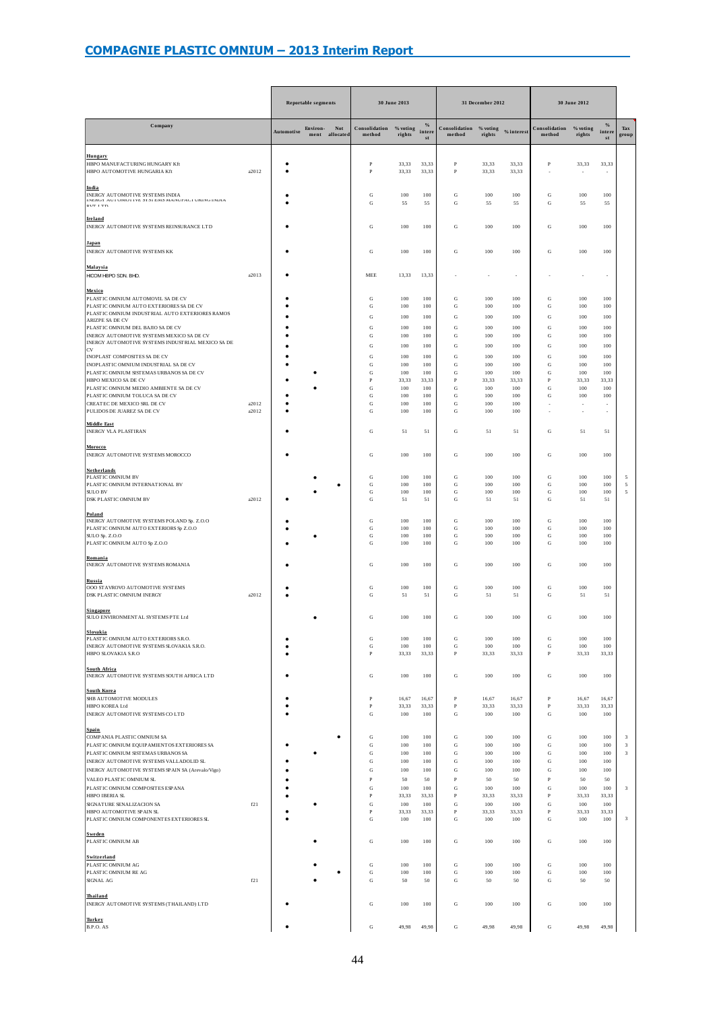|                                                                                                                                                                                                                                                                                                                                                                                                                      |                |            | <b>Reportable segments</b> |                              | 30 June 2013                                                                              |                                                                              |                                                                                  |                                                                                                           | 31 December 2012                                                             |                                                                              | 30 June 2012                                                                                                                           |                                                                              |                                                                              |                                                           |
|----------------------------------------------------------------------------------------------------------------------------------------------------------------------------------------------------------------------------------------------------------------------------------------------------------------------------------------------------------------------------------------------------------------------|----------------|------------|----------------------------|------------------------------|-------------------------------------------------------------------------------------------|------------------------------------------------------------------------------|----------------------------------------------------------------------------------|-----------------------------------------------------------------------------------------------------------|------------------------------------------------------------------------------|------------------------------------------------------------------------------|----------------------------------------------------------------------------------------------------------------------------------------|------------------------------------------------------------------------------|------------------------------------------------------------------------------|-----------------------------------------------------------|
| Company                                                                                                                                                                                                                                                                                                                                                                                                              |                | Automotive | Environ-                   | <b>Not</b><br>ment allocated | Consolidation<br>method                                                                   | $\%$ voting<br>rights                                                        | $\frac{0}{a}$<br>intere<br>$^{\rm st}$                                           | Consolidation % voting % interest<br>method                                                               | rights                                                                       |                                                                              | Consolidation<br>method                                                                                                                | $\%$ voting<br>rights                                                        | $\frac{0}{6}$<br>intere<br>st                                                | Tax<br>group                                              |
| Hungary<br>HBPO MANUFACTURING HUNGARY Kft<br>HBPO AUTOMOTIVE HUNGARIA Kft                                                                                                                                                                                                                                                                                                                                            | a2012          | ė          |                            |                              | $\mathbf{P}$<br>$\, {\bf P}$                                                              | 33,33<br>33,33                                                               | 33,33<br>33,33                                                                   | $\, {\bf p}$<br>$\, {\bf P}$                                                                              | 33,33<br>33,33                                                               | 33,33<br>33,33                                                               | P                                                                                                                                      | 33,33                                                                        | 33,33                                                                        |                                                           |
| India<br>INERGY AUTOMOTIVE SYSTEMS INDIA<br>INENUE AU FUNU FEVE 51 51 EMS MANUTAU FUNNU INDIA<br>חיד דידות                                                                                                                                                                                                                                                                                                           |                |            |                            |                              | G<br>G                                                                                    | 100<br>55                                                                    | 100<br>55                                                                        | ${\rm G}$<br>G                                                                                            | 100<br>55                                                                    | 100<br>55                                                                    | G<br>G                                                                                                                                 | 100<br>55                                                                    | 100<br>55                                                                    |                                                           |
| <b>Ireland</b><br>INERGY AUTOMOTIVE SYSTEMS REINSURANCE LTD                                                                                                                                                                                                                                                                                                                                                          |                |            |                            |                              | G                                                                                         | 100                                                                          | 100                                                                              | G                                                                                                         | 100                                                                          | 100                                                                          | G                                                                                                                                      | 100                                                                          | 100                                                                          |                                                           |
| Japan<br>INERGY AUTOMOTIVE SYSTEMS KK                                                                                                                                                                                                                                                                                                                                                                                |                |            |                            |                              | G                                                                                         | 100                                                                          | 100                                                                              | G                                                                                                         | 100                                                                          | 100                                                                          | G                                                                                                                                      | 100                                                                          | 100                                                                          |                                                           |
| Malaysia<br>HICOM HBPO SDN. BHD.                                                                                                                                                                                                                                                                                                                                                                                     | a2013          |            |                            |                              | MEE                                                                                       | 13,33                                                                        | 13,33                                                                            |                                                                                                           |                                                                              | í,                                                                           |                                                                                                                                        |                                                                              |                                                                              |                                                           |
| Mexico<br>PLASTIC OMNIUM AUTOMOVIL SA DE CV<br>PLASTIC OMNIUM AUTO EXTERIORES SA DE CV<br>PLASTIC OMNIUM INDUSTRIAL AUTO EXTERIORES RAMOS<br>ARIZPE SA DE CV<br>PLASTIC OMNIUM DEL BAJIO SA DE CV<br>INERGY AUTOMOTIVE SYSTEMS MEXICO SA DE CV<br>INERGY AUTOMOTIVE SYSTEMS INDUSTRIAL MEXICO SA DE<br>CV                                                                                                            |                |            |                            |                              | G<br>G<br>G<br>G<br>G<br>G                                                                | 100<br>100<br>100<br>100<br>100<br>100                                       | 100<br>100<br>100<br>100<br>100<br>100                                           | G<br>G<br>G<br>G<br>G<br>G                                                                                | 100<br>100<br>100<br>100<br>100<br>100                                       | 100<br>100<br>100<br>100<br>100<br>100                                       | G<br>G<br>G<br>G<br>G<br>G                                                                                                             | 100<br>100<br>100<br>100<br>100<br>100                                       | 100<br>100<br>100<br>100<br>100<br>100                                       |                                                           |
| INOPLAST COMPOSITES SA DE CV<br>INOPLASTIC OMNIUM INDUSTRIAL SA DE CV<br>PLASTIC OMNIUM SISTEMAS URBANOS SA DE CV<br>HBPO MEXICO SA DE CV<br>PLASTIC OMNIUM MEDIO AMBIENTE SA DE CV<br>PLASTIC OMNIUM TOLUCA SA DE CV<br>CREATEC DE MEXICO SRL DE CV<br>PULIDOS DE JUAREZ SA DE CV                                                                                                                                   | a2012<br>a2012 |            |                            |                              | G<br>G<br>G<br>P<br>G<br>G<br>G<br>G                                                      | 100<br>100<br>100<br>33,33<br>100<br>100<br>100<br>100                       | 100<br>100<br>100<br>33.33<br>100<br>100<br>100<br>100                           | ${\rm G}$<br>G<br>${\bf G}$<br>$\mathbf{P}$<br>G<br>G<br>${\rm G}$<br>G                                   | 100<br>100<br>100<br>33.33<br>100<br>100<br>100<br>100                       | 100<br>100<br>100<br>33,33<br>100<br>100<br>100<br>100                       | ${\rm G}$<br>G<br>G<br>$\overline{P}$<br>G<br>G                                                                                        | 100<br>100<br>100<br>33,33<br>100<br>100                                     | 100<br>100<br>100<br>33.33<br>100<br>100                                     |                                                           |
| <b>Middle East</b><br><b>INERGY VLA PLASTIRAN</b>                                                                                                                                                                                                                                                                                                                                                                    |                |            |                            |                              | G                                                                                         | 51                                                                           | 51                                                                               | G                                                                                                         | 51                                                                           | 51                                                                           | G                                                                                                                                      | 51                                                                           | 51                                                                           |                                                           |
| Morocco<br>INERGY AUTOMOTIVE SYSTEMS MOROCCO                                                                                                                                                                                                                                                                                                                                                                         |                |            |                            |                              | G                                                                                         | 100                                                                          | 100                                                                              | G                                                                                                         | 100                                                                          | 100                                                                          | G                                                                                                                                      | 100                                                                          | 100                                                                          |                                                           |
| <b>Netherlands</b><br>PLASTIC OMNIUM BV<br>PLASTIC OMNIUM INTERNATIONAL BV<br><b>SULO BV</b><br><b>DSK PLASTIC OMNIUM BV</b>                                                                                                                                                                                                                                                                                         | a2012          |            |                            | ٠                            | G<br>${\rm G}$<br>G<br>G                                                                  | 100<br>100<br>100<br>51                                                      | 100<br>100<br>100<br>51                                                          | ${\bf G}$<br>${\rm G}$<br>G<br>G                                                                          | 100<br>100<br>100<br>51                                                      | 100<br>100<br>100<br>51                                                      | G<br>${\rm G}$<br>${\rm G}$<br>${\rm G}$                                                                                               | 100<br>100<br>100<br>51                                                      | 100<br>100<br>100<br>51                                                      | 5<br>5<br>5                                               |
| Poland<br>INERGY AUTOMOTIVE SYSTEMS POLAND Sp. Z.O.O<br>PLASTIC OMNIUM AUTO EXTERIORS Sp Z.O.O<br>SULO Sp. Z.O.O<br>PLASTIC OMNIUM AUTO Sp Z.O.O                                                                                                                                                                                                                                                                     |                |            |                            |                              | G<br>G<br>G<br>G                                                                          | 100<br>100<br>100<br>100                                                     | 100<br>100<br>100<br>100                                                         | G<br>G<br>G<br>G                                                                                          | 100<br>100<br>100<br>100                                                     | 100<br>100<br>100<br>100                                                     | G<br>G<br>G<br>G                                                                                                                       | 100<br>100<br>100<br>100                                                     | 100<br>100<br>100<br>100                                                     |                                                           |
| Romania<br>INERGY AUTOMOTIVE SYSTEMS ROMANIA                                                                                                                                                                                                                                                                                                                                                                         |                |            |                            |                              | G                                                                                         | 100                                                                          | 100                                                                              | ${\bf G}$                                                                                                 | 100                                                                          | 100                                                                          | G                                                                                                                                      | 100                                                                          | 100                                                                          |                                                           |
| <u>Russia</u><br>000 STAVROVO AUTOMOTIVE SYSTEMS<br>DSK PLASTIC OMNIUM INERGY                                                                                                                                                                                                                                                                                                                                        | a2012          |            |                            |                              | G<br>G                                                                                    | 100<br>51                                                                    | 100<br>51                                                                        | G<br>G                                                                                                    | 100<br>51                                                                    | 100<br>51                                                                    | G<br>G                                                                                                                                 | 100<br>51                                                                    | 100<br>51                                                                    |                                                           |
| <b>Singapore</b><br>SULO ENVIRONMENT AL SYSTEMS PTE Ltd                                                                                                                                                                                                                                                                                                                                                              |                |            |                            |                              | G                                                                                         | 100                                                                          | 100                                                                              | ${\rm G}$                                                                                                 | 100                                                                          | 100                                                                          | G                                                                                                                                      | 100                                                                          | 100                                                                          |                                                           |
| Slovakia<br>PLASTIC OMNIUM AUTO EXTERIORS S.R.O.<br>INERGY AUTOMOTIVE SYSTEMS SLOVAKIA S.R.O.<br>HBPO SLOVAKIA S.R.O                                                                                                                                                                                                                                                                                                 |                |            |                            |                              | G<br>${\rm G}$<br>$\, {\bf P}$                                                            | 100<br>100<br>33,33                                                          | 100<br>100<br>33,33                                                              | ${\bf G}$<br>${\rm G}$<br>$\, {\bf P}$                                                                    | 100<br>100<br>33,33                                                          | 100<br>100<br>33,33                                                          | G<br>${\rm G}$<br>$\, {\bf P}$                                                                                                         | 100<br>100<br>33,33                                                          | 100<br>100<br>33,33                                                          |                                                           |
| South Africa<br>INERGY AUTOMOTIVE SYSTEMS SOUTH AFRICA LTD                                                                                                                                                                                                                                                                                                                                                           |                |            |                            |                              | G                                                                                         | 100                                                                          | 100                                                                              | G                                                                                                         | 100                                                                          | 100                                                                          | G                                                                                                                                      | 100                                                                          | 100                                                                          |                                                           |
| <b>South Korea</b><br>SHB AUTOMOTIVE MODULES<br>HBPO KOREA Ltd<br>INERGY AUTOMOTIVE SYSTEMS CO LTD                                                                                                                                                                                                                                                                                                                   |                |            |                            |                              | $\, {\bf P}$<br>P<br>G                                                                    | 16.67<br>33,33<br>100                                                        | 16.67<br>33,33<br>100                                                            | $\, {\bf P}$<br>$\, {\bf P}$<br>G                                                                         | 16.67<br>33,33<br>100                                                        | 16.67<br>33,33<br>100                                                        | $\, {\bf P}$<br>$_{\rm P}$<br>G                                                                                                        | 16.67<br>33,33<br>100                                                        | 16.67<br>33,33<br>100                                                        |                                                           |
| Spain<br>COMPANIA PLASTIC OMNIUM SA<br>PLASTIC OMNIUM EQUIPAMIENTOS EXTERIORES SA<br>PLASTIC OMNIUM SISTEMAS URBANOS SA<br>INERGY AUTOMOTIVE SYSTEMS VALLADOLID SL<br>INERGY AUTOMOTIVE SYSTEMS SPAIN SA (Arevalo/Vigo)<br>VALEO PLASTIC OMNIUM SL<br>PLASTIC OMNIUM COMPOSITES ESPANA<br><b>HBPO IBERIA SL</b><br>SIGNATURE SENALIZACION SA<br>HBPO AUTOMOTIVE SPAIN SL<br>PLASTIC OMNIUM COMPONENTES EXTERIORES SL | f21            |            |                            | ٠                            | G<br>G<br>${\rm G}$<br>G<br>G<br>P<br>G<br>$\, {\bf p}$<br>G<br>$\, {\bf P}$<br>${\rm G}$ | 100<br>100<br>100<br>100<br>100<br>50<br>100<br>33,33<br>100<br>33.33<br>100 | 100<br>100<br>$100\,$<br>100<br>100<br>50<br>100<br>33.33<br>100<br>33,33<br>100 | G<br>G<br>G<br>${\bf G}$<br>${\rm G}$<br>P<br>${\rm G}$<br>$\, {\bf p}$<br>G<br>$\, {\bf P}$<br>${\rm G}$ | 100<br>100<br>100<br>100<br>100<br>50<br>100<br>33,33<br>100<br>33,33<br>100 | 100<br>100<br>100<br>100<br>100<br>50<br>100<br>33,33<br>100<br>33,33<br>100 | G<br>${\rm G}$<br>${\rm G}$<br>${\rm G}$<br>${\rm G}$<br>$\overline{P}$<br>${\bf G}$<br>$\, {\bf P}$<br>G<br>$\, {\bf P}$<br>${\rm G}$ | 100<br>100<br>100<br>100<br>100<br>50<br>100<br>33,33<br>100<br>33,33<br>100 | 100<br>100<br>100<br>100<br>100<br>50<br>100<br>33,33<br>100<br>33.33<br>100 | 3<br>$\sqrt{3}$<br>$\sqrt{3}$<br>$\sqrt{3}$<br>$\sqrt{3}$ |
| Sweden<br>PLASTIC OMNIUM AB                                                                                                                                                                                                                                                                                                                                                                                          |                |            |                            |                              | G                                                                                         | 100                                                                          | 100                                                                              | G                                                                                                         | 100                                                                          | 100                                                                          | G                                                                                                                                      | 100                                                                          | 100                                                                          |                                                           |
| Switzerland<br>PLASTIC OMNIUM AG<br>PLASTIC OMNIUM RE AG<br><b>SIGNAL AG</b>                                                                                                                                                                                                                                                                                                                                         | f21            |            |                            | ٠                            | G<br>${\rm G}$<br>G                                                                       | 100<br>100<br>50                                                             | 100<br>100<br>50                                                                 | G<br>${\bf G}$<br>${\rm G}$                                                                               | 100<br>100<br>50                                                             | 100<br>100<br>50                                                             | G<br>${\rm G}$<br>${\rm G}$                                                                                                            | 100<br>100<br>50                                                             | 100<br>100<br>50                                                             |                                                           |
| Thailand<br>INERGY AUTOMOTIVE SYSTEMS (THAILAND) LTD                                                                                                                                                                                                                                                                                                                                                                 |                |            |                            |                              | G                                                                                         | 100                                                                          | 100                                                                              | ${\bf G}$                                                                                                 | 100                                                                          | 100                                                                          | ${\rm G}$                                                                                                                              | 100                                                                          | 100                                                                          |                                                           |
| Turkey<br>B.P.O. AS                                                                                                                                                                                                                                                                                                                                                                                                  |                |            |                            |                              | G                                                                                         | 49,98                                                                        | 49,98                                                                            | ${\rm G}$                                                                                                 | 49,98                                                                        | 49.98                                                                        | ${\rm G}$                                                                                                                              | 49.98                                                                        | 49,98                                                                        |                                                           |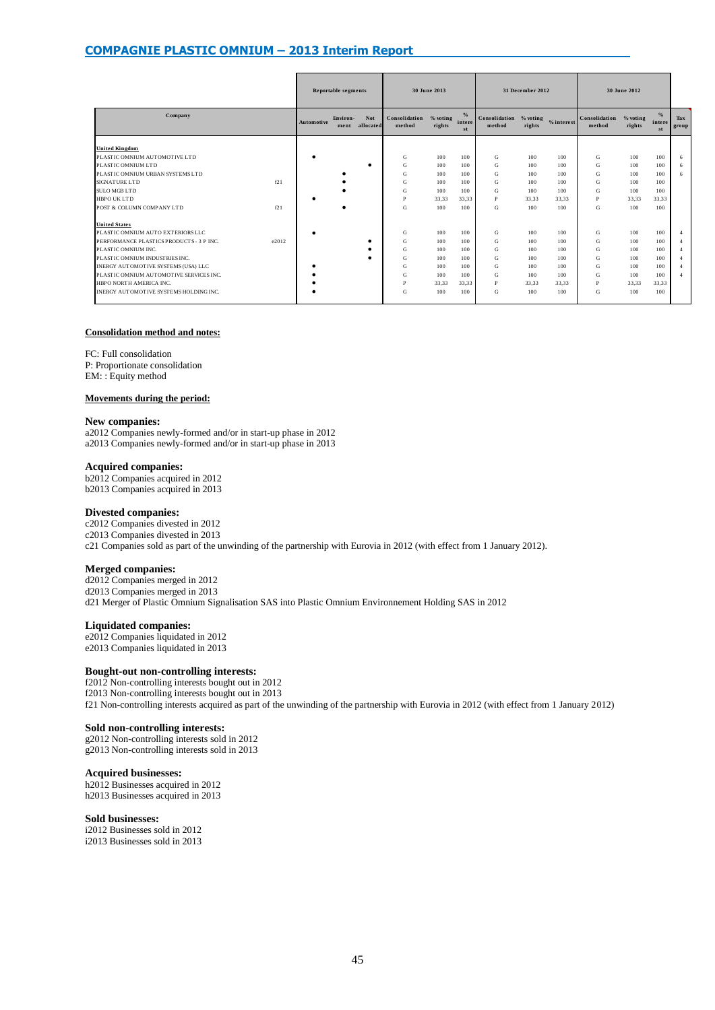|                                          |       | <b>Reportable segments</b> |                  |                         | 30 June 2013            |                    |                               |                         | 31 December 2012   |            | 30 June 2012            |                      |                               |                |
|------------------------------------------|-------|----------------------------|------------------|-------------------------|-------------------------|--------------------|-------------------------------|-------------------------|--------------------|------------|-------------------------|----------------------|-------------------------------|----------------|
| Company                                  |       | Automotive                 | Environ-<br>ment | <b>Not</b><br>allocated | Consolidation<br>method | % voting<br>rights | $\frac{9}{6}$<br>intere<br>st | Consolidation<br>method | % voting<br>rights | % interest | Consolidation<br>method | $%$ voting<br>rights | $\frac{9}{6}$<br>intere<br>st | Tax<br>group   |
| <b>United Kingdom</b>                    |       |                            |                  |                         |                         |                    |                               |                         |                    |            |                         |                      |                               |                |
| PLASTIC OMNIUM AUTOMOTIVE LTD            |       |                            |                  |                         | G                       | 100                | 100                           | G                       | 100                | 100        | G                       | 100                  | 100                           | 6              |
| PLASTIC OMNIUM LTD                       |       |                            |                  |                         | G                       | 100                | 100                           | G                       | 100                | 100        | G                       | 100                  | 100                           | 6              |
| PLASTIC OMNIUM URBAN SYSTEMS LTD         |       |                            |                  |                         | G                       | 100                | 100                           | G                       | 100                | 100        | G                       | 100                  | 100                           | 6              |
| <b>SIGNATURE LTD</b>                     | f21   |                            |                  |                         | G                       | 100                | 100                           | G                       | 100                | 100        | G                       | 100                  | 100                           |                |
| <b>SULO MGB LTD</b>                      |       |                            |                  |                         | G                       | 100                | 100                           | G                       | 100                | 100        | G                       | 100                  | 100                           |                |
| <b>HBPO UK LTD</b>                       |       |                            |                  |                         | P                       | 33.33              | 33.33                         | P                       | 33.33              | 33.33      | P                       | 33.33                | 33.33                         |                |
| POST & COLUMN COMPANY LTD                | f21   |                            |                  |                         | G                       | 100                | 100                           | G                       | 100                | 100        | G                       | 100                  | 100                           |                |
| <b>United States</b>                     |       |                            |                  |                         |                         |                    |                               |                         |                    |            |                         |                      |                               |                |
| PLASTIC OMNIUM AUTO EXTERIORS LLC        |       |                            |                  |                         | G                       | 100                | 100                           | G                       | 100                | 100        | G                       | 100                  | 100                           |                |
| PERFORMANCE PLASTICS PRODUCTS - 3 P INC. | e2012 |                            |                  |                         | G                       | 100                | 100                           | G                       | 100                | 100        | G                       | 100                  | 100                           | $\overline{A}$ |
| PLASTIC OMNIUM INC.                      |       |                            |                  |                         | G                       | 100                | 100                           | G                       | 100                | 100        | G                       | 100                  | 100                           | $\overline{A}$ |
| PLASTIC OMNIUM INDUSTRIES INC.           |       |                            |                  |                         | G                       | 100                | 100                           | G                       | 100                | 100        | G                       | 100                  | 100                           |                |
| INERGY AUTOMOTIVE SYSTEMS (USA) LLC      |       |                            |                  |                         | G                       | 100                | 100                           | G                       | 100                | 100        | G                       | 100                  | 100                           |                |
| PLASTIC OMNIUM AUTOMOTIVE SERVICES INC.  |       |                            |                  |                         | G                       | 100                | 100                           | G                       | 100                | 100        | G                       | 100                  | 100                           | $\overline{4}$ |
| HBPO NORTH AMERICA INC.                  |       |                            |                  |                         | Þ                       | 33.33              | 33.33                         | P                       | 33.33              | 33.33      | P                       | 33,33                | 33.33                         |                |
| INERGY AUTOMOTIVE SYSTEMS HOLDING INC.   |       |                            |                  |                         | G                       | 100                | 100                           | G                       | 100                | 100        | G                       | 100                  | 100                           |                |

#### **Consolidation method and notes:**

FC: Full consolidation

P: Proportionate consolidation EM: : Equity method

#### **Movements during the period:**

#### **New companies:**

a2012 Companies newly-formed and/or in start-up phase in 2012 a2013 Companies newly-formed and/or in start-up phase in 2013

#### **Acquired companies:**

b2012 Companies acquired in 2012 b2013 Companies acquired in 2013

#### **Divested companies:**

c2012 Companies divested in 2012 c2013 Companies divested in 2013 c21 Companies sold as part of the unwinding of the partnership with Eurovia in 2012 (with effect from 1 January 2012).

#### **Merged companies:**

d2012 Companies merged in 2012 d2013 Companies merged in 2013 d21 Merger of Plastic Omnium Signalisation SAS into Plastic Omnium Environnement Holding SAS in 2012

#### **Liquidated companies:**

e2012 Companies liquidated in 2012 e2013 Companies liquidated in 2013

#### **Bought-out non-controlling interests:**

f2012 Non-controlling interests bought out in 2012 f2013 Non-controlling interests bought out in 2013 f21 Non-controlling interests acquired as part of the unwinding of the partnership with Eurovia in 2012 (with effect from 1 January 2012)

#### **Sold non-controlling interests:**

g2012 Non-controlling interests sold in 2012 g2013 Non-controlling interests sold in 2013

#### **Acquired businesses:**

h2012 Businesses acquired in 2012 h2013 Businesses acquired in 2013

#### **Sold businesses:**

i2012 Businesses sold in 2012 i2013 Businesses sold in 2013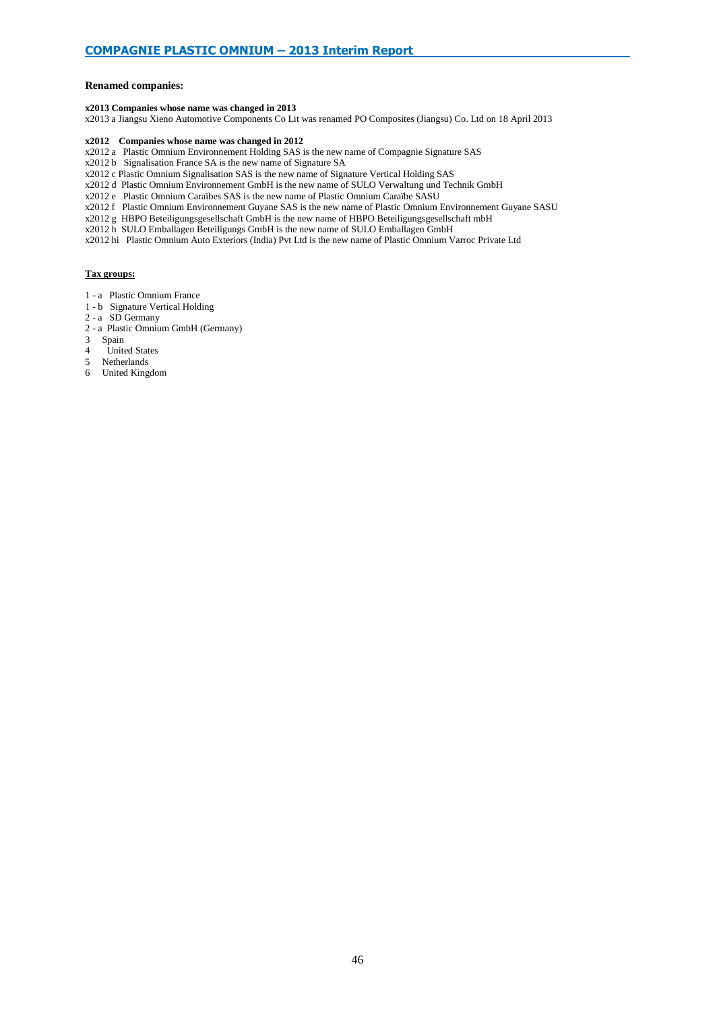#### **Renamed companies:**

#### **x2013 Companies whose name was changed in 2013**

x2013 a Jiangsu Xieno Automotive Components Co Lit was renamed PO Composites (Jiangsu) Co. Ltd on 18 April 2013

#### **x2012 Companies whose name was changed in 2012**

- x2012 a Plastic Omnium Environnement Holding SAS is the new name of Compagnie Signature SAS
- x2012 b Signalisation France SA is the new name of Signature SA

x2012 c Plastic Omnium Signalisation SAS is the new name of Signature Vertical Holding SAS

- x2012 d Plastic Omnium Environnement GmbH is the new name of SULO Verwaltung und Technik GmbH
- x2012 e Plastic Omnium Caraïbes SAS is the new name of Plastic Omnium Caraïbe SASU
- x2012 f Plastic Omnium Environnement Guyane SAS is the new name of Plastic Omnium Environnement Guyane SASU
- x2012 g HBPO Beteiligungsgesellschaft GmbH is the new name of HBPO Beteiligungsgesellschaft mbH
- x2012 h SULO Emballagen Beteiligungs GmbH is the new name of SULO Emballagen GmbH
- x2012 hi Plastic Omnium Auto Exteriors (India) Pvt Ltd is the new name of Plastic Omnium Varroc Private Ltd

#### **Tax groups:**

- 1 a Plastic Omnium France
- 1 b Signature Vertical Holding
- 2 a SD Germany
- 2 a Plastic Omnium GmbH (Germany)
- 
- 3 Spain United States
- 5 Netherlands
- 6 United Kingdom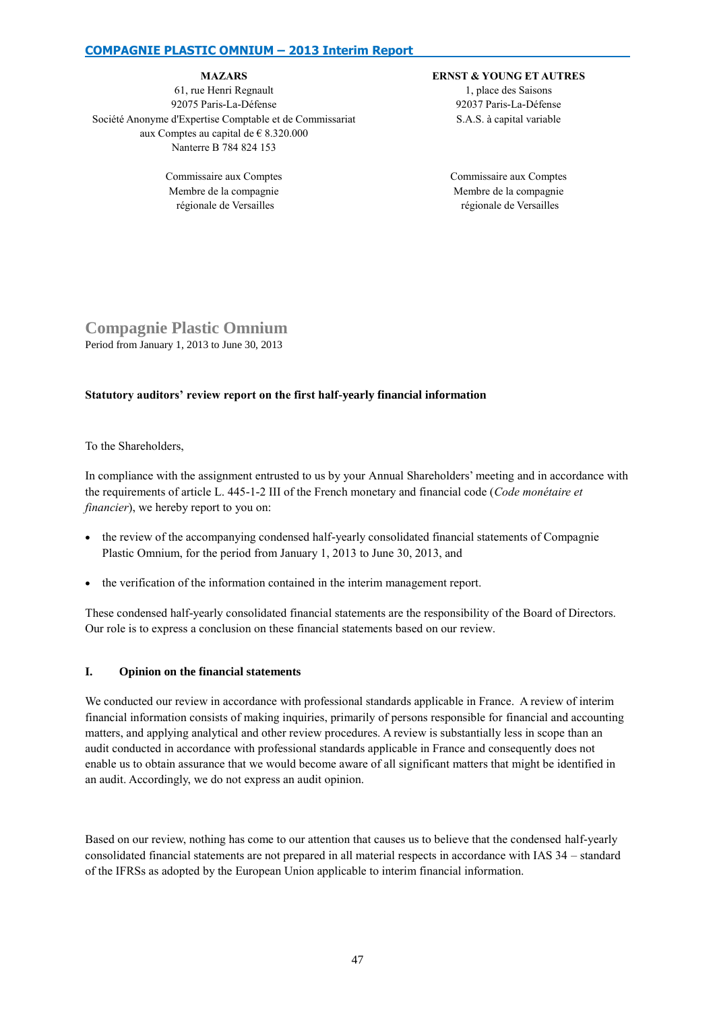#### **MAZARS**

61, rue Henri Regnault 92075 Paris-La-Défense Société Anonyme d'Expertise Comptable et de Commissariat aux Comptes au capital de € 8.320.000 Nanterre B 784 824 153

> Commissaire aux Comptes Membre de la compagnie régionale de Versailles

#### **ERNST & YOUNG ET AUTRES**

1, place des Saisons 92037 Paris-La-Défense S.A.S. à capital variable

Commissaire aux Comptes Membre de la compagnie régionale de Versailles

# **Compagnie Plastic Omnium** Period from January 1, 2013 to June 30, 2013

### **Statutory auditors' review report on the first half-yearly financial information**

To the Shareholders,

In compliance with the assignment entrusted to us by your Annual Shareholders' meeting and in accordance with the requirements of article L. 445-1-2 III of the French monetary and financial code (*Code monétaire et financier*), we hereby report to you on:

- the review of the accompanying condensed half-yearly consolidated financial statements of Compagnie Plastic Omnium, for the period from January 1, 2013 to June 30, 2013, and
- the verification of the information contained in the interim management report.

These condensed half-yearly consolidated financial statements are the responsibility of the Board of Directors. Our role is to express a conclusion on these financial statements based on our review.

## **I. Opinion on the financial statements**

We conducted our review in accordance with professional standards applicable in France. A review of interim financial information consists of making inquiries, primarily of persons responsible for financial and accounting matters, and applying analytical and other review procedures. A review is substantially less in scope than an audit conducted in accordance with professional standards applicable in France and consequently does not enable us to obtain assurance that we would become aware of all significant matters that might be identified in an audit. Accordingly, we do not express an audit opinion.

Based on our review, nothing has come to our attention that causes us to believe that the condensed half-yearly consolidated financial statements are not prepared in all material respects in accordance with IAS 34 – standard of the IFRSs as adopted by the European Union applicable to interim financial information.